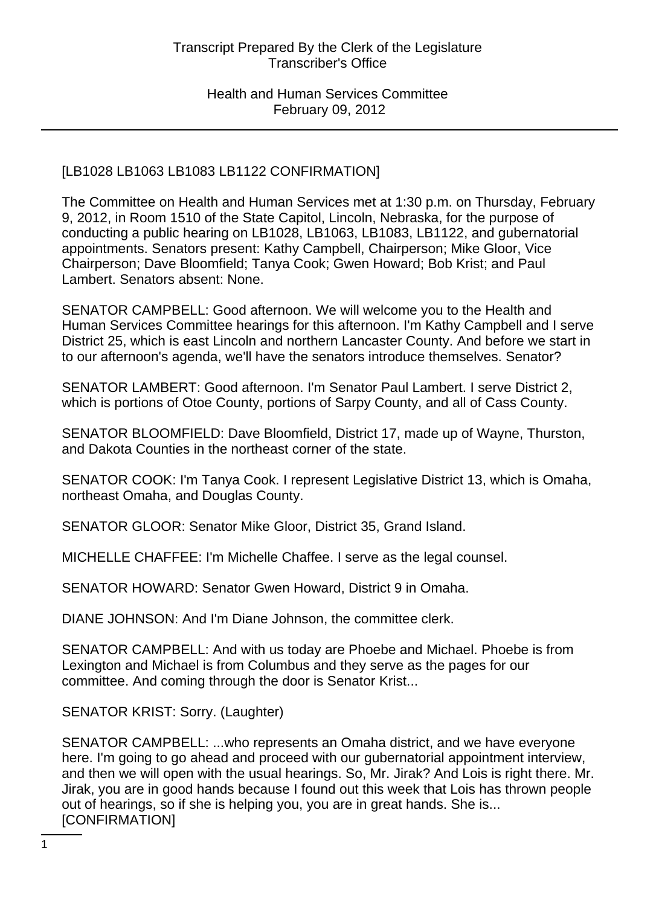# [LB1028 LB1063 LB1083 LB1122 CONFIRMATION]

The Committee on Health and Human Services met at 1:30 p.m. on Thursday, February 9, 2012, in Room 1510 of the State Capitol, Lincoln, Nebraska, for the purpose of conducting a public hearing on LB1028, LB1063, LB1083, LB1122, and gubernatorial appointments. Senators present: Kathy Campbell, Chairperson; Mike Gloor, Vice Chairperson; Dave Bloomfield; Tanya Cook; Gwen Howard; Bob Krist; and Paul Lambert. Senators absent: None.

SENATOR CAMPBELL: Good afternoon. We will welcome you to the Health and Human Services Committee hearings for this afternoon. I'm Kathy Campbell and I serve District 25, which is east Lincoln and northern Lancaster County. And before we start in to our afternoon's agenda, we'll have the senators introduce themselves. Senator?

SENATOR LAMBERT: Good afternoon. I'm Senator Paul Lambert. I serve District 2, which is portions of Otoe County, portions of Sarpy County, and all of Cass County.

SENATOR BLOOMFIELD: Dave Bloomfield, District 17, made up of Wayne, Thurston, and Dakota Counties in the northeast corner of the state.

SENATOR COOK: I'm Tanya Cook. I represent Legislative District 13, which is Omaha, northeast Omaha, and Douglas County.

SENATOR GLOOR: Senator Mike Gloor, District 35, Grand Island.

MICHELLE CHAFFEE: I'm Michelle Chaffee. I serve as the legal counsel.

SENATOR HOWARD: Senator Gwen Howard, District 9 in Omaha.

DIANE JOHNSON: And I'm Diane Johnson, the committee clerk.

SENATOR CAMPBELL: And with us today are Phoebe and Michael. Phoebe is from Lexington and Michael is from Columbus and they serve as the pages for our committee. And coming through the door is Senator Krist...

SENATOR KRIST: Sorry. (Laughter)

SENATOR CAMPBELL: ...who represents an Omaha district, and we have everyone here. I'm going to go ahead and proceed with our gubernatorial appointment interview, and then we will open with the usual hearings. So, Mr. Jirak? And Lois is right there. Mr. Jirak, you are in good hands because I found out this week that Lois has thrown people out of hearings, so if she is helping you, you are in great hands. She is... [CONFIRMATION]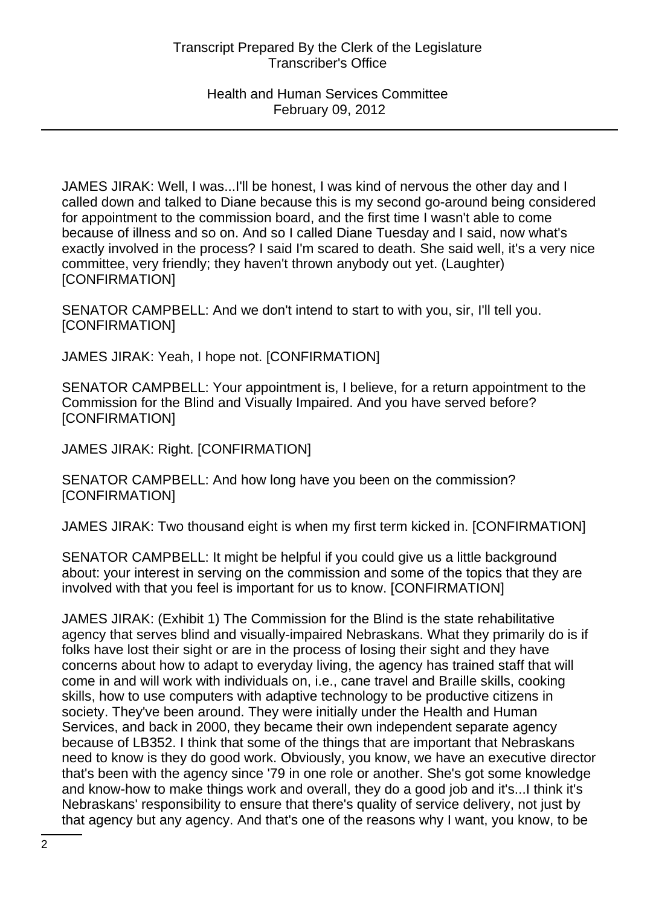JAMES JIRAK: Well, I was...I'll be honest, I was kind of nervous the other day and I called down and talked to Diane because this is my second go-around being considered for appointment to the commission board, and the first time I wasn't able to come because of illness and so on. And so I called Diane Tuesday and I said, now what's exactly involved in the process? I said I'm scared to death. She said well, it's a very nice committee, very friendly; they haven't thrown anybody out yet. (Laughter) [CONFIRMATION]

SENATOR CAMPBELL: And we don't intend to start to with you, sir, I'll tell you. [CONFIRMATION]

JAMES JIRAK: Yeah, I hope not. [CONFIRMATION]

SENATOR CAMPBELL: Your appointment is, I believe, for a return appointment to the Commission for the Blind and Visually Impaired. And you have served before? [CONFIRMATION]

JAMES JIRAK: Right. [CONFIRMATION]

SENATOR CAMPBELL: And how long have you been on the commission? [CONFIRMATION]

JAMES JIRAK: Two thousand eight is when my first term kicked in. [CONFIRMATION]

SENATOR CAMPBELL: It might be helpful if you could give us a little background about: your interest in serving on the commission and some of the topics that they are involved with that you feel is important for us to know. [CONFIRMATION]

JAMES JIRAK: (Exhibit 1) The Commission for the Blind is the state rehabilitative agency that serves blind and visually-impaired Nebraskans. What they primarily do is if folks have lost their sight or are in the process of losing their sight and they have concerns about how to adapt to everyday living, the agency has trained staff that will come in and will work with individuals on, i.e., cane travel and Braille skills, cooking skills, how to use computers with adaptive technology to be productive citizens in society. They've been around. They were initially under the Health and Human Services, and back in 2000, they became their own independent separate agency because of LB352. I think that some of the things that are important that Nebraskans need to know is they do good work. Obviously, you know, we have an executive director that's been with the agency since '79 in one role or another. She's got some knowledge and know-how to make things work and overall, they do a good job and it's...I think it's Nebraskans' responsibility to ensure that there's quality of service delivery, not just by that agency but any agency. And that's one of the reasons why I want, you know, to be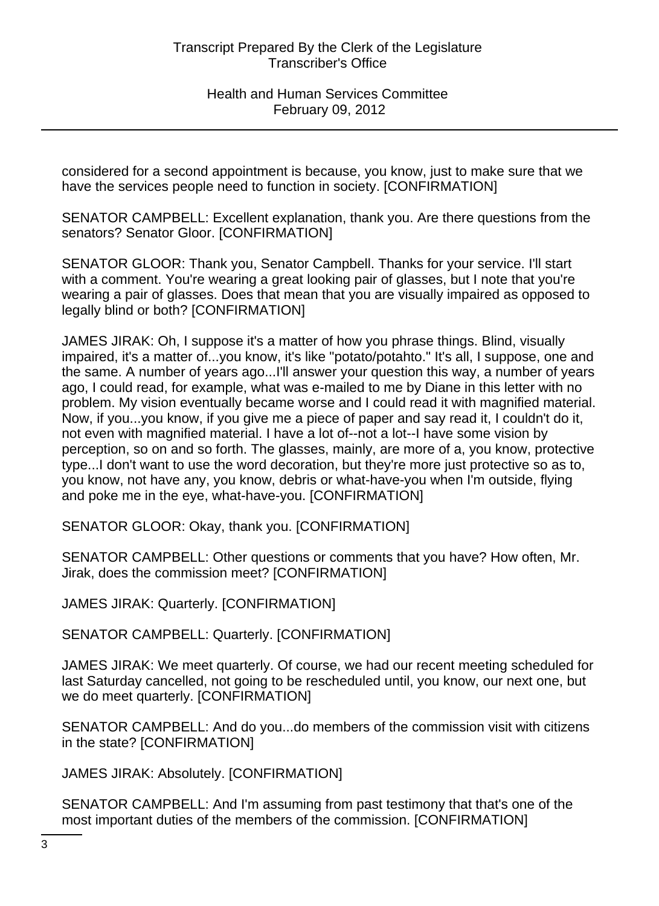considered for a second appointment is because, you know, just to make sure that we have the services people need to function in society. [CONFIRMATION]

SENATOR CAMPBELL: Excellent explanation, thank you. Are there questions from the senators? Senator Gloor. [CONFIRMATION]

SENATOR GLOOR: Thank you, Senator Campbell. Thanks for your service. I'll start with a comment. You're wearing a great looking pair of glasses, but I note that you're wearing a pair of glasses. Does that mean that you are visually impaired as opposed to legally blind or both? [CONFIRMATION]

JAMES JIRAK: Oh, I suppose it's a matter of how you phrase things. Blind, visually impaired, it's a matter of...you know, it's like "potato/potahto." It's all, I suppose, one and the same. A number of years ago...I'll answer your question this way, a number of years ago, I could read, for example, what was e-mailed to me by Diane in this letter with no problem. My vision eventually became worse and I could read it with magnified material. Now, if you...you know, if you give me a piece of paper and say read it, I couldn't do it, not even with magnified material. I have a lot of--not a lot--I have some vision by perception, so on and so forth. The glasses, mainly, are more of a, you know, protective type...I don't want to use the word decoration, but they're more just protective so as to, you know, not have any, you know, debris or what-have-you when I'm outside, flying and poke me in the eye, what-have-you. [CONFIRMATION]

SENATOR GLOOR: Okay, thank you. [CONFIRMATION]

SENATOR CAMPBELL: Other questions or comments that you have? How often, Mr. Jirak, does the commission meet? [CONFIRMATION]

JAMES JIRAK: Quarterly. [CONFIRMATION]

SENATOR CAMPBELL: Quarterly. [CONFIRMATION]

JAMES JIRAK: We meet quarterly. Of course, we had our recent meeting scheduled for last Saturday cancelled, not going to be rescheduled until, you know, our next one, but we do meet quarterly. [CONFIRMATION]

SENATOR CAMPBELL: And do you...do members of the commission visit with citizens in the state? [CONFIRMATION]

JAMES JIRAK: Absolutely. [CONFIRMATION]

SENATOR CAMPBELL: And I'm assuming from past testimony that that's one of the most important duties of the members of the commission. [CONFIRMATION]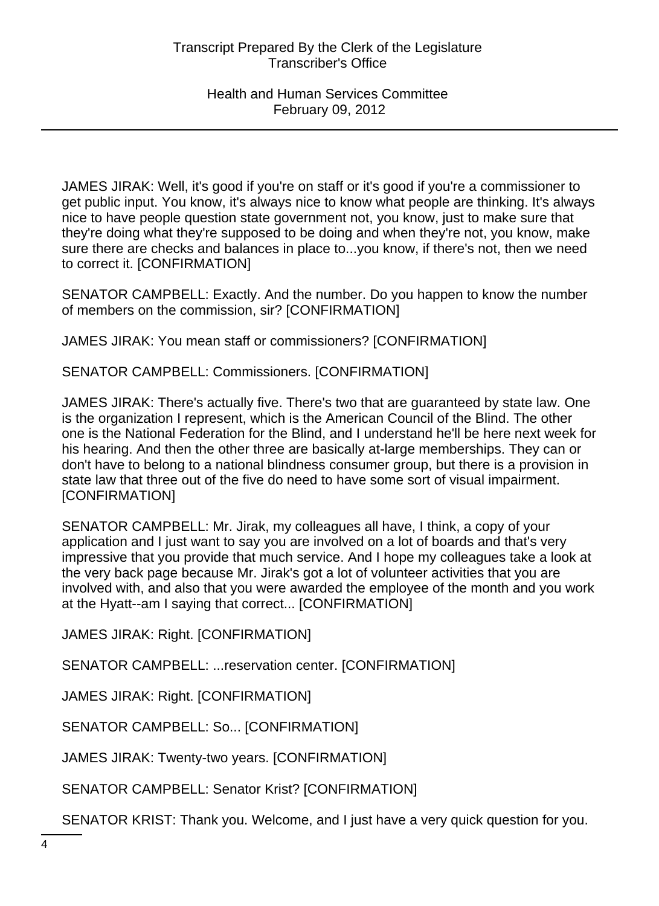JAMES JIRAK: Well, it's good if you're on staff or it's good if you're a commissioner to get public input. You know, it's always nice to know what people are thinking. It's always nice to have people question state government not, you know, just to make sure that they're doing what they're supposed to be doing and when they're not, you know, make sure there are checks and balances in place to...you know, if there's not, then we need to correct it. [CONFIRMATION]

SENATOR CAMPBELL: Exactly. And the number. Do you happen to know the number of members on the commission, sir? [CONFIRMATION]

JAMES JIRAK: You mean staff or commissioners? [CONFIRMATION]

SENATOR CAMPBELL: Commissioners. [CONFIRMATION]

JAMES JIRAK: There's actually five. There's two that are guaranteed by state law. One is the organization I represent, which is the American Council of the Blind. The other one is the National Federation for the Blind, and I understand he'll be here next week for his hearing. And then the other three are basically at-large memberships. They can or don't have to belong to a national blindness consumer group, but there is a provision in state law that three out of the five do need to have some sort of visual impairment. [CONFIRMATION]

SENATOR CAMPBELL: Mr. Jirak, my colleagues all have, I think, a copy of your application and I just want to say you are involved on a lot of boards and that's very impressive that you provide that much service. And I hope my colleagues take a look at the very back page because Mr. Jirak's got a lot of volunteer activities that you are involved with, and also that you were awarded the employee of the month and you work at the Hyatt--am I saying that correct... [CONFIRMATION]

JAMES JIRAK: Right. [CONFIRMATION]

SENATOR CAMPBELL: ...reservation center. [CONFIRMATION]

JAMES JIRAK: Right. [CONFIRMATION]

SENATOR CAMPBELL: So... [CONFIRMATION]

JAMES JIRAK: Twenty-two years. [CONFIRMATION]

SENATOR CAMPBELL: Senator Krist? [CONFIRMATION]

SENATOR KRIST: Thank you. Welcome, and I just have a very quick question for you.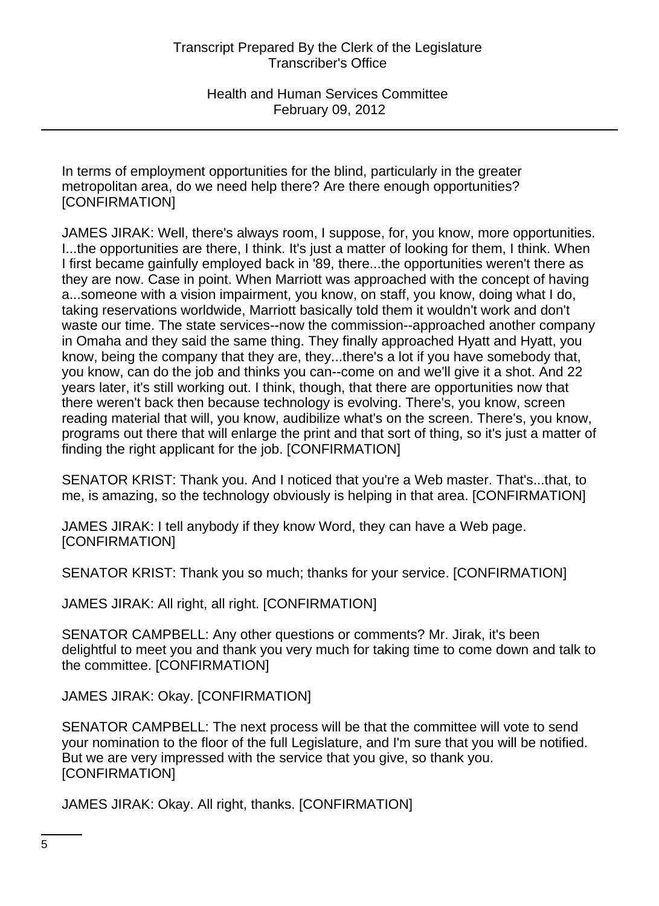In terms of employment opportunities for the blind, particularly in the greater metropolitan area, do we need help there? Are there enough opportunities? [CONFIRMATION]

JAMES JIRAK: Well, there's always room, I suppose, for, you know, more opportunities. I...the opportunities are there, I think. It's just a matter of looking for them, I think. When I first became gainfully employed back in '89, there...the opportunities weren't there as they are now. Case in point. When Marriott was approached with the concept of having a...someone with a vision impairment, you know, on staff, you know, doing what I do, taking reservations worldwide, Marriott basically told them it wouldn't work and don't waste our time. The state services--now the commission--approached another company in Omaha and they said the same thing. They finally approached Hyatt and Hyatt, you know, being the company that they are, they...there's a lot if you have somebody that, you know, can do the job and thinks you can--come on and we'll give it a shot. And 22 years later, it's still working out. I think, though, that there are opportunities now that there weren't back then because technology is evolving. There's, you know, screen reading material that will, you know, audibilize what's on the screen. There's, you know, programs out there that will enlarge the print and that sort of thing, so it's just a matter of finding the right applicant for the job. [CONFIRMATION]

SENATOR KRIST: Thank you. And I noticed that you're a Web master. That's...that, to me, is amazing, so the technology obviously is helping in that area. [CONFIRMATION]

JAMES JIRAK: I tell anybody if they know Word, they can have a Web page. [CONFIRMATION]

SENATOR KRIST: Thank you so much; thanks for your service. [CONFIRMATION]

JAMES JIRAK: All right, all right. [CONFIRMATION]

SENATOR CAMPBELL: Any other questions or comments? Mr. Jirak, it's been delightful to meet you and thank you very much for taking time to come down and talk to the committee. [CONFIRMATION]

JAMES JIRAK: Okay. [CONFIRMATION]

SENATOR CAMPBELL: The next process will be that the committee will vote to send your nomination to the floor of the full Legislature, and I'm sure that you will be notified. But we are very impressed with the service that you give, so thank you. [CONFIRMATION]

JAMES JIRAK: Okay. All right, thanks. [CONFIRMATION]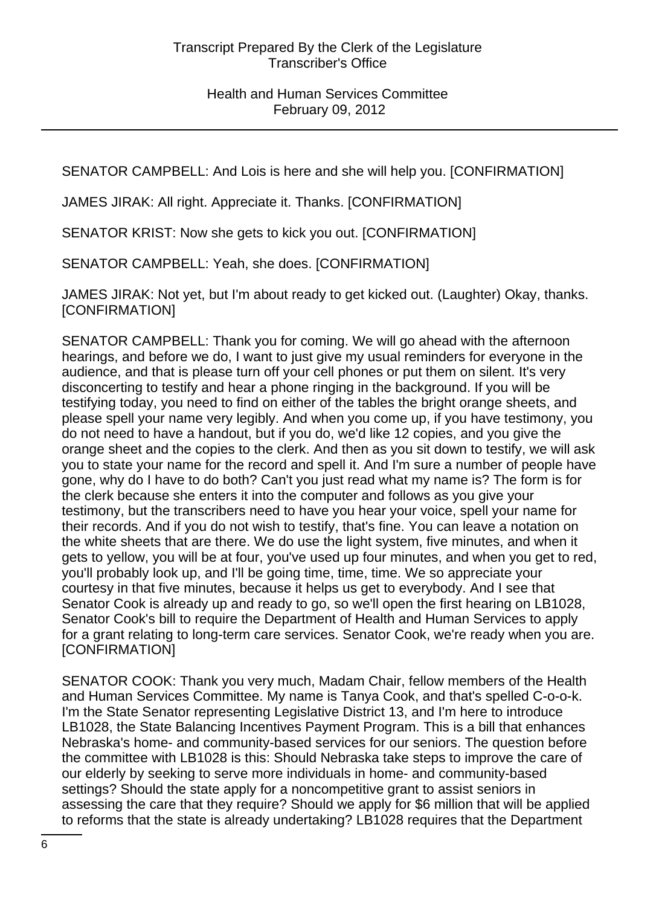SENATOR CAMPBELL: And Lois is here and she will help you. [CONFIRMATION]

JAMES JIRAK: All right. Appreciate it. Thanks. [CONFIRMATION]

SENATOR KRIST: Now she gets to kick you out. [CONFIRMATION]

SENATOR CAMPBELL: Yeah, she does. [CONFIRMATION]

JAMES JIRAK: Not yet, but I'm about ready to get kicked out. (Laughter) Okay, thanks. [CONFIRMATION]

SENATOR CAMPBELL: Thank you for coming. We will go ahead with the afternoon hearings, and before we do, I want to just give my usual reminders for everyone in the audience, and that is please turn off your cell phones or put them on silent. It's very disconcerting to testify and hear a phone ringing in the background. If you will be testifying today, you need to find on either of the tables the bright orange sheets, and please spell your name very legibly. And when you come up, if you have testimony, you do not need to have a handout, but if you do, we'd like 12 copies, and you give the orange sheet and the copies to the clerk. And then as you sit down to testify, we will ask you to state your name for the record and spell it. And I'm sure a number of people have gone, why do I have to do both? Can't you just read what my name is? The form is for the clerk because she enters it into the computer and follows as you give your testimony, but the transcribers need to have you hear your voice, spell your name for their records. And if you do not wish to testify, that's fine. You can leave a notation on the white sheets that are there. We do use the light system, five minutes, and when it gets to yellow, you will be at four, you've used up four minutes, and when you get to red, you'll probably look up, and I'll be going time, time, time. We so appreciate your courtesy in that five minutes, because it helps us get to everybody. And I see that Senator Cook is already up and ready to go, so we'll open the first hearing on LB1028, Senator Cook's bill to require the Department of Health and Human Services to apply for a grant relating to long-term care services. Senator Cook, we're ready when you are. [CONFIRMATION]

SENATOR COOK: Thank you very much, Madam Chair, fellow members of the Health and Human Services Committee. My name is Tanya Cook, and that's spelled C-o-o-k. I'm the State Senator representing Legislative District 13, and I'm here to introduce LB1028, the State Balancing Incentives Payment Program. This is a bill that enhances Nebraska's home- and community-based services for our seniors. The question before the committee with LB1028 is this: Should Nebraska take steps to improve the care of our elderly by seeking to serve more individuals in home- and community-based settings? Should the state apply for a noncompetitive grant to assist seniors in assessing the care that they require? Should we apply for \$6 million that will be applied to reforms that the state is already undertaking? LB1028 requires that the Department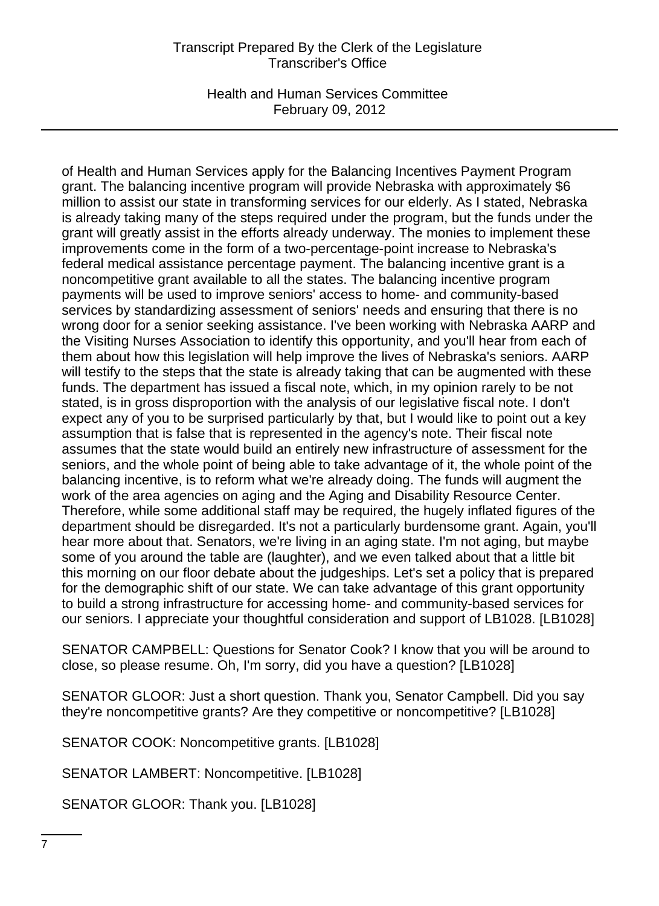# Transcript Prepared By the Clerk of the Legislature Transcriber's Office

Health and Human Services Committee February 09, 2012

of Health and Human Services apply for the Balancing Incentives Payment Program grant. The balancing incentive program will provide Nebraska with approximately \$6 million to assist our state in transforming services for our elderly. As I stated, Nebraska is already taking many of the steps required under the program, but the funds under the grant will greatly assist in the efforts already underway. The monies to implement these improvements come in the form of a two-percentage-point increase to Nebraska's federal medical assistance percentage payment. The balancing incentive grant is a noncompetitive grant available to all the states. The balancing incentive program payments will be used to improve seniors' access to home- and community-based services by standardizing assessment of seniors' needs and ensuring that there is no wrong door for a senior seeking assistance. I've been working with Nebraska AARP and the Visiting Nurses Association to identify this opportunity, and you'll hear from each of them about how this legislation will help improve the lives of Nebraska's seniors. AARP will testify to the steps that the state is already taking that can be augmented with these funds. The department has issued a fiscal note, which, in my opinion rarely to be not stated, is in gross disproportion with the analysis of our legislative fiscal note. I don't expect any of you to be surprised particularly by that, but I would like to point out a key assumption that is false that is represented in the agency's note. Their fiscal note assumes that the state would build an entirely new infrastructure of assessment for the seniors, and the whole point of being able to take advantage of it, the whole point of the balancing incentive, is to reform what we're already doing. The funds will augment the work of the area agencies on aging and the Aging and Disability Resource Center. Therefore, while some additional staff may be required, the hugely inflated figures of the department should be disregarded. It's not a particularly burdensome grant. Again, you'll hear more about that. Senators, we're living in an aging state. I'm not aging, but maybe some of you around the table are (laughter), and we even talked about that a little bit this morning on our floor debate about the judgeships. Let's set a policy that is prepared for the demographic shift of our state. We can take advantage of this grant opportunity to build a strong infrastructure for accessing home- and community-based services for our seniors. I appreciate your thoughtful consideration and support of LB1028. [LB1028]

SENATOR CAMPBELL: Questions for Senator Cook? I know that you will be around to close, so please resume. Oh, I'm sorry, did you have a question? [LB1028]

SENATOR GLOOR: Just a short question. Thank you, Senator Campbell. Did you say they're noncompetitive grants? Are they competitive or noncompetitive? [LB1028]

SENATOR COOK: Noncompetitive grants. [LB1028]

SENATOR LAMBERT: Noncompetitive. [LB1028]

SENATOR GLOOR: Thank you. [LB1028]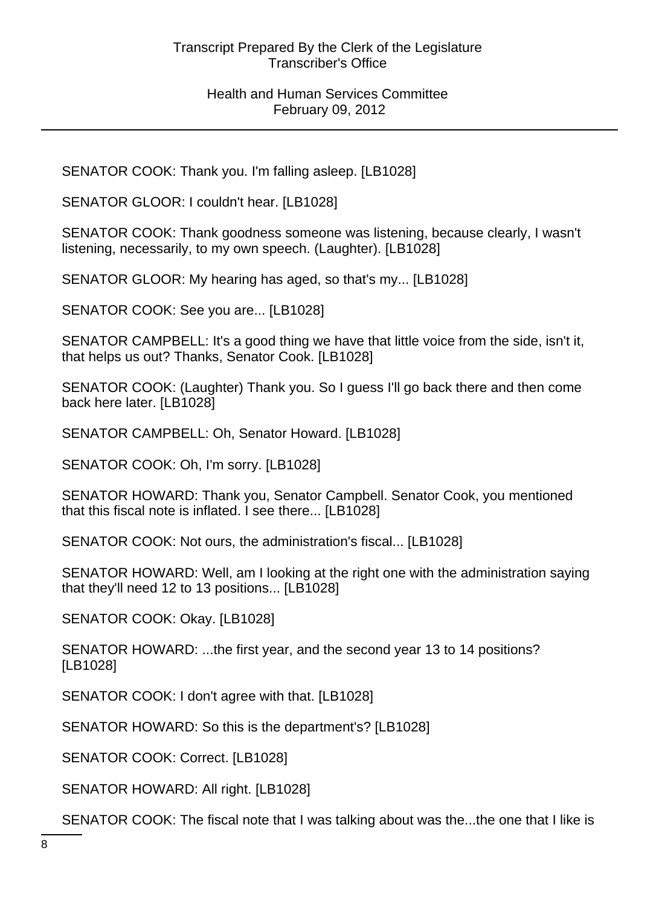SENATOR COOK: Thank you. I'm falling asleep. [LB1028]

SENATOR GLOOR: I couldn't hear. [LB1028]

SENATOR COOK: Thank goodness someone was listening, because clearly, I wasn't listening, necessarily, to my own speech. (Laughter). [LB1028]

SENATOR GLOOR: My hearing has aged, so that's my... [LB1028]

SENATOR COOK: See you are... [LB1028]

SENATOR CAMPBELL: It's a good thing we have that little voice from the side, isn't it, that helps us out? Thanks, Senator Cook. [LB1028]

SENATOR COOK: (Laughter) Thank you. So I guess I'll go back there and then come back here later. [LB1028]

SENATOR CAMPBELL: Oh, Senator Howard. [LB1028]

SENATOR COOK: Oh, I'm sorry. [LB1028]

SENATOR HOWARD: Thank you, Senator Campbell. Senator Cook, you mentioned that this fiscal note is inflated. I see there... [LB1028]

SENATOR COOK: Not ours, the administration's fiscal... [LB1028]

SENATOR HOWARD: Well, am I looking at the right one with the administration saying that they'll need 12 to 13 positions... [LB1028]

SENATOR COOK: Okay. [LB1028]

SENATOR HOWARD: ...the first year, and the second year 13 to 14 positions? [LB1028]

SENATOR COOK: I don't agree with that. [LB1028]

SENATOR HOWARD: So this is the department's? [LB1028]

SENATOR COOK: Correct. [LB1028]

SENATOR HOWARD: All right. [LB1028]

SENATOR COOK: The fiscal note that I was talking about was the...the one that I like is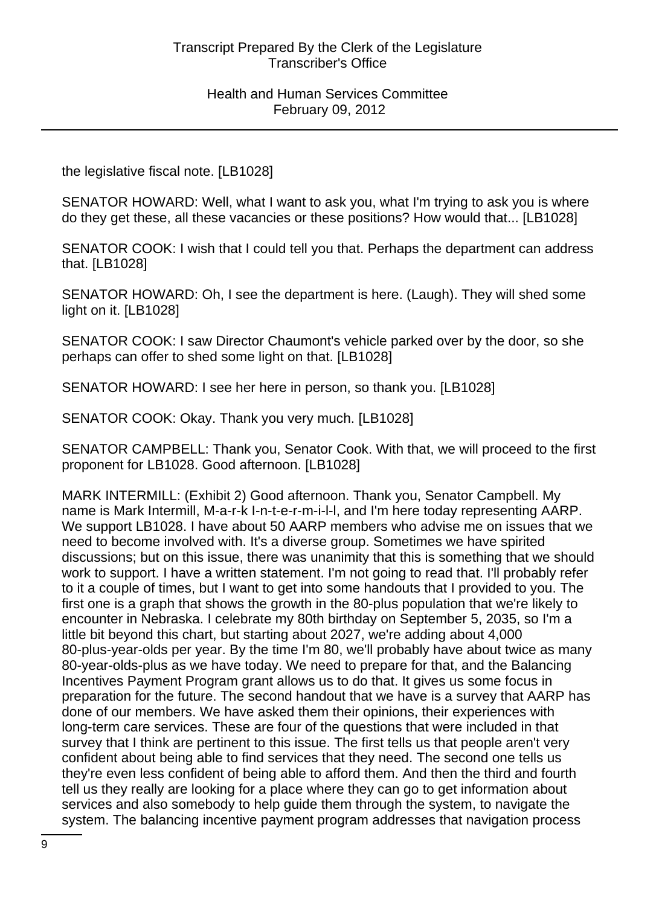the legislative fiscal note. [LB1028]

SENATOR HOWARD: Well, what I want to ask you, what I'm trying to ask you is where do they get these, all these vacancies or these positions? How would that... [LB1028]

SENATOR COOK: I wish that I could tell you that. Perhaps the department can address that. [LB1028]

SENATOR HOWARD: Oh, I see the department is here. (Laugh). They will shed some light on it. [LB1028]

SENATOR COOK: I saw Director Chaumont's vehicle parked over by the door, so she perhaps can offer to shed some light on that. [LB1028]

SENATOR HOWARD: I see her here in person, so thank you. [LB1028]

SENATOR COOK: Okay. Thank you very much. [LB1028]

SENATOR CAMPBELL: Thank you, Senator Cook. With that, we will proceed to the first proponent for LB1028. Good afternoon. [LB1028]

MARK INTERMILL: (Exhibit 2) Good afternoon. Thank you, Senator Campbell. My name is Mark Intermill, M-a-r-k I-n-t-e-r-m-i-l-l, and I'm here today representing AARP. We support LB1028. I have about 50 AARP members who advise me on issues that we need to become involved with. It's a diverse group. Sometimes we have spirited discussions; but on this issue, there was unanimity that this is something that we should work to support. I have a written statement. I'm not going to read that. I'll probably refer to it a couple of times, but I want to get into some handouts that I provided to you. The first one is a graph that shows the growth in the 80-plus population that we're likely to encounter in Nebraska. I celebrate my 80th birthday on September 5, 2035, so I'm a little bit beyond this chart, but starting about 2027, we're adding about 4,000 80-plus-year-olds per year. By the time I'm 80, we'll probably have about twice as many 80-year-olds-plus as we have today. We need to prepare for that, and the Balancing Incentives Payment Program grant allows us to do that. It gives us some focus in preparation for the future. The second handout that we have is a survey that AARP has done of our members. We have asked them their opinions, their experiences with long-term care services. These are four of the questions that were included in that survey that I think are pertinent to this issue. The first tells us that people aren't very confident about being able to find services that they need. The second one tells us they're even less confident of being able to afford them. And then the third and fourth tell us they really are looking for a place where they can go to get information about services and also somebody to help guide them through the system, to navigate the system. The balancing incentive payment program addresses that navigation process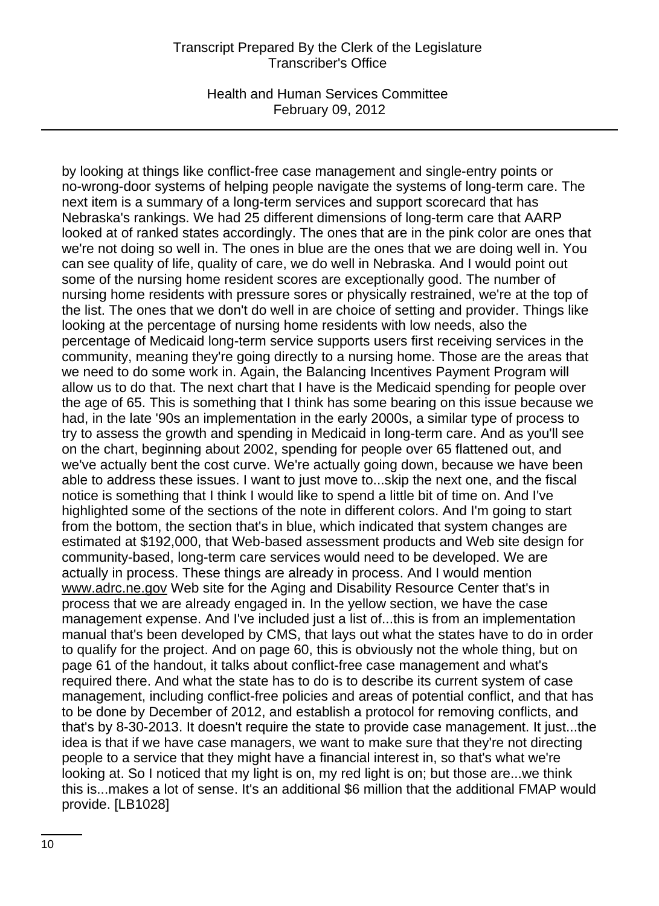#### Transcript Prepared By the Clerk of the Legislature Transcriber's Office

Health and Human Services Committee February 09, 2012

by looking at things like conflict-free case management and single-entry points or no-wrong-door systems of helping people navigate the systems of long-term care. The next item is a summary of a long-term services and support scorecard that has Nebraska's rankings. We had 25 different dimensions of long-term care that AARP looked at of ranked states accordingly. The ones that are in the pink color are ones that we're not doing so well in. The ones in blue are the ones that we are doing well in. You can see quality of life, quality of care, we do well in Nebraska. And I would point out some of the nursing home resident scores are exceptionally good. The number of nursing home residents with pressure sores or physically restrained, we're at the top of the list. The ones that we don't do well in are choice of setting and provider. Things like looking at the percentage of nursing home residents with low needs, also the percentage of Medicaid long-term service supports users first receiving services in the community, meaning they're going directly to a nursing home. Those are the areas that we need to do some work in. Again, the Balancing Incentives Payment Program will allow us to do that. The next chart that I have is the Medicaid spending for people over the age of 65. This is something that I think has some bearing on this issue because we had, in the late '90s an implementation in the early 2000s, a similar type of process to try to assess the growth and spending in Medicaid in long-term care. And as you'll see on the chart, beginning about 2002, spending for people over 65 flattened out, and we've actually bent the cost curve. We're actually going down, because we have been able to address these issues. I want to just move to...skip the next one, and the fiscal notice is something that I think I would like to spend a little bit of time on. And I've highlighted some of the sections of the note in different colors. And I'm going to start from the bottom, the section that's in blue, which indicated that system changes are estimated at \$192,000, that Web-based assessment products and Web site design for community-based, long-term care services would need to be developed. We are actually in process. These things are already in process. And I would mention www.adrc.ne.gov Web site for the Aging and Disability Resource Center that's in process that we are already engaged in. In the yellow section, we have the case management expense. And I've included just a list of...this is from an implementation manual that's been developed by CMS, that lays out what the states have to do in order to qualify for the project. And on page 60, this is obviously not the whole thing, but on page 61 of the handout, it talks about conflict-free case management and what's required there. And what the state has to do is to describe its current system of case management, including conflict-free policies and areas of potential conflict, and that has to be done by December of 2012, and establish a protocol for removing conflicts, and that's by 8-30-2013. It doesn't require the state to provide case management. It just...the idea is that if we have case managers, we want to make sure that they're not directing people to a service that they might have a financial interest in, so that's what we're looking at. So I noticed that my light is on, my red light is on; but those are...we think this is...makes a lot of sense. It's an additional \$6 million that the additional FMAP would provide. [LB1028]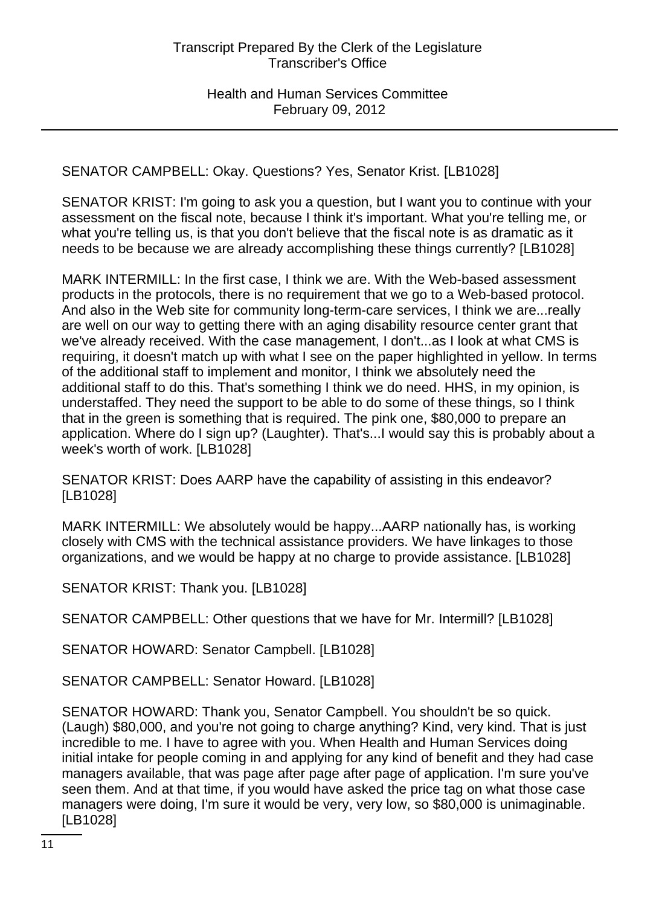SENATOR CAMPBELL: Okay. Questions? Yes, Senator Krist. [LB1028]

SENATOR KRIST: I'm going to ask you a question, but I want you to continue with your assessment on the fiscal note, because I think it's important. What you're telling me, or what you're telling us, is that you don't believe that the fiscal note is as dramatic as it needs to be because we are already accomplishing these things currently? [LB1028]

MARK INTERMILL: In the first case, I think we are. With the Web-based assessment products in the protocols, there is no requirement that we go to a Web-based protocol. And also in the Web site for community long-term-care services, I think we are...really are well on our way to getting there with an aging disability resource center grant that we've already received. With the case management, I don't...as I look at what CMS is requiring, it doesn't match up with what I see on the paper highlighted in yellow. In terms of the additional staff to implement and monitor, I think we absolutely need the additional staff to do this. That's something I think we do need. HHS, in my opinion, is understaffed. They need the support to be able to do some of these things, so I think that in the green is something that is required. The pink one, \$80,000 to prepare an application. Where do I sign up? (Laughter). That's...I would say this is probably about a week's worth of work. [LB1028]

SENATOR KRIST: Does AARP have the capability of assisting in this endeavor? [LB1028]

MARK INTERMILL: We absolutely would be happy...AARP nationally has, is working closely with CMS with the technical assistance providers. We have linkages to those organizations, and we would be happy at no charge to provide assistance. [LB1028]

SENATOR KRIST: Thank you. [LB1028]

SENATOR CAMPBELL: Other questions that we have for Mr. Intermill? [LB1028]

SENATOR HOWARD: Senator Campbell. [LB1028]

SENATOR CAMPBELL: Senator Howard. [LB1028]

SENATOR HOWARD: Thank you, Senator Campbell. You shouldn't be so quick. (Laugh) \$80,000, and you're not going to charge anything? Kind, very kind. That is just incredible to me. I have to agree with you. When Health and Human Services doing initial intake for people coming in and applying for any kind of benefit and they had case managers available, that was page after page after page of application. I'm sure you've seen them. And at that time, if you would have asked the price tag on what those case managers were doing, I'm sure it would be very, very low, so \$80,000 is unimaginable. [LB1028]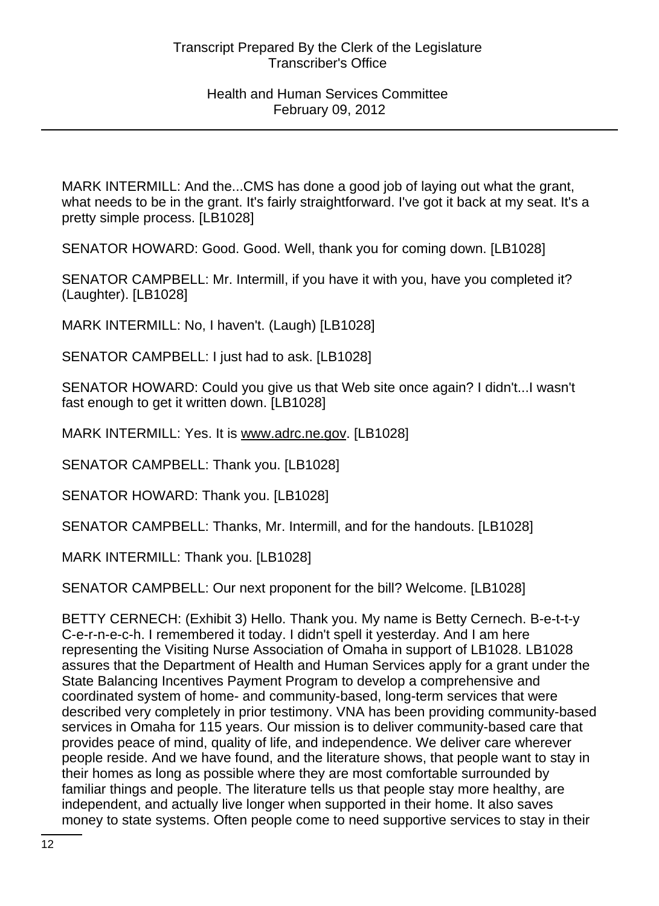MARK INTERMILL: And the...CMS has done a good job of laying out what the grant, what needs to be in the grant. It's fairly straightforward. I've got it back at my seat. It's a pretty simple process. [LB1028]

SENATOR HOWARD: Good. Good. Well, thank you for coming down. [LB1028]

SENATOR CAMPBELL: Mr. Intermill, if you have it with you, have you completed it? (Laughter). [LB1028]

MARK INTERMILL: No, I haven't. (Laugh) [LB1028]

SENATOR CAMPBELL: I just had to ask. [LB1028]

SENATOR HOWARD: Could you give us that Web site once again? I didn't...I wasn't fast enough to get it written down. [LB1028]

MARK INTERMILL: Yes. It is www.adrc.ne.gov. [LB1028]

SENATOR CAMPBELL: Thank you. [LB1028]

SENATOR HOWARD: Thank you. [LB1028]

SENATOR CAMPBELL: Thanks, Mr. Intermill, and for the handouts. [LB1028]

MARK INTERMILL: Thank you. [LB1028]

SENATOR CAMPBELL: Our next proponent for the bill? Welcome. [LB1028]

BETTY CERNECH: (Exhibit 3) Hello. Thank you. My name is Betty Cernech. B-e-t-t-y C-e-r-n-e-c-h. I remembered it today. I didn't spell it yesterday. And I am here representing the Visiting Nurse Association of Omaha in support of LB1028. LB1028 assures that the Department of Health and Human Services apply for a grant under the State Balancing Incentives Payment Program to develop a comprehensive and coordinated system of home- and community-based, long-term services that were described very completely in prior testimony. VNA has been providing community-based services in Omaha for 115 years. Our mission is to deliver community-based care that provides peace of mind, quality of life, and independence. We deliver care wherever people reside. And we have found, and the literature shows, that people want to stay in their homes as long as possible where they are most comfortable surrounded by familiar things and people. The literature tells us that people stay more healthy, are independent, and actually live longer when supported in their home. It also saves money to state systems. Often people come to need supportive services to stay in their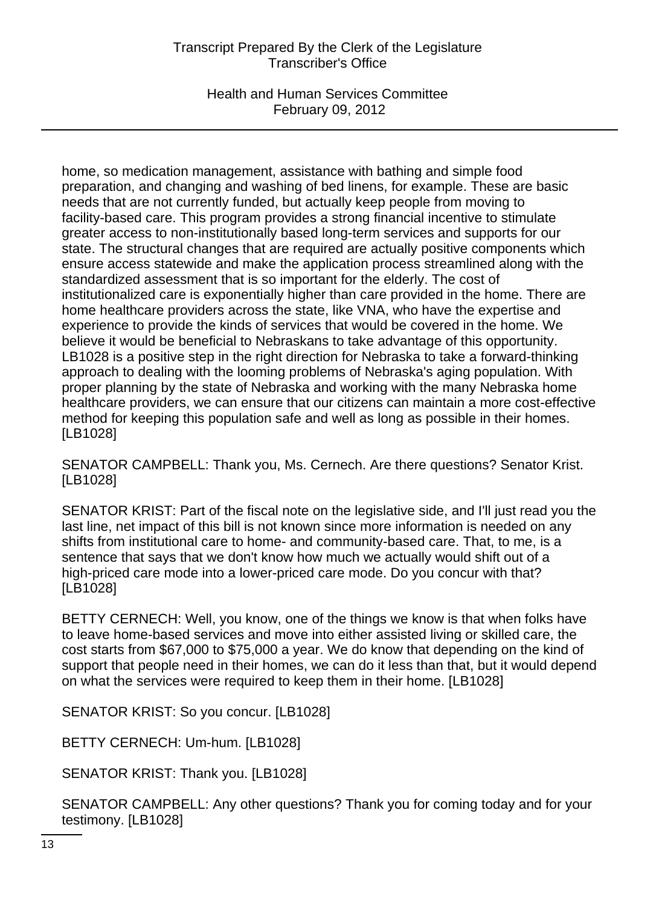# Transcript Prepared By the Clerk of the Legislature Transcriber's Office

Health and Human Services Committee February 09, 2012

home, so medication management, assistance with bathing and simple food preparation, and changing and washing of bed linens, for example. These are basic needs that are not currently funded, but actually keep people from moving to facility-based care. This program provides a strong financial incentive to stimulate greater access to non-institutionally based long-term services and supports for our state. The structural changes that are required are actually positive components which ensure access statewide and make the application process streamlined along with the standardized assessment that is so important for the elderly. The cost of institutionalized care is exponentially higher than care provided in the home. There are home healthcare providers across the state, like VNA, who have the expertise and experience to provide the kinds of services that would be covered in the home. We believe it would be beneficial to Nebraskans to take advantage of this opportunity. LB1028 is a positive step in the right direction for Nebraska to take a forward-thinking approach to dealing with the looming problems of Nebraska's aging population. With proper planning by the state of Nebraska and working with the many Nebraska home healthcare providers, we can ensure that our citizens can maintain a more cost-effective method for keeping this population safe and well as long as possible in their homes. [LB1028]

SENATOR CAMPBELL: Thank you, Ms. Cernech. Are there questions? Senator Krist. [LB1028]

SENATOR KRIST: Part of the fiscal note on the legislative side, and I'll just read you the last line, net impact of this bill is not known since more information is needed on any shifts from institutional care to home- and community-based care. That, to me, is a sentence that says that we don't know how much we actually would shift out of a high-priced care mode into a lower-priced care mode. Do you concur with that? [LB1028]

BETTY CERNECH: Well, you know, one of the things we know is that when folks have to leave home-based services and move into either assisted living or skilled care, the cost starts from \$67,000 to \$75,000 a year. We do know that depending on the kind of support that people need in their homes, we can do it less than that, but it would depend on what the services were required to keep them in their home. [LB1028]

SENATOR KRIST: So you concur. [LB1028]

BETTY CERNECH: Um-hum. [LB1028]

SENATOR KRIST: Thank you. [LB1028]

SENATOR CAMPBELL: Any other questions? Thank you for coming today and for your testimony. [LB1028]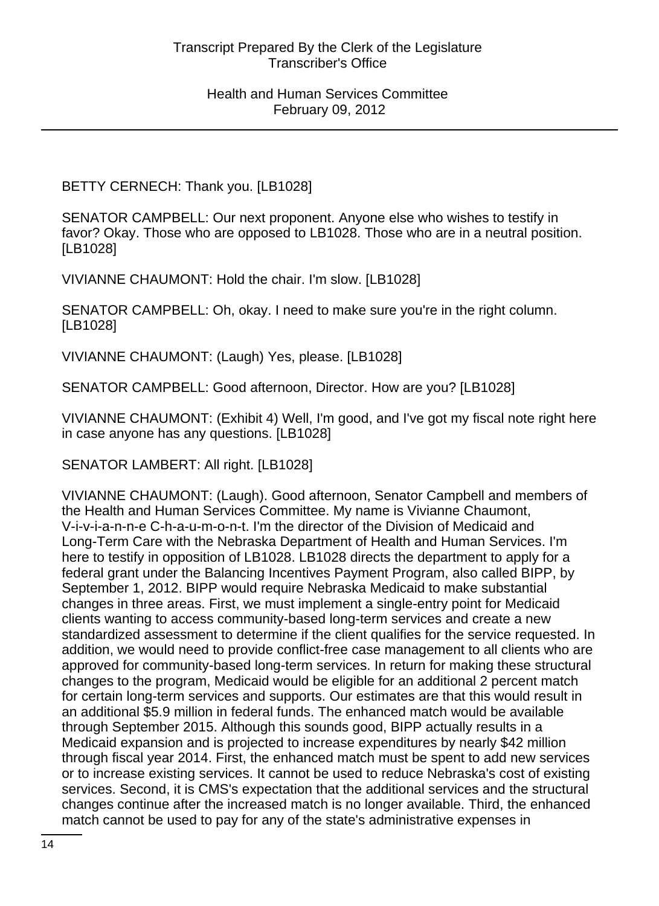BETTY CERNECH: Thank you. [LB1028]

SENATOR CAMPBELL: Our next proponent. Anyone else who wishes to testify in favor? Okay. Those who are opposed to LB1028. Those who are in a neutral position. [LB1028]

VIVIANNE CHAUMONT: Hold the chair. I'm slow. [LB1028]

SENATOR CAMPBELL: Oh, okay. I need to make sure you're in the right column. [LB1028]

VIVIANNE CHAUMONT: (Laugh) Yes, please. [LB1028]

SENATOR CAMPBELL: Good afternoon, Director. How are you? [LB1028]

VIVIANNE CHAUMONT: (Exhibit 4) Well, I'm good, and I've got my fiscal note right here in case anyone has any questions. [LB1028]

SENATOR LAMBERT: All right. [LB1028]

VIVIANNE CHAUMONT: (Laugh). Good afternoon, Senator Campbell and members of the Health and Human Services Committee. My name is Vivianne Chaumont, V-i-v-i-a-n-n-e C-h-a-u-m-o-n-t. I'm the director of the Division of Medicaid and Long-Term Care with the Nebraska Department of Health and Human Services. I'm here to testify in opposition of LB1028. LB1028 directs the department to apply for a federal grant under the Balancing Incentives Payment Program, also called BIPP, by September 1, 2012. BIPP would require Nebraska Medicaid to make substantial changes in three areas. First, we must implement a single-entry point for Medicaid clients wanting to access community-based long-term services and create a new standardized assessment to determine if the client qualifies for the service requested. In addition, we would need to provide conflict-free case management to all clients who are approved for community-based long-term services. In return for making these structural changes to the program, Medicaid would be eligible for an additional 2 percent match for certain long-term services and supports. Our estimates are that this would result in an additional \$5.9 million in federal funds. The enhanced match would be available through September 2015. Although this sounds good, BIPP actually results in a Medicaid expansion and is projected to increase expenditures by nearly \$42 million through fiscal year 2014. First, the enhanced match must be spent to add new services or to increase existing services. It cannot be used to reduce Nebraska's cost of existing services. Second, it is CMS's expectation that the additional services and the structural changes continue after the increased match is no longer available. Third, the enhanced match cannot be used to pay for any of the state's administrative expenses in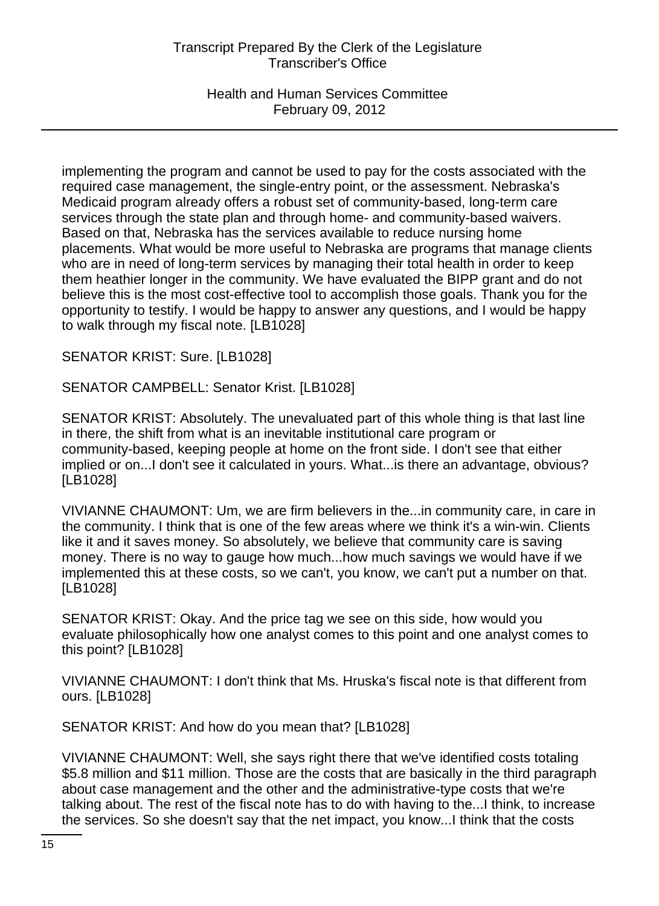# Transcript Prepared By the Clerk of the Legislature Transcriber's Office

Health and Human Services Committee February 09, 2012

implementing the program and cannot be used to pay for the costs associated with the required case management, the single-entry point, or the assessment. Nebraska's Medicaid program already offers a robust set of community-based, long-term care services through the state plan and through home- and community-based waivers. Based on that, Nebraska has the services available to reduce nursing home placements. What would be more useful to Nebraska are programs that manage clients who are in need of long-term services by managing their total health in order to keep them heathier longer in the community. We have evaluated the BIPP grant and do not believe this is the most cost-effective tool to accomplish those goals. Thank you for the opportunity to testify. I would be happy to answer any questions, and I would be happy to walk through my fiscal note. [LB1028]

SENATOR KRIST: Sure. [LB1028]

SENATOR CAMPBELL: Senator Krist. [LB1028]

SENATOR KRIST: Absolutely. The unevaluated part of this whole thing is that last line in there, the shift from what is an inevitable institutional care program or community-based, keeping people at home on the front side. I don't see that either implied or on...I don't see it calculated in yours. What...is there an advantage, obvious? [LB1028]

VIVIANNE CHAUMONT: Um, we are firm believers in the...in community care, in care in the community. I think that is one of the few areas where we think it's a win-win. Clients like it and it saves money. So absolutely, we believe that community care is saving money. There is no way to gauge how much...how much savings we would have if we implemented this at these costs, so we can't, you know, we can't put a number on that. [LB1028]

SENATOR KRIST: Okay. And the price tag we see on this side, how would you evaluate philosophically how one analyst comes to this point and one analyst comes to this point? [LB1028]

VIVIANNE CHAUMONT: I don't think that Ms. Hruska's fiscal note is that different from ours. [LB1028]

SENATOR KRIST: And how do you mean that? [LB1028]

VIVIANNE CHAUMONT: Well, she says right there that we've identified costs totaling \$5.8 million and \$11 million. Those are the costs that are basically in the third paragraph about case management and the other and the administrative-type costs that we're talking about. The rest of the fiscal note has to do with having to the...I think, to increase the services. So she doesn't say that the net impact, you know...I think that the costs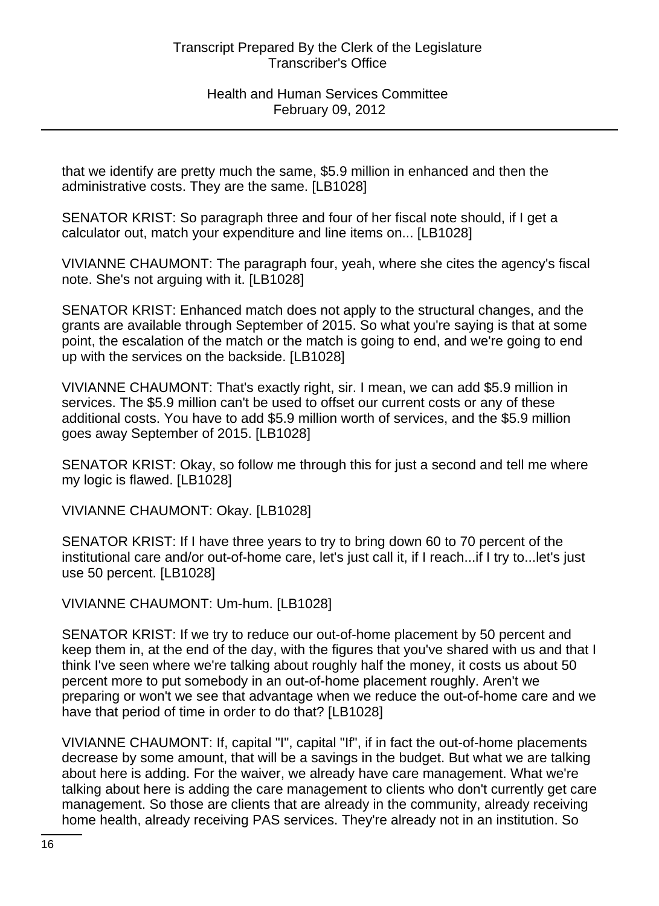that we identify are pretty much the same, \$5.9 million in enhanced and then the administrative costs. They are the same. [LB1028]

SENATOR KRIST: So paragraph three and four of her fiscal note should, if I get a calculator out, match your expenditure and line items on... [LB1028]

VIVIANNE CHAUMONT: The paragraph four, yeah, where she cites the agency's fiscal note. She's not arguing with it. [LB1028]

SENATOR KRIST: Enhanced match does not apply to the structural changes, and the grants are available through September of 2015. So what you're saying is that at some point, the escalation of the match or the match is going to end, and we're going to end up with the services on the backside. [LB1028]

VIVIANNE CHAUMONT: That's exactly right, sir. I mean, we can add \$5.9 million in services. The \$5.9 million can't be used to offset our current costs or any of these additional costs. You have to add \$5.9 million worth of services, and the \$5.9 million goes away September of 2015. [LB1028]

SENATOR KRIST: Okay, so follow me through this for just a second and tell me where my logic is flawed. [LB1028]

VIVIANNE CHAUMONT: Okay. [LB1028]

SENATOR KRIST: If I have three years to try to bring down 60 to 70 percent of the institutional care and/or out-of-home care, let's just call it, if I reach...if I try to...let's just use 50 percent. [LB1028]

VIVIANNE CHAUMONT: Um-hum. [LB1028]

SENATOR KRIST: If we try to reduce our out-of-home placement by 50 percent and keep them in, at the end of the day, with the figures that you've shared with us and that I think I've seen where we're talking about roughly half the money, it costs us about 50 percent more to put somebody in an out-of-home placement roughly. Aren't we preparing or won't we see that advantage when we reduce the out-of-home care and we have that period of time in order to do that? [LB1028]

VIVIANNE CHAUMONT: If, capital "I", capital "If", if in fact the out-of-home placements decrease by some amount, that will be a savings in the budget. But what we are talking about here is adding. For the waiver, we already have care management. What we're talking about here is adding the care management to clients who don't currently get care management. So those are clients that are already in the community, already receiving home health, already receiving PAS services. They're already not in an institution. So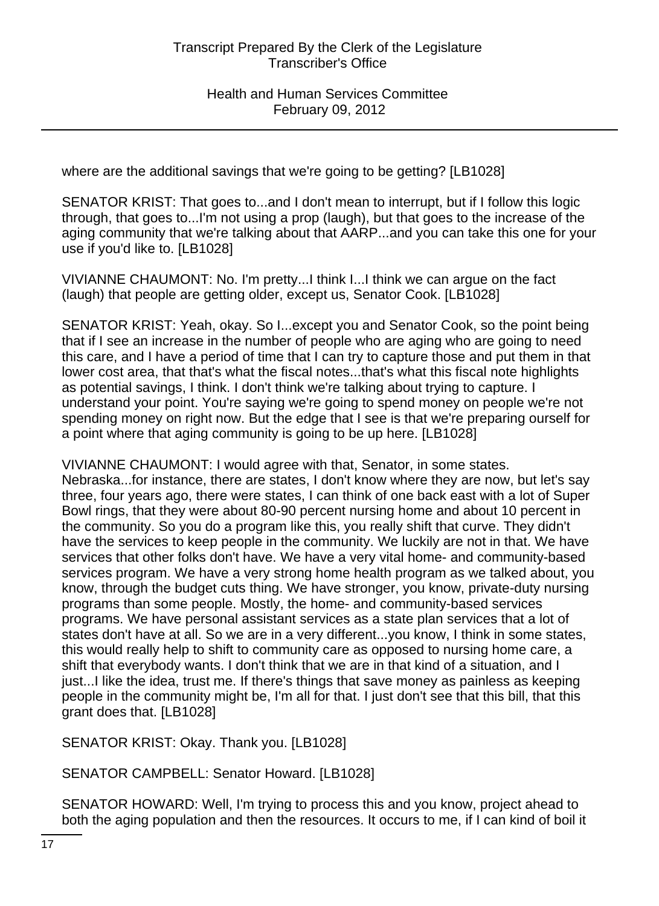where are the additional savings that we're going to be getting? [LB1028]

SENATOR KRIST: That goes to...and I don't mean to interrupt, but if I follow this logic through, that goes to...I'm not using a prop (laugh), but that goes to the increase of the aging community that we're talking about that AARP...and you can take this one for your use if you'd like to. [LB1028]

VIVIANNE CHAUMONT: No. I'm pretty...I think I...I think we can argue on the fact (laugh) that people are getting older, except us, Senator Cook. [LB1028]

SENATOR KRIST: Yeah, okay. So I...except you and Senator Cook, so the point being that if I see an increase in the number of people who are aging who are going to need this care, and I have a period of time that I can try to capture those and put them in that lower cost area, that that's what the fiscal notes...that's what this fiscal note highlights as potential savings, I think. I don't think we're talking about trying to capture. I understand your point. You're saying we're going to spend money on people we're not spending money on right now. But the edge that I see is that we're preparing ourself for a point where that aging community is going to be up here. [LB1028]

VIVIANNE CHAUMONT: I would agree with that, Senator, in some states. Nebraska...for instance, there are states, I don't know where they are now, but let's say three, four years ago, there were states, I can think of one back east with a lot of Super Bowl rings, that they were about 80-90 percent nursing home and about 10 percent in the community. So you do a program like this, you really shift that curve. They didn't have the services to keep people in the community. We luckily are not in that. We have services that other folks don't have. We have a very vital home- and community-based services program. We have a very strong home health program as we talked about, you know, through the budget cuts thing. We have stronger, you know, private-duty nursing programs than some people. Mostly, the home- and community-based services programs. We have personal assistant services as a state plan services that a lot of states don't have at all. So we are in a very different...you know, I think in some states, this would really help to shift to community care as opposed to nursing home care, a shift that everybody wants. I don't think that we are in that kind of a situation, and I just...I like the idea, trust me. If there's things that save money as painless as keeping people in the community might be, I'm all for that. I just don't see that this bill, that this grant does that. [LB1028]

SENATOR KRIST: Okay. Thank you. [LB1028]

SENATOR CAMPBELL: Senator Howard. [LB1028]

SENATOR HOWARD: Well, I'm trying to process this and you know, project ahead to both the aging population and then the resources. It occurs to me, if I can kind of boil it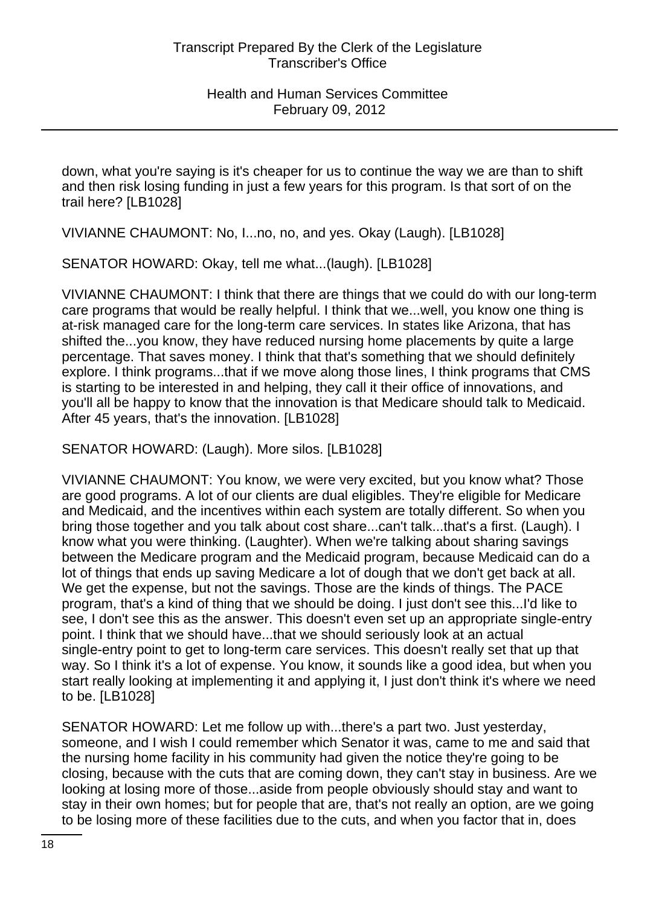down, what you're saying is it's cheaper for us to continue the way we are than to shift and then risk losing funding in just a few years for this program. Is that sort of on the trail here? [LB1028]

VIVIANNE CHAUMONT: No, I...no, no, and yes. Okay (Laugh). [LB1028]

SENATOR HOWARD: Okay, tell me what...(laugh). [LB1028]

VIVIANNE CHAUMONT: I think that there are things that we could do with our long-term care programs that would be really helpful. I think that we...well, you know one thing is at-risk managed care for the long-term care services. In states like Arizona, that has shifted the...you know, they have reduced nursing home placements by quite a large percentage. That saves money. I think that that's something that we should definitely explore. I think programs...that if we move along those lines, I think programs that CMS is starting to be interested in and helping, they call it their office of innovations, and you'll all be happy to know that the innovation is that Medicare should talk to Medicaid. After 45 years, that's the innovation. [LB1028]

SENATOR HOWARD: (Laugh). More silos. [LB1028]

VIVIANNE CHAUMONT: You know, we were very excited, but you know what? Those are good programs. A lot of our clients are dual eligibles. They're eligible for Medicare and Medicaid, and the incentives within each system are totally different. So when you bring those together and you talk about cost share...can't talk...that's a first. (Laugh). I know what you were thinking. (Laughter). When we're talking about sharing savings between the Medicare program and the Medicaid program, because Medicaid can do a lot of things that ends up saving Medicare a lot of dough that we don't get back at all. We get the expense, but not the savings. Those are the kinds of things. The PACE program, that's a kind of thing that we should be doing. I just don't see this...I'd like to see, I don't see this as the answer. This doesn't even set up an appropriate single-entry point. I think that we should have...that we should seriously look at an actual single-entry point to get to long-term care services. This doesn't really set that up that way. So I think it's a lot of expense. You know, it sounds like a good idea, but when you start really looking at implementing it and applying it, I just don't think it's where we need to be. [LB1028]

SENATOR HOWARD: Let me follow up with...there's a part two. Just yesterday, someone, and I wish I could remember which Senator it was, came to me and said that the nursing home facility in his community had given the notice they're going to be closing, because with the cuts that are coming down, they can't stay in business. Are we looking at losing more of those...aside from people obviously should stay and want to stay in their own homes; but for people that are, that's not really an option, are we going to be losing more of these facilities due to the cuts, and when you factor that in, does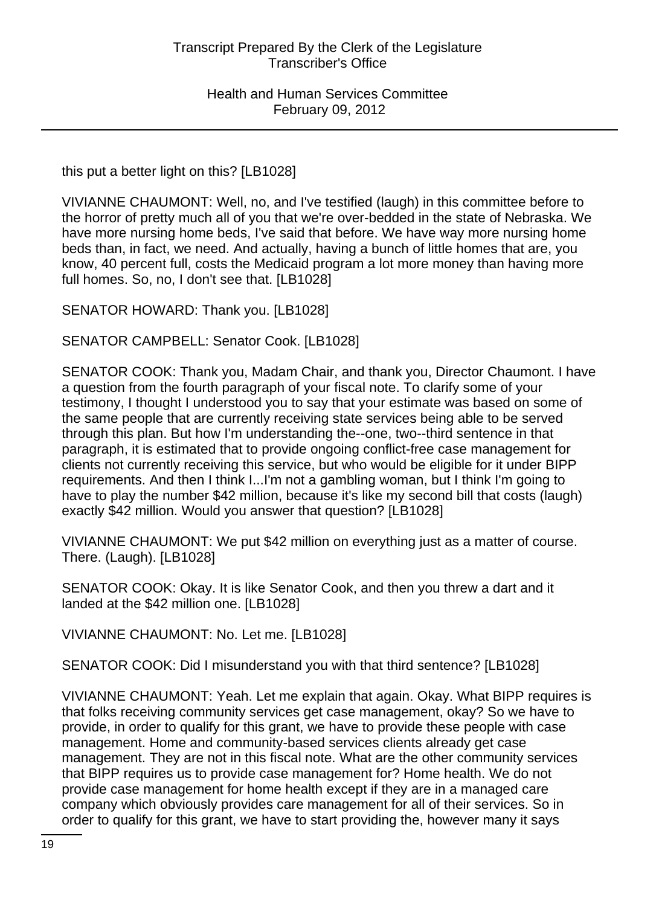this put a better light on this? [LB1028]

VIVIANNE CHAUMONT: Well, no, and I've testified (laugh) in this committee before to the horror of pretty much all of you that we're over-bedded in the state of Nebraska. We have more nursing home beds, I've said that before. We have way more nursing home beds than, in fact, we need. And actually, having a bunch of little homes that are, you know, 40 percent full, costs the Medicaid program a lot more money than having more full homes. So, no, I don't see that. [LB1028]

SENATOR HOWARD: Thank you. [LB1028]

SENATOR CAMPBELL: Senator Cook. [LB1028]

SENATOR COOK: Thank you, Madam Chair, and thank you, Director Chaumont. I have a question from the fourth paragraph of your fiscal note. To clarify some of your testimony, I thought I understood you to say that your estimate was based on some of the same people that are currently receiving state services being able to be served through this plan. But how I'm understanding the--one, two--third sentence in that paragraph, it is estimated that to provide ongoing conflict-free case management for clients not currently receiving this service, but who would be eligible for it under BIPP requirements. And then I think I...I'm not a gambling woman, but I think I'm going to have to play the number \$42 million, because it's like my second bill that costs (laugh) exactly \$42 million. Would you answer that question? [LB1028]

VIVIANNE CHAUMONT: We put \$42 million on everything just as a matter of course. There. (Laugh). [LB1028]

SENATOR COOK: Okay. It is like Senator Cook, and then you threw a dart and it landed at the \$42 million one. [LB1028]

VIVIANNE CHAUMONT: No. Let me. [LB1028]

SENATOR COOK: Did I misunderstand you with that third sentence? [LB1028]

VIVIANNE CHAUMONT: Yeah. Let me explain that again. Okay. What BIPP requires is that folks receiving community services get case management, okay? So we have to provide, in order to qualify for this grant, we have to provide these people with case management. Home and community-based services clients already get case management. They are not in this fiscal note. What are the other community services that BIPP requires us to provide case management for? Home health. We do not provide case management for home health except if they are in a managed care company which obviously provides care management for all of their services. So in order to qualify for this grant, we have to start providing the, however many it says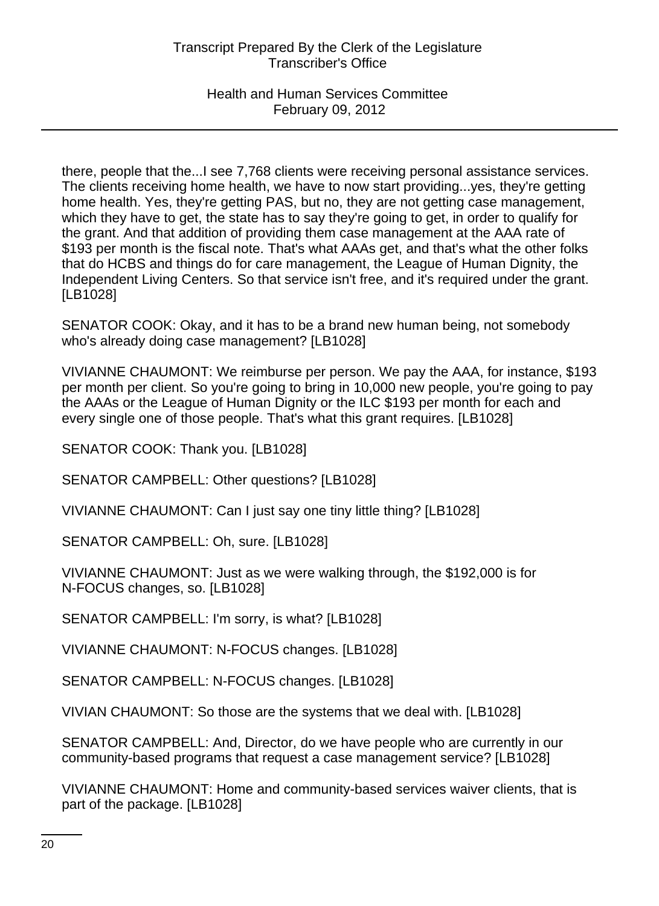there, people that the...I see 7,768 clients were receiving personal assistance services. The clients receiving home health, we have to now start providing...yes, they're getting home health. Yes, they're getting PAS, but no, they are not getting case management, which they have to get, the state has to say they're going to get, in order to qualify for the grant. And that addition of providing them case management at the AAA rate of \$193 per month is the fiscal note. That's what AAAs get, and that's what the other folks that do HCBS and things do for care management, the League of Human Dignity, the Independent Living Centers. So that service isn't free, and it's required under the grant. [LB1028]

SENATOR COOK: Okay, and it has to be a brand new human being, not somebody who's already doing case management? [LB1028]

VIVIANNE CHAUMONT: We reimburse per person. We pay the AAA, for instance, \$193 per month per client. So you're going to bring in 10,000 new people, you're going to pay the AAAs or the League of Human Dignity or the ILC \$193 per month for each and every single one of those people. That's what this grant requires. [LB1028]

SENATOR COOK: Thank you. [LB1028]

SENATOR CAMPBELL: Other questions? [LB1028]

VIVIANNE CHAUMONT: Can I just say one tiny little thing? [LB1028]

SENATOR CAMPBELL: Oh, sure. [LB1028]

VIVIANNE CHAUMONT: Just as we were walking through, the \$192,000 is for N-FOCUS changes, so. [LB1028]

SENATOR CAMPBELL: I'm sorry, is what? [LB1028]

VIVIANNE CHAUMONT: N-FOCUS changes. [LB1028]

SENATOR CAMPBELL: N-FOCUS changes. [LB1028]

VIVIAN CHAUMONT: So those are the systems that we deal with. [LB1028]

SENATOR CAMPBELL: And, Director, do we have people who are currently in our community-based programs that request a case management service? [LB1028]

VIVIANNE CHAUMONT: Home and community-based services waiver clients, that is part of the package. [LB1028]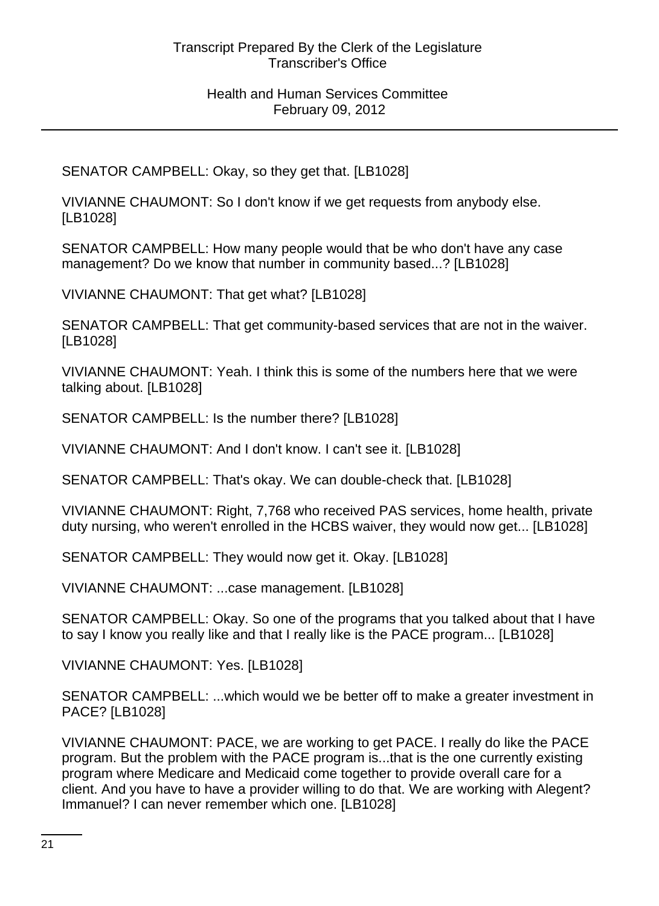SENATOR CAMPBELL: Okay, so they get that. [LB1028]

VIVIANNE CHAUMONT: So I don't know if we get requests from anybody else. [LB1028]

SENATOR CAMPBELL: How many people would that be who don't have any case management? Do we know that number in community based...? [LB1028]

VIVIANNE CHAUMONT: That get what? [LB1028]

SENATOR CAMPBELL: That get community-based services that are not in the waiver. [LB1028]

VIVIANNE CHAUMONT: Yeah. I think this is some of the numbers here that we were talking about. [LB1028]

SENATOR CAMPBELL: Is the number there? [LB1028]

VIVIANNE CHAUMONT: And I don't know. I can't see it. [LB1028]

SENATOR CAMPBELL: That's okay. We can double-check that. [LB1028]

VIVIANNE CHAUMONT: Right, 7,768 who received PAS services, home health, private duty nursing, who weren't enrolled in the HCBS waiver, they would now get... [LB1028]

SENATOR CAMPBELL: They would now get it. Okay. [LB1028]

VIVIANNE CHAUMONT: ...case management. [LB1028]

SENATOR CAMPBELL: Okay. So one of the programs that you talked about that I have to say I know you really like and that I really like is the PACE program... [LB1028]

VIVIANNE CHAUMONT: Yes. [LB1028]

SENATOR CAMPBELL: ...which would we be better off to make a greater investment in PACE? [LB1028]

VIVIANNE CHAUMONT: PACE, we are working to get PACE. I really do like the PACE program. But the problem with the PACE program is...that is the one currently existing program where Medicare and Medicaid come together to provide overall care for a client. And you have to have a provider willing to do that. We are working with Alegent? Immanuel? I can never remember which one. [LB1028]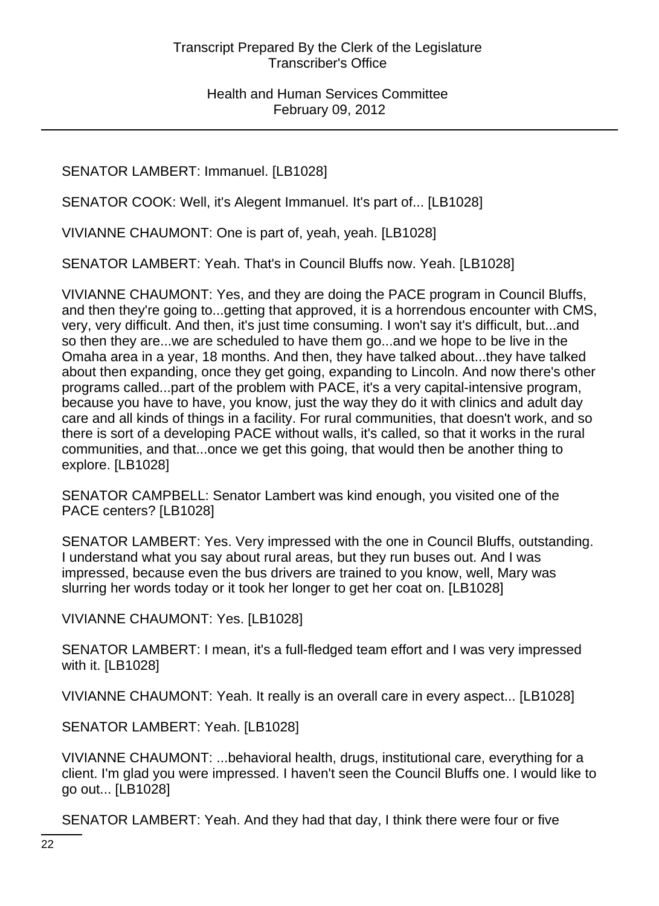SENATOR LAMBERT: Immanuel. [LB1028]

SENATOR COOK: Well, it's Alegent Immanuel. It's part of... [LB1028]

VIVIANNE CHAUMONT: One is part of, yeah, yeah. [LB1028]

SENATOR LAMBERT: Yeah. That's in Council Bluffs now. Yeah. [LB1028]

VIVIANNE CHAUMONT: Yes, and they are doing the PACE program in Council Bluffs, and then they're going to...getting that approved, it is a horrendous encounter with CMS, very, very difficult. And then, it's just time consuming. I won't say it's difficult, but...and so then they are...we are scheduled to have them go...and we hope to be live in the Omaha area in a year, 18 months. And then, they have talked about...they have talked about then expanding, once they get going, expanding to Lincoln. And now there's other programs called...part of the problem with PACE, it's a very capital-intensive program, because you have to have, you know, just the way they do it with clinics and adult day care and all kinds of things in a facility. For rural communities, that doesn't work, and so there is sort of a developing PACE without walls, it's called, so that it works in the rural communities, and that...once we get this going, that would then be another thing to explore. [LB1028]

SENATOR CAMPBELL: Senator Lambert was kind enough, you visited one of the PACE centers? [LB1028]

SENATOR LAMBERT: Yes. Very impressed with the one in Council Bluffs, outstanding. I understand what you say about rural areas, but they run buses out. And I was impressed, because even the bus drivers are trained to you know, well, Mary was slurring her words today or it took her longer to get her coat on. [LB1028]

VIVIANNE CHAUMONT: Yes. [LB1028]

SENATOR LAMBERT: I mean, it's a full-fledged team effort and I was very impressed with it. [LB1028]

VIVIANNE CHAUMONT: Yeah. It really is an overall care in every aspect... [LB1028]

SENATOR LAMBERT: Yeah. [LB1028]

VIVIANNE CHAUMONT: ...behavioral health, drugs, institutional care, everything for a client. I'm glad you were impressed. I haven't seen the Council Bluffs one. I would like to go out... [LB1028]

SENATOR LAMBERT: Yeah. And they had that day, I think there were four or five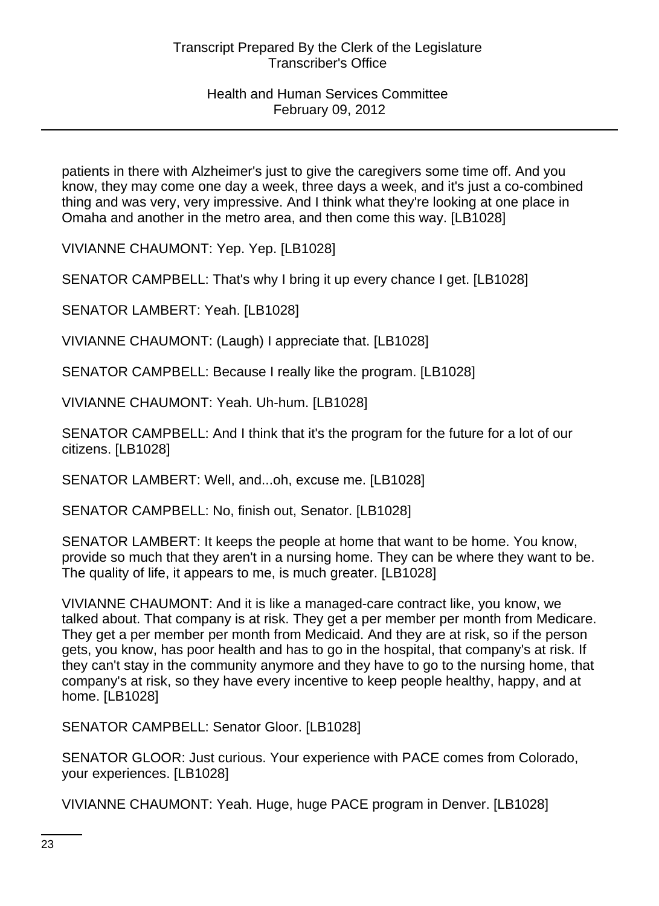patients in there with Alzheimer's just to give the caregivers some time off. And you know, they may come one day a week, three days a week, and it's just a co-combined thing and was very, very impressive. And I think what they're looking at one place in Omaha and another in the metro area, and then come this way. [LB1028]

VIVIANNE CHAUMONT: Yep. Yep. [LB1028]

SENATOR CAMPBELL: That's why I bring it up every chance I get. [LB1028]

SENATOR LAMBERT: Yeah. [LB1028]

VIVIANNE CHAUMONT: (Laugh) I appreciate that. [LB1028]

SENATOR CAMPBELL: Because I really like the program. [LB1028]

VIVIANNE CHAUMONT: Yeah. Uh-hum. [LB1028]

SENATOR CAMPBELL: And I think that it's the program for the future for a lot of our citizens. [LB1028]

SENATOR LAMBERT: Well, and...oh, excuse me. [LB1028]

SENATOR CAMPBELL: No, finish out, Senator. [LB1028]

SENATOR LAMBERT: It keeps the people at home that want to be home. You know, provide so much that they aren't in a nursing home. They can be where they want to be. The quality of life, it appears to me, is much greater. [LB1028]

VIVIANNE CHAUMONT: And it is like a managed-care contract like, you know, we talked about. That company is at risk. They get a per member per month from Medicare. They get a per member per month from Medicaid. And they are at risk, so if the person gets, you know, has poor health and has to go in the hospital, that company's at risk. If they can't stay in the community anymore and they have to go to the nursing home, that company's at risk, so they have every incentive to keep people healthy, happy, and at home. [LB1028]

SENATOR CAMPBELL: Senator Gloor. [LB1028]

SENATOR GLOOR: Just curious. Your experience with PACE comes from Colorado, your experiences. [LB1028]

VIVIANNE CHAUMONT: Yeah. Huge, huge PACE program in Denver. [LB1028]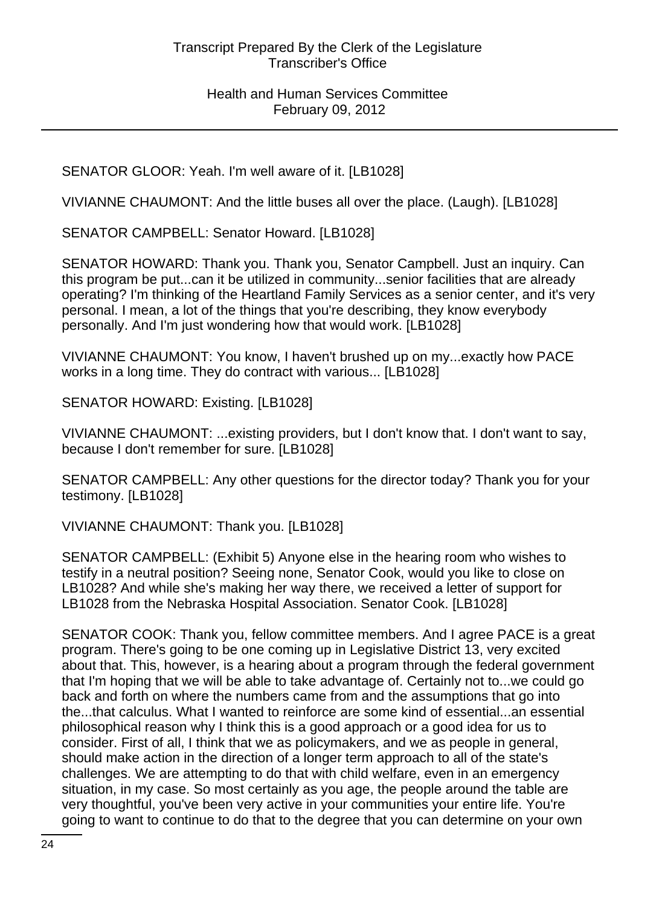SENATOR GLOOR: Yeah. I'm well aware of it. [LB1028]

VIVIANNE CHAUMONT: And the little buses all over the place. (Laugh). [LB1028]

SENATOR CAMPBELL: Senator Howard. [LB1028]

SENATOR HOWARD: Thank you. Thank you, Senator Campbell. Just an inquiry. Can this program be put...can it be utilized in community...senior facilities that are already operating? I'm thinking of the Heartland Family Services as a senior center, and it's very personal. I mean, a lot of the things that you're describing, they know everybody personally. And I'm just wondering how that would work. [LB1028]

VIVIANNE CHAUMONT: You know, I haven't brushed up on my...exactly how PACE works in a long time. They do contract with various... [LB1028]

SENATOR HOWARD: Existing. [LB1028]

VIVIANNE CHAUMONT: ...existing providers, but I don't know that. I don't want to say, because I don't remember for sure. [LB1028]

SENATOR CAMPBELL: Any other questions for the director today? Thank you for your testimony. [LB1028]

VIVIANNE CHAUMONT: Thank you. [LB1028]

SENATOR CAMPBELL: (Exhibit 5) Anyone else in the hearing room who wishes to testify in a neutral position? Seeing none, Senator Cook, would you like to close on LB1028? And while she's making her way there, we received a letter of support for LB1028 from the Nebraska Hospital Association. Senator Cook. [LB1028]

SENATOR COOK: Thank you, fellow committee members. And I agree PACE is a great program. There's going to be one coming up in Legislative District 13, very excited about that. This, however, is a hearing about a program through the federal government that I'm hoping that we will be able to take advantage of. Certainly not to...we could go back and forth on where the numbers came from and the assumptions that go into the...that calculus. What I wanted to reinforce are some kind of essential...an essential philosophical reason why I think this is a good approach or a good idea for us to consider. First of all, I think that we as policymakers, and we as people in general, should make action in the direction of a longer term approach to all of the state's challenges. We are attempting to do that with child welfare, even in an emergency situation, in my case. So most certainly as you age, the people around the table are very thoughtful, you've been very active in your communities your entire life. You're going to want to continue to do that to the degree that you can determine on your own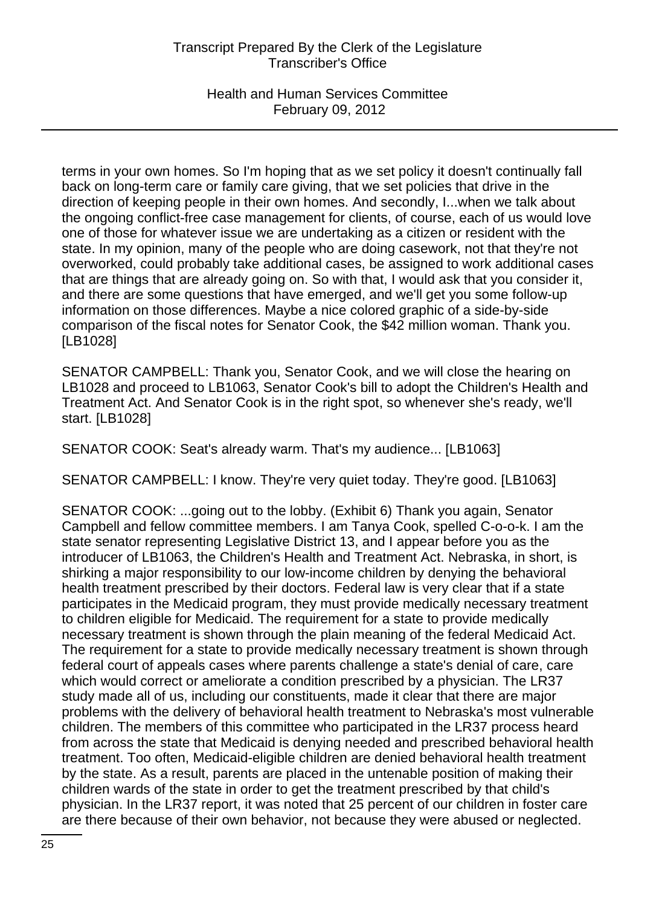# Transcript Prepared By the Clerk of the Legislature Transcriber's Office

Health and Human Services Committee February 09, 2012

terms in your own homes. So I'm hoping that as we set policy it doesn't continually fall back on long-term care or family care giving, that we set policies that drive in the direction of keeping people in their own homes. And secondly, I...when we talk about the ongoing conflict-free case management for clients, of course, each of us would love one of those for whatever issue we are undertaking as a citizen or resident with the state. In my opinion, many of the people who are doing casework, not that they're not overworked, could probably take additional cases, be assigned to work additional cases that are things that are already going on. So with that, I would ask that you consider it, and there are some questions that have emerged, and we'll get you some follow-up information on those differences. Maybe a nice colored graphic of a side-by-side comparison of the fiscal notes for Senator Cook, the \$42 million woman. Thank you. [LB1028]

SENATOR CAMPBELL: Thank you, Senator Cook, and we will close the hearing on LB1028 and proceed to LB1063, Senator Cook's bill to adopt the Children's Health and Treatment Act. And Senator Cook is in the right spot, so whenever she's ready, we'll start. [LB1028]

SENATOR COOK: Seat's already warm. That's my audience... [LB1063]

SENATOR CAMPBELL: I know. They're very quiet today. They're good. [LB1063]

SENATOR COOK: ...going out to the lobby. (Exhibit 6) Thank you again, Senator Campbell and fellow committee members. I am Tanya Cook, spelled C-o-o-k. I am the state senator representing Legislative District 13, and I appear before you as the introducer of LB1063, the Children's Health and Treatment Act. Nebraska, in short, is shirking a major responsibility to our low-income children by denying the behavioral health treatment prescribed by their doctors. Federal law is very clear that if a state participates in the Medicaid program, they must provide medically necessary treatment to children eligible for Medicaid. The requirement for a state to provide medically necessary treatment is shown through the plain meaning of the federal Medicaid Act. The requirement for a state to provide medically necessary treatment is shown through federal court of appeals cases where parents challenge a state's denial of care, care which would correct or ameliorate a condition prescribed by a physician. The LR37 study made all of us, including our constituents, made it clear that there are major problems with the delivery of behavioral health treatment to Nebraska's most vulnerable children. The members of this committee who participated in the LR37 process heard from across the state that Medicaid is denying needed and prescribed behavioral health treatment. Too often, Medicaid-eligible children are denied behavioral health treatment by the state. As a result, parents are placed in the untenable position of making their children wards of the state in order to get the treatment prescribed by that child's physician. In the LR37 report, it was noted that 25 percent of our children in foster care are there because of their own behavior, not because they were abused or neglected.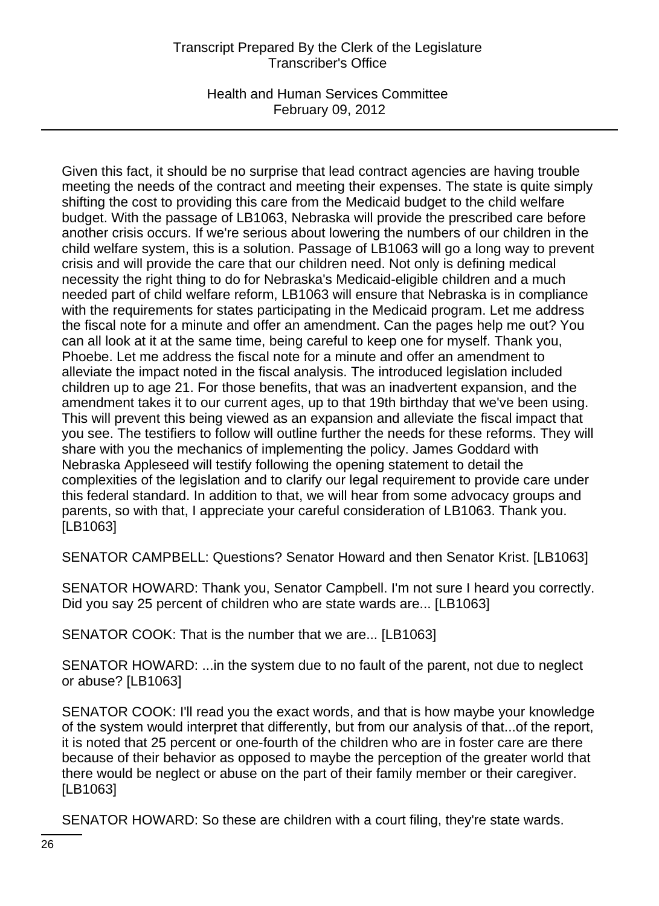# Transcript Prepared By the Clerk of the Legislature Transcriber's Office

Health and Human Services Committee February 09, 2012

Given this fact, it should be no surprise that lead contract agencies are having trouble meeting the needs of the contract and meeting their expenses. The state is quite simply shifting the cost to providing this care from the Medicaid budget to the child welfare budget. With the passage of LB1063, Nebraska will provide the prescribed care before another crisis occurs. If we're serious about lowering the numbers of our children in the child welfare system, this is a solution. Passage of LB1063 will go a long way to prevent crisis and will provide the care that our children need. Not only is defining medical necessity the right thing to do for Nebraska's Medicaid-eligible children and a much needed part of child welfare reform, LB1063 will ensure that Nebraska is in compliance with the requirements for states participating in the Medicaid program. Let me address the fiscal note for a minute and offer an amendment. Can the pages help me out? You can all look at it at the same time, being careful to keep one for myself. Thank you, Phoebe. Let me address the fiscal note for a minute and offer an amendment to alleviate the impact noted in the fiscal analysis. The introduced legislation included children up to age 21. For those benefits, that was an inadvertent expansion, and the amendment takes it to our current ages, up to that 19th birthday that we've been using. This will prevent this being viewed as an expansion and alleviate the fiscal impact that you see. The testifiers to follow will outline further the needs for these reforms. They will share with you the mechanics of implementing the policy. James Goddard with Nebraska Appleseed will testify following the opening statement to detail the complexities of the legislation and to clarify our legal requirement to provide care under this federal standard. In addition to that, we will hear from some advocacy groups and parents, so with that, I appreciate your careful consideration of LB1063. Thank you. [LB1063]

SENATOR CAMPBELL: Questions? Senator Howard and then Senator Krist. [LB1063]

SENATOR HOWARD: Thank you, Senator Campbell. I'm not sure I heard you correctly. Did you say 25 percent of children who are state wards are... [LB1063]

SENATOR COOK: That is the number that we are... [LB1063]

SENATOR HOWARD: ...in the system due to no fault of the parent, not due to neglect or abuse? [LB1063]

SENATOR COOK: I'll read you the exact words, and that is how maybe your knowledge of the system would interpret that differently, but from our analysis of that...of the report, it is noted that 25 percent or one-fourth of the children who are in foster care are there because of their behavior as opposed to maybe the perception of the greater world that there would be neglect or abuse on the part of their family member or their caregiver. [LB1063]

SENATOR HOWARD: So these are children with a court filing, they're state wards.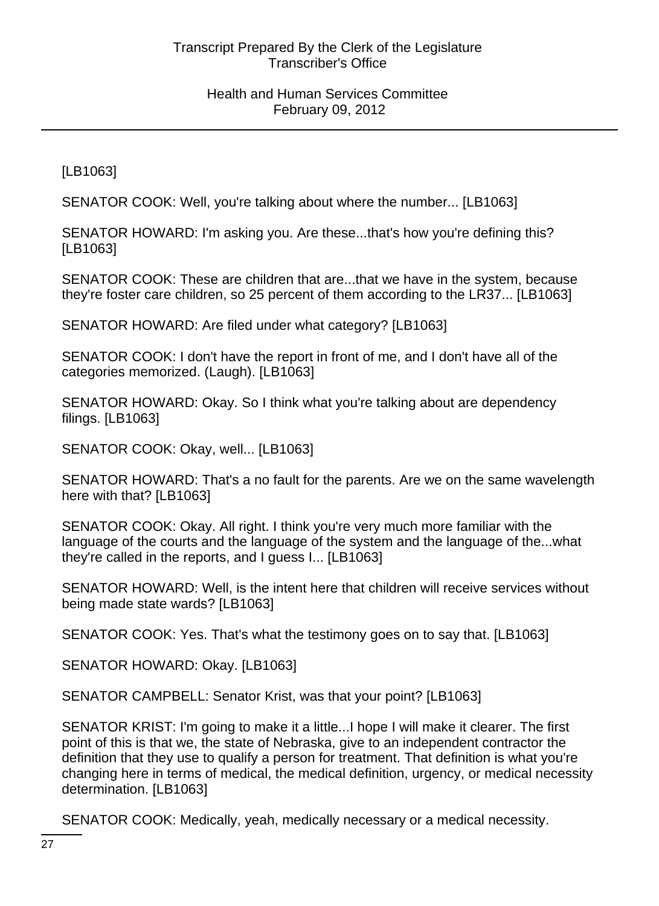[LB1063]

SENATOR COOK: Well, you're talking about where the number... [LB1063]

SENATOR HOWARD: I'm asking you. Are these...that's how you're defining this? [LB1063]

SENATOR COOK: These are children that are...that we have in the system, because they're foster care children, so 25 percent of them according to the LR37... [LB1063]

SENATOR HOWARD: Are filed under what category? [LB1063]

SENATOR COOK: I don't have the report in front of me, and I don't have all of the categories memorized. (Laugh). [LB1063]

SENATOR HOWARD: Okay. So I think what you're talking about are dependency filings. [LB1063]

SENATOR COOK: Okay, well... [LB1063]

SENATOR HOWARD: That's a no fault for the parents. Are we on the same wavelength here with that? [LB1063]

SENATOR COOK: Okay. All right. I think you're very much more familiar with the language of the courts and the language of the system and the language of the...what they're called in the reports, and I guess I... [LB1063]

SENATOR HOWARD: Well, is the intent here that children will receive services without being made state wards? [LB1063]

SENATOR COOK: Yes. That's what the testimony goes on to say that. [LB1063]

SENATOR HOWARD: Okay. [LB1063]

SENATOR CAMPBELL: Senator Krist, was that your point? [LB1063]

SENATOR KRIST: I'm going to make it a little...I hope I will make it clearer. The first point of this is that we, the state of Nebraska, give to an independent contractor the definition that they use to qualify a person for treatment. That definition is what you're changing here in terms of medical, the medical definition, urgency, or medical necessity determination. [LB1063]

SENATOR COOK: Medically, yeah, medically necessary or a medical necessity.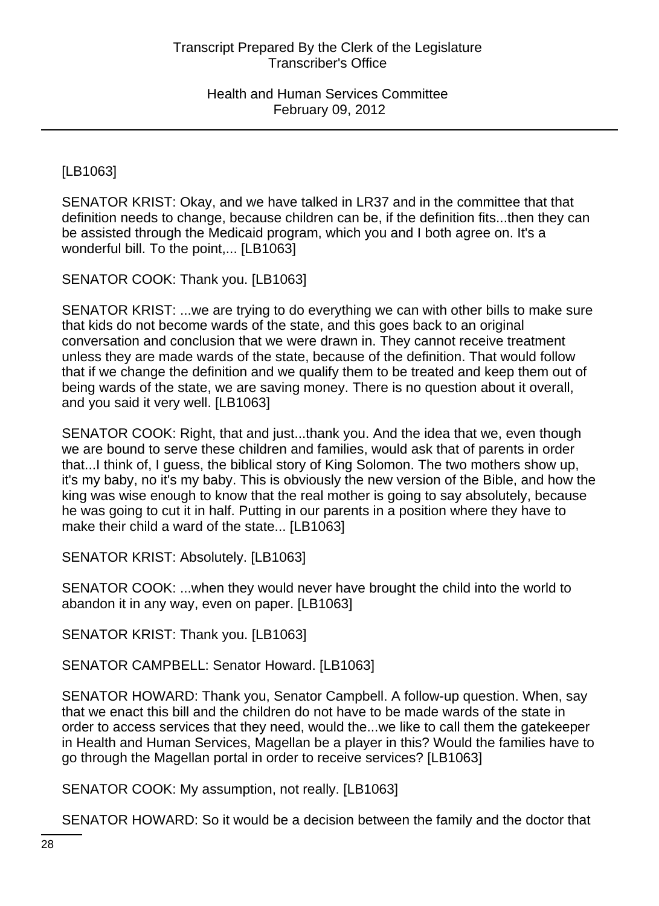[LB1063]

SENATOR KRIST: Okay, and we have talked in LR37 and in the committee that that definition needs to change, because children can be, if the definition fits...then they can be assisted through the Medicaid program, which you and I both agree on. It's a wonderful bill. To the point,... [LB1063]

SENATOR COOK: Thank you. [LB1063]

SENATOR KRIST: ...we are trying to do everything we can with other bills to make sure that kids do not become wards of the state, and this goes back to an original conversation and conclusion that we were drawn in. They cannot receive treatment unless they are made wards of the state, because of the definition. That would follow that if we change the definition and we qualify them to be treated and keep them out of being wards of the state, we are saving money. There is no question about it overall, and you said it very well. [LB1063]

SENATOR COOK: Right, that and just...thank you. And the idea that we, even though we are bound to serve these children and families, would ask that of parents in order that...I think of, I guess, the biblical story of King Solomon. The two mothers show up, it's my baby, no it's my baby. This is obviously the new version of the Bible, and how the king was wise enough to know that the real mother is going to say absolutely, because he was going to cut it in half. Putting in our parents in a position where they have to make their child a ward of the state... [LB1063]

SENATOR KRIST: Absolutely. [LB1063]

SENATOR COOK: ...when they would never have brought the child into the world to abandon it in any way, even on paper. [LB1063]

SENATOR KRIST: Thank you. [LB1063]

SENATOR CAMPBELL: Senator Howard. [LB1063]

SENATOR HOWARD: Thank you, Senator Campbell. A follow-up question. When, say that we enact this bill and the children do not have to be made wards of the state in order to access services that they need, would the...we like to call them the gatekeeper in Health and Human Services, Magellan be a player in this? Would the families have to go through the Magellan portal in order to receive services? [LB1063]

SENATOR COOK: My assumption, not really. [LB1063]

SENATOR HOWARD: So it would be a decision between the family and the doctor that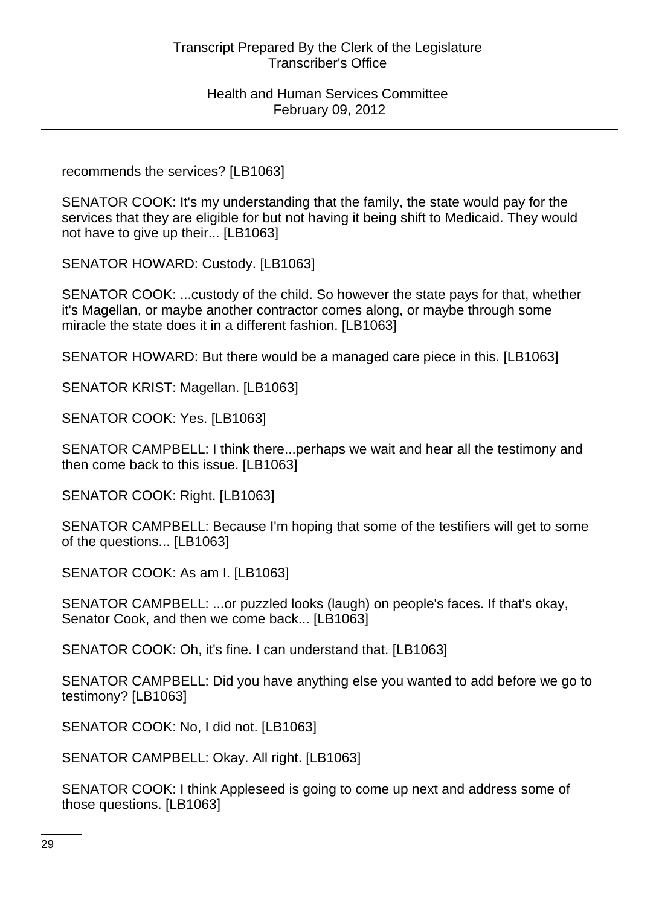recommends the services? [LB1063]

SENATOR COOK: It's my understanding that the family, the state would pay for the services that they are eligible for but not having it being shift to Medicaid. They would not have to give up their... [LB1063]

SENATOR HOWARD: Custody. [LB1063]

SENATOR COOK: ...custody of the child. So however the state pays for that, whether it's Magellan, or maybe another contractor comes along, or maybe through some miracle the state does it in a different fashion. [LB1063]

SENATOR HOWARD: But there would be a managed care piece in this. [LB1063]

SENATOR KRIST: Magellan. [LB1063]

SENATOR COOK: Yes. [LB1063]

SENATOR CAMPBELL: I think there...perhaps we wait and hear all the testimony and then come back to this issue. [LB1063]

SENATOR COOK: Right. [LB1063]

SENATOR CAMPBELL: Because I'm hoping that some of the testifiers will get to some of the questions... [LB1063]

SENATOR COOK: As am I. [LB1063]

SENATOR CAMPBELL: ...or puzzled looks (laugh) on people's faces. If that's okay, Senator Cook, and then we come back... [LB1063]

SENATOR COOK: Oh, it's fine. I can understand that. [LB1063]

SENATOR CAMPBELL: Did you have anything else you wanted to add before we go to testimony? [LB1063]

SENATOR COOK: No, I did not. [LB1063]

SENATOR CAMPBELL: Okay. All right. [LB1063]

SENATOR COOK: I think Appleseed is going to come up next and address some of those questions. [LB1063]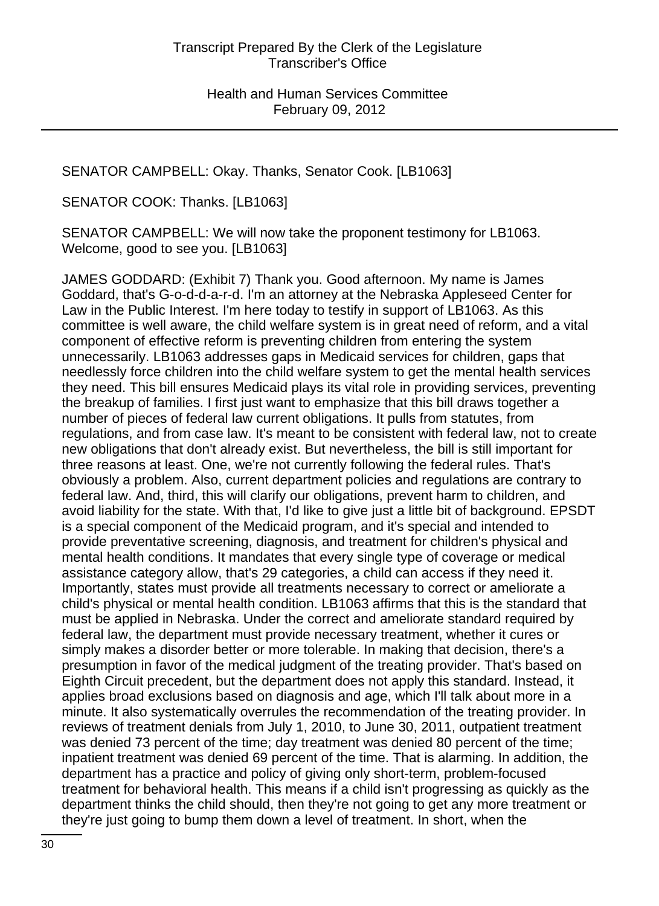SENATOR CAMPBELL: Okay. Thanks, Senator Cook. [LB1063]

SENATOR COOK: Thanks. [LB1063]

SENATOR CAMPBELL: We will now take the proponent testimony for LB1063. Welcome, good to see you. [LB1063]

JAMES GODDARD: (Exhibit 7) Thank you. Good afternoon. My name is James Goddard, that's G-o-d-d-a-r-d. I'm an attorney at the Nebraska Appleseed Center for Law in the Public Interest. I'm here today to testify in support of LB1063. As this committee is well aware, the child welfare system is in great need of reform, and a vital component of effective reform is preventing children from entering the system unnecessarily. LB1063 addresses gaps in Medicaid services for children, gaps that needlessly force children into the child welfare system to get the mental health services they need. This bill ensures Medicaid plays its vital role in providing services, preventing the breakup of families. I first just want to emphasize that this bill draws together a number of pieces of federal law current obligations. It pulls from statutes, from regulations, and from case law. It's meant to be consistent with federal law, not to create new obligations that don't already exist. But nevertheless, the bill is still important for three reasons at least. One, we're not currently following the federal rules. That's obviously a problem. Also, current department policies and regulations are contrary to federal law. And, third, this will clarify our obligations, prevent harm to children, and avoid liability for the state. With that, I'd like to give just a little bit of background. EPSDT is a special component of the Medicaid program, and it's special and intended to provide preventative screening, diagnosis, and treatment for children's physical and mental health conditions. It mandates that every single type of coverage or medical assistance category allow, that's 29 categories, a child can access if they need it. Importantly, states must provide all treatments necessary to correct or ameliorate a child's physical or mental health condition. LB1063 affirms that this is the standard that must be applied in Nebraska. Under the correct and ameliorate standard required by federal law, the department must provide necessary treatment, whether it cures or simply makes a disorder better or more tolerable. In making that decision, there's a presumption in favor of the medical judgment of the treating provider. That's based on Eighth Circuit precedent, but the department does not apply this standard. Instead, it applies broad exclusions based on diagnosis and age, which I'll talk about more in a minute. It also systematically overrules the recommendation of the treating provider. In reviews of treatment denials from July 1, 2010, to June 30, 2011, outpatient treatment was denied 73 percent of the time; day treatment was denied 80 percent of the time; inpatient treatment was denied 69 percent of the time. That is alarming. In addition, the department has a practice and policy of giving only short-term, problem-focused treatment for behavioral health. This means if a child isn't progressing as quickly as the department thinks the child should, then they're not going to get any more treatment or they're just going to bump them down a level of treatment. In short, when the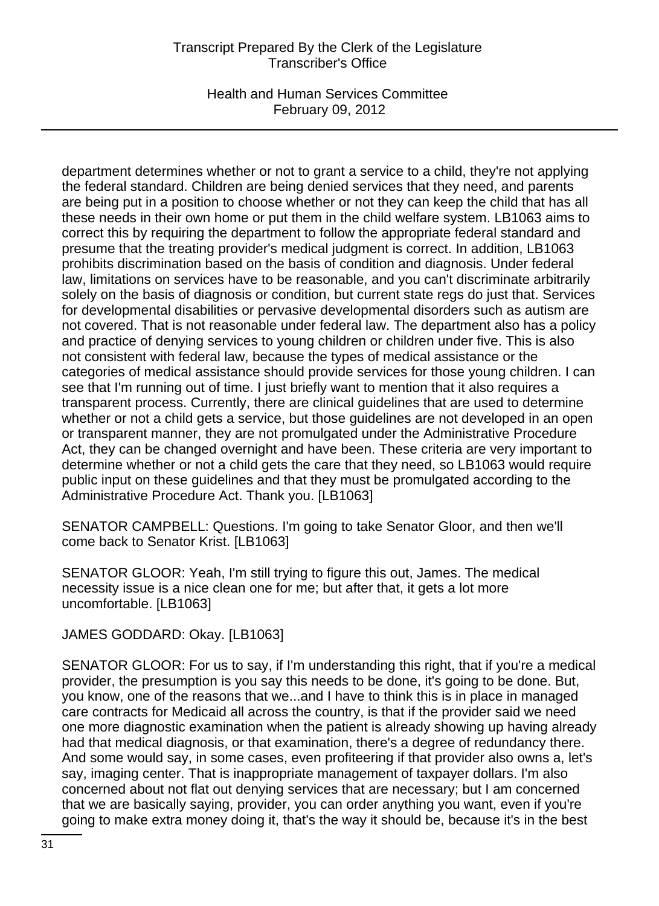# Transcript Prepared By the Clerk of the Legislature Transcriber's Office

Health and Human Services Committee February 09, 2012

department determines whether or not to grant a service to a child, they're not applying the federal standard. Children are being denied services that they need, and parents are being put in a position to choose whether or not they can keep the child that has all these needs in their own home or put them in the child welfare system. LB1063 aims to correct this by requiring the department to follow the appropriate federal standard and presume that the treating provider's medical judgment is correct. In addition, LB1063 prohibits discrimination based on the basis of condition and diagnosis. Under federal law, limitations on services have to be reasonable, and you can't discriminate arbitrarily solely on the basis of diagnosis or condition, but current state regs do just that. Services for developmental disabilities or pervasive developmental disorders such as autism are not covered. That is not reasonable under federal law. The department also has a policy and practice of denying services to young children or children under five. This is also not consistent with federal law, because the types of medical assistance or the categories of medical assistance should provide services for those young children. I can see that I'm running out of time. I just briefly want to mention that it also requires a transparent process. Currently, there are clinical guidelines that are used to determine whether or not a child gets a service, but those guidelines are not developed in an open or transparent manner, they are not promulgated under the Administrative Procedure Act, they can be changed overnight and have been. These criteria are very important to determine whether or not a child gets the care that they need, so LB1063 would require public input on these guidelines and that they must be promulgated according to the Administrative Procedure Act. Thank you. [LB1063]

SENATOR CAMPBELL: Questions. I'm going to take Senator Gloor, and then we'll come back to Senator Krist. [LB1063]

SENATOR GLOOR: Yeah, I'm still trying to figure this out, James. The medical necessity issue is a nice clean one for me; but after that, it gets a lot more uncomfortable. [LB1063]

JAMES GODDARD: Okay. [LB1063]

SENATOR GLOOR: For us to say, if I'm understanding this right, that if you're a medical provider, the presumption is you say this needs to be done, it's going to be done. But, you know, one of the reasons that we...and I have to think this is in place in managed care contracts for Medicaid all across the country, is that if the provider said we need one more diagnostic examination when the patient is already showing up having already had that medical diagnosis, or that examination, there's a degree of redundancy there. And some would say, in some cases, even profiteering if that provider also owns a, let's say, imaging center. That is inappropriate management of taxpayer dollars. I'm also concerned about not flat out denying services that are necessary; but I am concerned that we are basically saying, provider, you can order anything you want, even if you're going to make extra money doing it, that's the way it should be, because it's in the best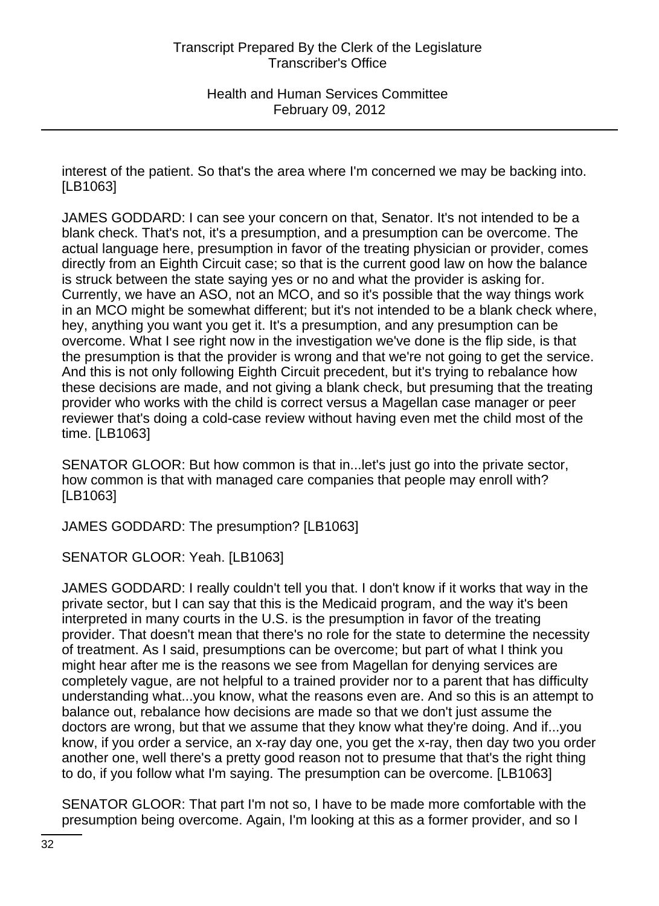interest of the patient. So that's the area where I'm concerned we may be backing into. [LB1063]

JAMES GODDARD: I can see your concern on that, Senator. It's not intended to be a blank check. That's not, it's a presumption, and a presumption can be overcome. The actual language here, presumption in favor of the treating physician or provider, comes directly from an Eighth Circuit case; so that is the current good law on how the balance is struck between the state saying yes or no and what the provider is asking for. Currently, we have an ASO, not an MCO, and so it's possible that the way things work in an MCO might be somewhat different; but it's not intended to be a blank check where, hey, anything you want you get it. It's a presumption, and any presumption can be overcome. What I see right now in the investigation we've done is the flip side, is that the presumption is that the provider is wrong and that we're not going to get the service. And this is not only following Eighth Circuit precedent, but it's trying to rebalance how these decisions are made, and not giving a blank check, but presuming that the treating provider who works with the child is correct versus a Magellan case manager or peer reviewer that's doing a cold-case review without having even met the child most of the time. [LB1063]

SENATOR GLOOR: But how common is that in...let's just go into the private sector, how common is that with managed care companies that people may enroll with? [LB1063]

JAMES GODDARD: The presumption? [LB1063]

SENATOR GLOOR: Yeah. [LB1063]

JAMES GODDARD: I really couldn't tell you that. I don't know if it works that way in the private sector, but I can say that this is the Medicaid program, and the way it's been interpreted in many courts in the U.S. is the presumption in favor of the treating provider. That doesn't mean that there's no role for the state to determine the necessity of treatment. As I said, presumptions can be overcome; but part of what I think you might hear after me is the reasons we see from Magellan for denying services are completely vague, are not helpful to a trained provider nor to a parent that has difficulty understanding what...you know, what the reasons even are. And so this is an attempt to balance out, rebalance how decisions are made so that we don't just assume the doctors are wrong, but that we assume that they know what they're doing. And if...you know, if you order a service, an x-ray day one, you get the x-ray, then day two you order another one, well there's a pretty good reason not to presume that that's the right thing to do, if you follow what I'm saying. The presumption can be overcome. [LB1063]

SENATOR GLOOR: That part I'm not so, I have to be made more comfortable with the presumption being overcome. Again, I'm looking at this as a former provider, and so I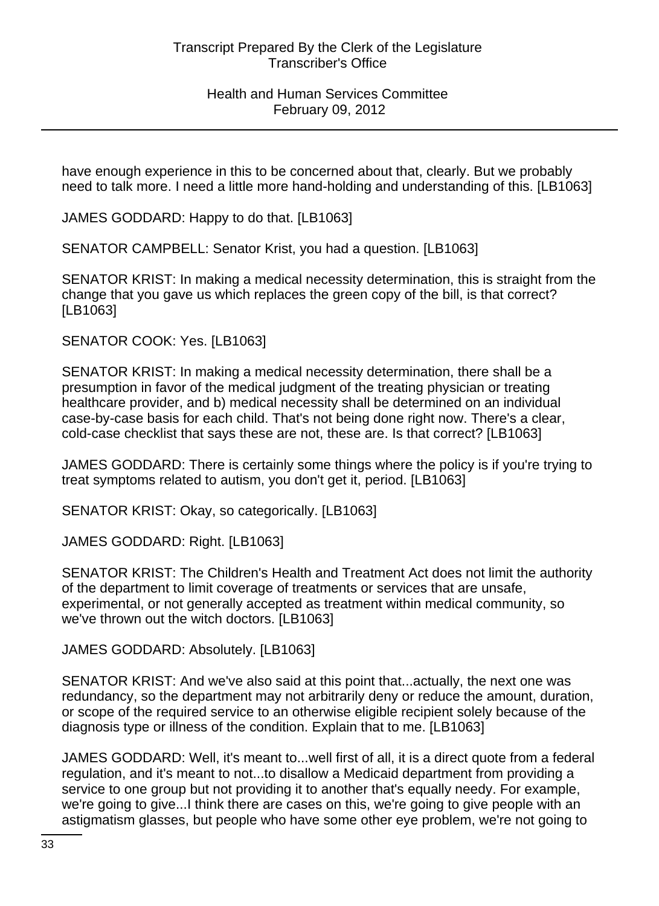have enough experience in this to be concerned about that, clearly. But we probably need to talk more. I need a little more hand-holding and understanding of this. [LB1063]

JAMES GODDARD: Happy to do that. [LB1063]

SENATOR CAMPBELL: Senator Krist, you had a question. [LB1063]

SENATOR KRIST: In making a medical necessity determination, this is straight from the change that you gave us which replaces the green copy of the bill, is that correct? [LB1063]

SENATOR COOK: Yes. [LB1063]

SENATOR KRIST: In making a medical necessity determination, there shall be a presumption in favor of the medical judgment of the treating physician or treating healthcare provider, and b) medical necessity shall be determined on an individual case-by-case basis for each child. That's not being done right now. There's a clear, cold-case checklist that says these are not, these are. Is that correct? [LB1063]

JAMES GODDARD: There is certainly some things where the policy is if you're trying to treat symptoms related to autism, you don't get it, period. [LB1063]

SENATOR KRIST: Okay, so categorically. [LB1063]

JAMES GODDARD: Right. [LB1063]

SENATOR KRIST: The Children's Health and Treatment Act does not limit the authority of the department to limit coverage of treatments or services that are unsafe, experimental, or not generally accepted as treatment within medical community, so we've thrown out the witch doctors. [LB1063]

JAMES GODDARD: Absolutely. [LB1063]

SENATOR KRIST: And we've also said at this point that...actually, the next one was redundancy, so the department may not arbitrarily deny or reduce the amount, duration, or scope of the required service to an otherwise eligible recipient solely because of the diagnosis type or illness of the condition. Explain that to me. [LB1063]

JAMES GODDARD: Well, it's meant to...well first of all, it is a direct quote from a federal regulation, and it's meant to not...to disallow a Medicaid department from providing a service to one group but not providing it to another that's equally needy. For example, we're going to give...I think there are cases on this, we're going to give people with an astigmatism glasses, but people who have some other eye problem, we're not going to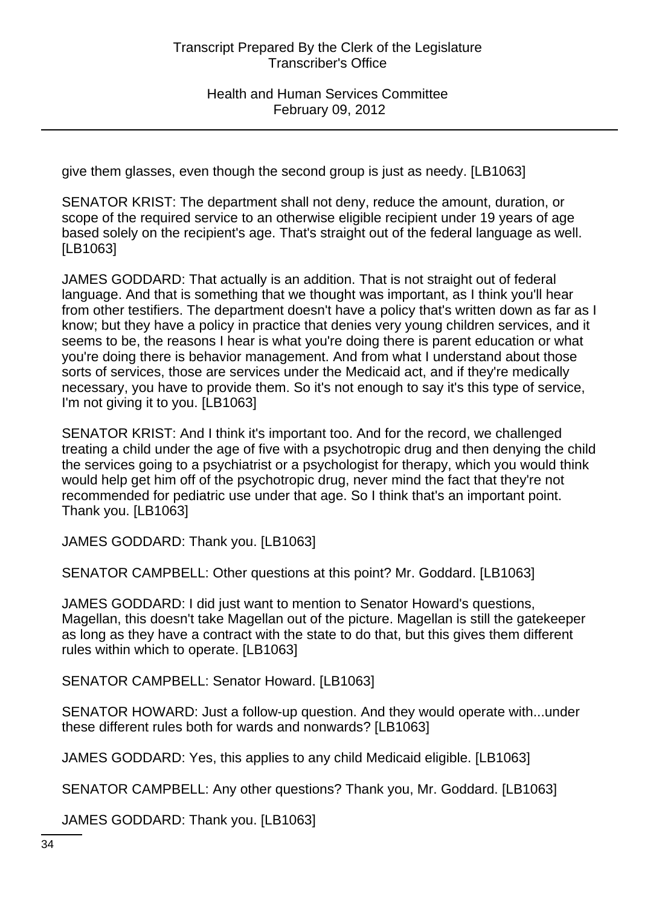give them glasses, even though the second group is just as needy. [LB1063]

SENATOR KRIST: The department shall not deny, reduce the amount, duration, or scope of the required service to an otherwise eligible recipient under 19 years of age based solely on the recipient's age. That's straight out of the federal language as well. [LB1063]

JAMES GODDARD: That actually is an addition. That is not straight out of federal language. And that is something that we thought was important, as I think you'll hear from other testifiers. The department doesn't have a policy that's written down as far as I know; but they have a policy in practice that denies very young children services, and it seems to be, the reasons I hear is what you're doing there is parent education or what you're doing there is behavior management. And from what I understand about those sorts of services, those are services under the Medicaid act, and if they're medically necessary, you have to provide them. So it's not enough to say it's this type of service, I'm not giving it to you. [LB1063]

SENATOR KRIST: And I think it's important too. And for the record, we challenged treating a child under the age of five with a psychotropic drug and then denying the child the services going to a psychiatrist or a psychologist for therapy, which you would think would help get him off of the psychotropic drug, never mind the fact that they're not recommended for pediatric use under that age. So I think that's an important point. Thank you. [LB1063]

JAMES GODDARD: Thank you. [LB1063]

SENATOR CAMPBELL: Other questions at this point? Mr. Goddard. [LB1063]

JAMES GODDARD: I did just want to mention to Senator Howard's questions, Magellan, this doesn't take Magellan out of the picture. Magellan is still the gatekeeper as long as they have a contract with the state to do that, but this gives them different rules within which to operate. [LB1063]

SENATOR CAMPBELL: Senator Howard. [LB1063]

SENATOR HOWARD: Just a follow-up question. And they would operate with...under these different rules both for wards and nonwards? [LB1063]

JAMES GODDARD: Yes, this applies to any child Medicaid eligible. [LB1063]

SENATOR CAMPBELL: Any other questions? Thank you, Mr. Goddard. [LB1063]

JAMES GODDARD: Thank you. [LB1063]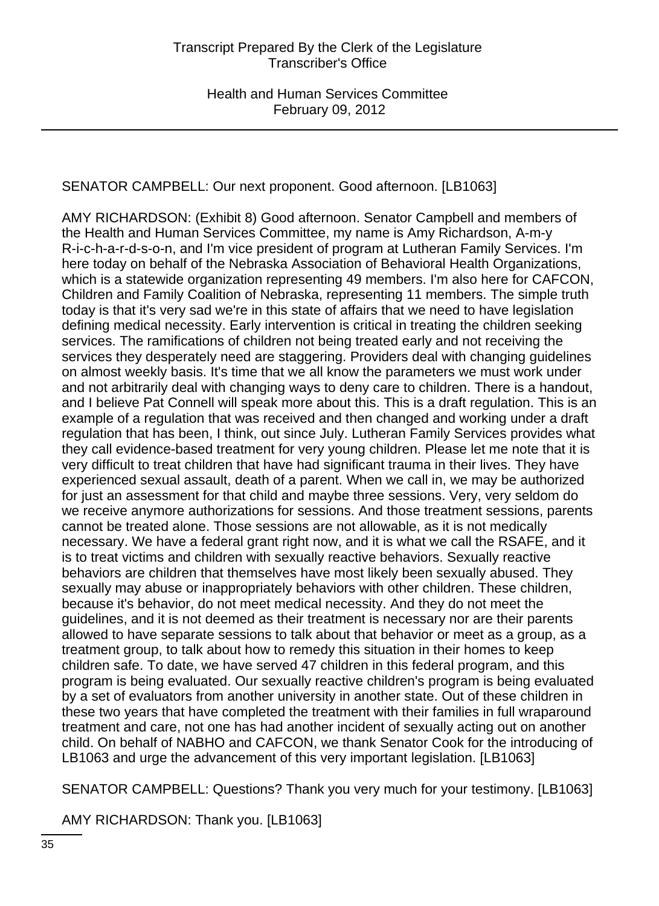# SENATOR CAMPBELL: Our next proponent. Good afternoon. [LB1063]

AMY RICHARDSON: (Exhibit 8) Good afternoon. Senator Campbell and members of the Health and Human Services Committee, my name is Amy Richardson, A-m-y R-i-c-h-a-r-d-s-o-n, and I'm vice president of program at Lutheran Family Services. I'm here today on behalf of the Nebraska Association of Behavioral Health Organizations, which is a statewide organization representing 49 members. I'm also here for CAFCON, Children and Family Coalition of Nebraska, representing 11 members. The simple truth today is that it's very sad we're in this state of affairs that we need to have legislation defining medical necessity. Early intervention is critical in treating the children seeking services. The ramifications of children not being treated early and not receiving the services they desperately need are staggering. Providers deal with changing guidelines on almost weekly basis. It's time that we all know the parameters we must work under and not arbitrarily deal with changing ways to deny care to children. There is a handout, and I believe Pat Connell will speak more about this. This is a draft regulation. This is an example of a regulation that was received and then changed and working under a draft regulation that has been, I think, out since July. Lutheran Family Services provides what they call evidence-based treatment for very young children. Please let me note that it is very difficult to treat children that have had significant trauma in their lives. They have experienced sexual assault, death of a parent. When we call in, we may be authorized for just an assessment for that child and maybe three sessions. Very, very seldom do we receive anymore authorizations for sessions. And those treatment sessions, parents cannot be treated alone. Those sessions are not allowable, as it is not medically necessary. We have a federal grant right now, and it is what we call the RSAFE, and it is to treat victims and children with sexually reactive behaviors. Sexually reactive behaviors are children that themselves have most likely been sexually abused. They sexually may abuse or inappropriately behaviors with other children. These children, because it's behavior, do not meet medical necessity. And they do not meet the guidelines, and it is not deemed as their treatment is necessary nor are their parents allowed to have separate sessions to talk about that behavior or meet as a group, as a treatment group, to talk about how to remedy this situation in their homes to keep children safe. To date, we have served 47 children in this federal program, and this program is being evaluated. Our sexually reactive children's program is being evaluated by a set of evaluators from another university in another state. Out of these children in these two years that have completed the treatment with their families in full wraparound treatment and care, not one has had another incident of sexually acting out on another child. On behalf of NABHO and CAFCON, we thank Senator Cook for the introducing of LB1063 and urge the advancement of this very important legislation. [LB1063]

SENATOR CAMPBELL: Questions? Thank you very much for your testimony. [LB1063]

AMY RICHARDSON: Thank you. [LB1063]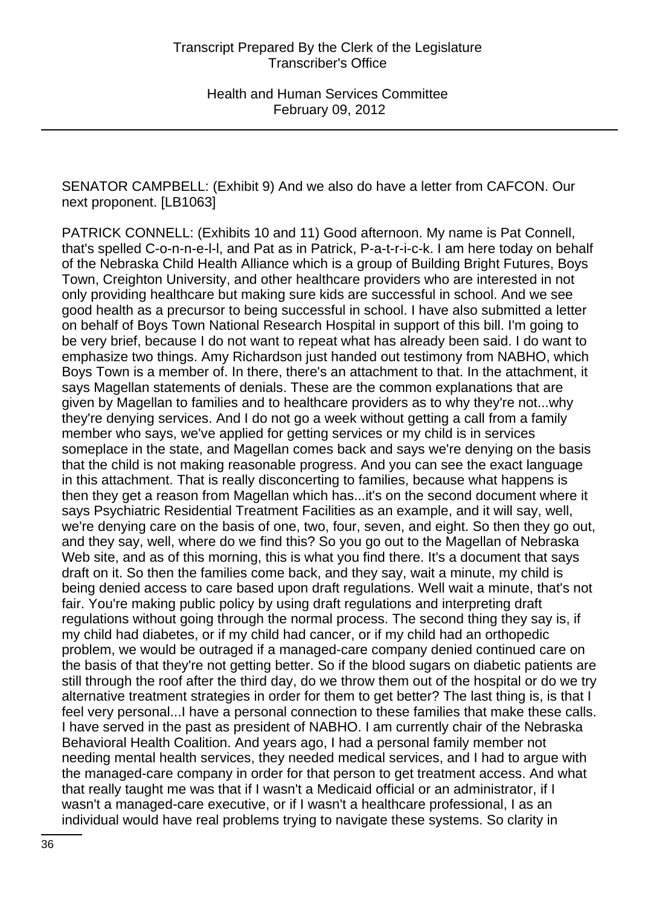SENATOR CAMPBELL: (Exhibit 9) And we also do have a letter from CAFCON. Our next proponent. [LB1063]

PATRICK CONNELL: (Exhibits 10 and 11) Good afternoon. My name is Pat Connell, that's spelled C-o-n-n-e-l-l, and Pat as in Patrick, P-a-t-r-i-c-k. I am here today on behalf of the Nebraska Child Health Alliance which is a group of Building Bright Futures, Boys Town, Creighton University, and other healthcare providers who are interested in not only providing healthcare but making sure kids are successful in school. And we see good health as a precursor to being successful in school. I have also submitted a letter on behalf of Boys Town National Research Hospital in support of this bill. I'm going to be very brief, because I do not want to repeat what has already been said. I do want to emphasize two things. Amy Richardson just handed out testimony from NABHO, which Boys Town is a member of. In there, there's an attachment to that. In the attachment, it says Magellan statements of denials. These are the common explanations that are given by Magellan to families and to healthcare providers as to why they're not...why they're denying services. And I do not go a week without getting a call from a family member who says, we've applied for getting services or my child is in services someplace in the state, and Magellan comes back and says we're denying on the basis that the child is not making reasonable progress. And you can see the exact language in this attachment. That is really disconcerting to families, because what happens is then they get a reason from Magellan which has...it's on the second document where it says Psychiatric Residential Treatment Facilities as an example, and it will say, well, we're denying care on the basis of one, two, four, seven, and eight. So then they go out, and they say, well, where do we find this? So you go out to the Magellan of Nebraska Web site, and as of this morning, this is what you find there. It's a document that says draft on it. So then the families come back, and they say, wait a minute, my child is being denied access to care based upon draft regulations. Well wait a minute, that's not fair. You're making public policy by using draft regulations and interpreting draft regulations without going through the normal process. The second thing they say is, if my child had diabetes, or if my child had cancer, or if my child had an orthopedic problem, we would be outraged if a managed-care company denied continued care on the basis of that they're not getting better. So if the blood sugars on diabetic patients are still through the roof after the third day, do we throw them out of the hospital or do we try alternative treatment strategies in order for them to get better? The last thing is, is that I feel very personal...I have a personal connection to these families that make these calls. I have served in the past as president of NABHO. I am currently chair of the Nebraska Behavioral Health Coalition. And years ago, I had a personal family member not needing mental health services, they needed medical services, and I had to argue with the managed-care company in order for that person to get treatment access. And what that really taught me was that if I wasn't a Medicaid official or an administrator, if I wasn't a managed-care executive, or if I wasn't a healthcare professional, I as an individual would have real problems trying to navigate these systems. So clarity in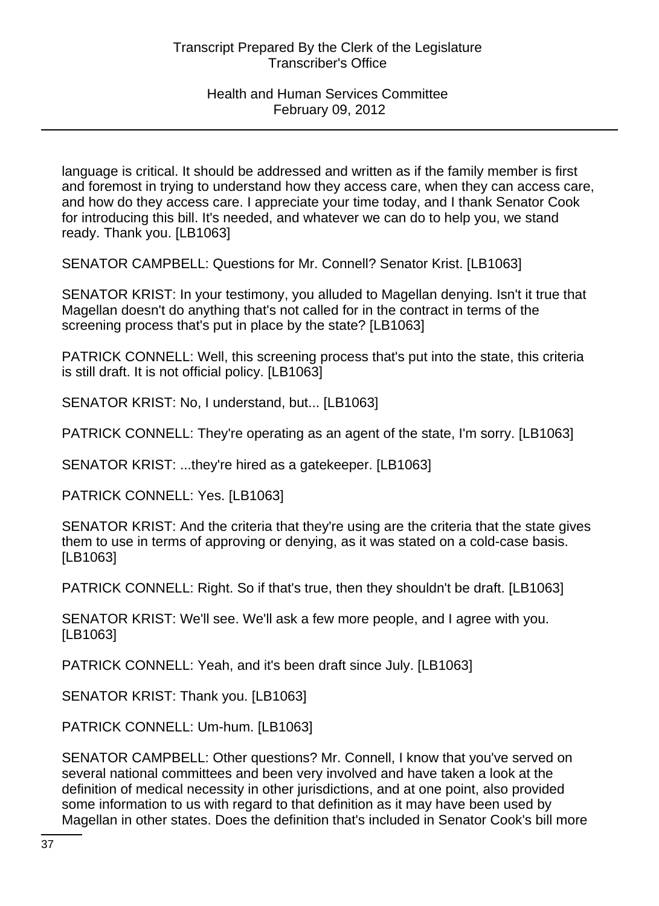language is critical. It should be addressed and written as if the family member is first and foremost in trying to understand how they access care, when they can access care, and how do they access care. I appreciate your time today, and I thank Senator Cook for introducing this bill. It's needed, and whatever we can do to help you, we stand ready. Thank you. [LB1063]

SENATOR CAMPBELL: Questions for Mr. Connell? Senator Krist. [LB1063]

SENATOR KRIST: In your testimony, you alluded to Magellan denying. Isn't it true that Magellan doesn't do anything that's not called for in the contract in terms of the screening process that's put in place by the state? [LB1063]

PATRICK CONNELL: Well, this screening process that's put into the state, this criteria is still draft. It is not official policy. [LB1063]

SENATOR KRIST: No, I understand, but... [LB1063]

PATRICK CONNELL: They're operating as an agent of the state, I'm sorry. [LB1063]

SENATOR KRIST: ...they're hired as a gatekeeper. [LB1063]

PATRICK CONNELL: Yes. [LB1063]

SENATOR KRIST: And the criteria that they're using are the criteria that the state gives them to use in terms of approving or denying, as it was stated on a cold-case basis. [LB1063]

PATRICK CONNELL: Right. So if that's true, then they shouldn't be draft. [LB1063]

SENATOR KRIST: We'll see. We'll ask a few more people, and I agree with you. [LB1063]

PATRICK CONNELL: Yeah, and it's been draft since July. [LB1063]

SENATOR KRIST: Thank you. [LB1063]

PATRICK CONNELL: Um-hum. [LB1063]

SENATOR CAMPBELL: Other questions? Mr. Connell, I know that you've served on several national committees and been very involved and have taken a look at the definition of medical necessity in other jurisdictions, and at one point, also provided some information to us with regard to that definition as it may have been used by Magellan in other states. Does the definition that's included in Senator Cook's bill more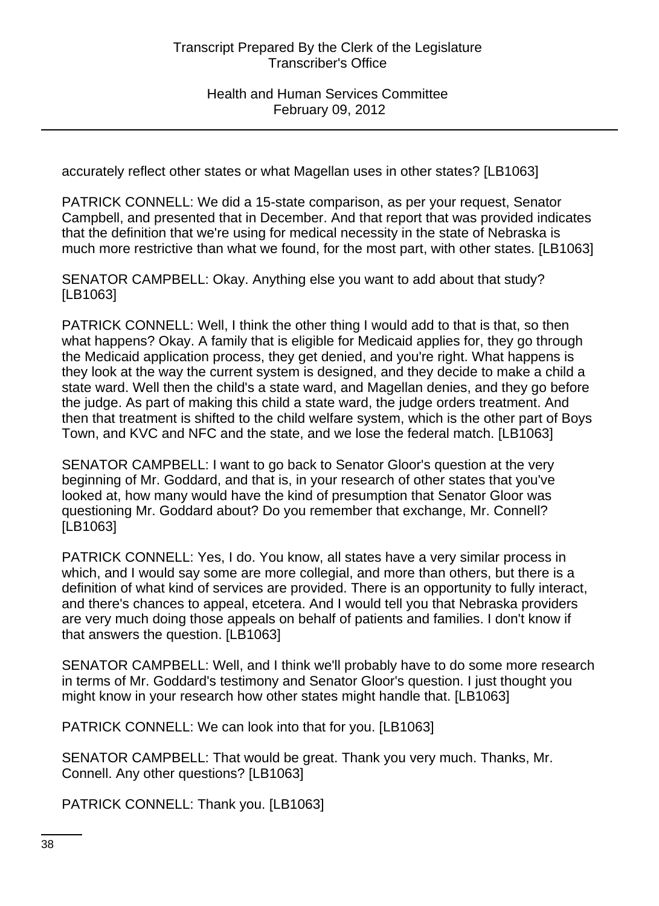accurately reflect other states or what Magellan uses in other states? [LB1063]

PATRICK CONNELL: We did a 15-state comparison, as per your request, Senator Campbell, and presented that in December. And that report that was provided indicates that the definition that we're using for medical necessity in the state of Nebraska is much more restrictive than what we found, for the most part, with other states. [LB1063]

SENATOR CAMPBELL: Okay. Anything else you want to add about that study? [LB1063]

PATRICK CONNELL: Well, I think the other thing I would add to that is that, so then what happens? Okay. A family that is eligible for Medicaid applies for, they go through the Medicaid application process, they get denied, and you're right. What happens is they look at the way the current system is designed, and they decide to make a child a state ward. Well then the child's a state ward, and Magellan denies, and they go before the judge. As part of making this child a state ward, the judge orders treatment. And then that treatment is shifted to the child welfare system, which is the other part of Boys Town, and KVC and NFC and the state, and we lose the federal match. [LB1063]

SENATOR CAMPBELL: I want to go back to Senator Gloor's question at the very beginning of Mr. Goddard, and that is, in your research of other states that you've looked at, how many would have the kind of presumption that Senator Gloor was questioning Mr. Goddard about? Do you remember that exchange, Mr. Connell? [LB1063]

PATRICK CONNELL: Yes, I do. You know, all states have a very similar process in which, and I would say some are more collegial, and more than others, but there is a definition of what kind of services are provided. There is an opportunity to fully interact, and there's chances to appeal, etcetera. And I would tell you that Nebraska providers are very much doing those appeals on behalf of patients and families. I don't know if that answers the question. [LB1063]

SENATOR CAMPBELL: Well, and I think we'll probably have to do some more research in terms of Mr. Goddard's testimony and Senator Gloor's question. I just thought you might know in your research how other states might handle that. [LB1063]

PATRICK CONNELL: We can look into that for you. [LB1063]

SENATOR CAMPBELL: That would be great. Thank you very much. Thanks, Mr. Connell. Any other questions? [LB1063]

PATRICK CONNELL: Thank you. [LB1063]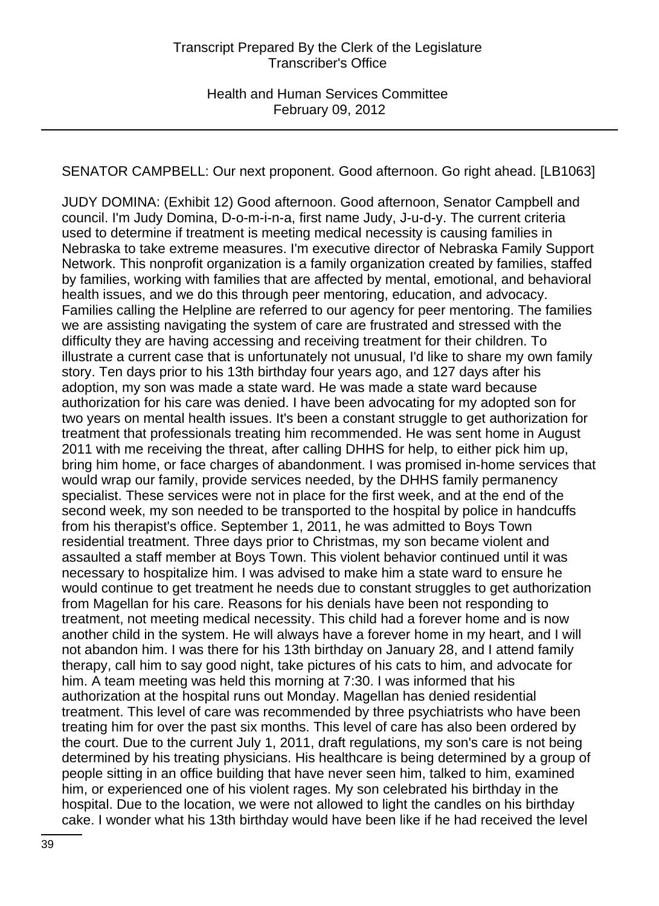SENATOR CAMPBELL: Our next proponent. Good afternoon. Go right ahead. [LB1063]

JUDY DOMINA: (Exhibit 12) Good afternoon. Good afternoon, Senator Campbell and council. I'm Judy Domina, D-o-m-i-n-a, first name Judy, J-u-d-y. The current criteria used to determine if treatment is meeting medical necessity is causing families in Nebraska to take extreme measures. I'm executive director of Nebraska Family Support Network. This nonprofit organization is a family organization created by families, staffed by families, working with families that are affected by mental, emotional, and behavioral health issues, and we do this through peer mentoring, education, and advocacy. Families calling the Helpline are referred to our agency for peer mentoring. The families we are assisting navigating the system of care are frustrated and stressed with the difficulty they are having accessing and receiving treatment for their children. To illustrate a current case that is unfortunately not unusual, I'd like to share my own family story. Ten days prior to his 13th birthday four years ago, and 127 days after his adoption, my son was made a state ward. He was made a state ward because authorization for his care was denied. I have been advocating for my adopted son for two years on mental health issues. It's been a constant struggle to get authorization for treatment that professionals treating him recommended. He was sent home in August 2011 with me receiving the threat, after calling DHHS for help, to either pick him up, bring him home, or face charges of abandonment. I was promised in-home services that would wrap our family, provide services needed, by the DHHS family permanency specialist. These services were not in place for the first week, and at the end of the second week, my son needed to be transported to the hospital by police in handcuffs from his therapist's office. September 1, 2011, he was admitted to Boys Town residential treatment. Three days prior to Christmas, my son became violent and assaulted a staff member at Boys Town. This violent behavior continued until it was necessary to hospitalize him. I was advised to make him a state ward to ensure he would continue to get treatment he needs due to constant struggles to get authorization from Magellan for his care. Reasons for his denials have been not responding to treatment, not meeting medical necessity. This child had a forever home and is now another child in the system. He will always have a forever home in my heart, and I will not abandon him. I was there for his 13th birthday on January 28, and I attend family therapy, call him to say good night, take pictures of his cats to him, and advocate for him. A team meeting was held this morning at 7:30. I was informed that his authorization at the hospital runs out Monday. Magellan has denied residential treatment. This level of care was recommended by three psychiatrists who have been treating him for over the past six months. This level of care has also been ordered by the court. Due to the current July 1, 2011, draft regulations, my son's care is not being determined by his treating physicians. His healthcare is being determined by a group of people sitting in an office building that have never seen him, talked to him, examined him, or experienced one of his violent rages. My son celebrated his birthday in the hospital. Due to the location, we were not allowed to light the candles on his birthday cake. I wonder what his 13th birthday would have been like if he had received the level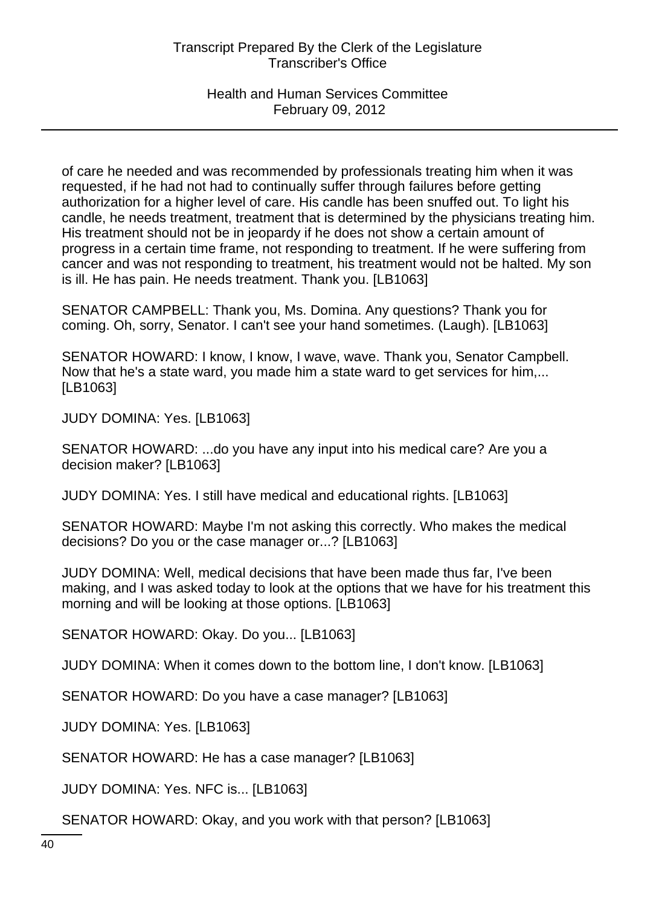of care he needed and was recommended by professionals treating him when it was requested, if he had not had to continually suffer through failures before getting authorization for a higher level of care. His candle has been snuffed out. To light his candle, he needs treatment, treatment that is determined by the physicians treating him. His treatment should not be in jeopardy if he does not show a certain amount of progress in a certain time frame, not responding to treatment. If he were suffering from cancer and was not responding to treatment, his treatment would not be halted. My son is ill. He has pain. He needs treatment. Thank you. [LB1063]

SENATOR CAMPBELL: Thank you, Ms. Domina. Any questions? Thank you for coming. Oh, sorry, Senator. I can't see your hand sometimes. (Laugh). [LB1063]

SENATOR HOWARD: I know, I know, I wave, wave. Thank you, Senator Campbell. Now that he's a state ward, you made him a state ward to get services for him,... [LB1063]

JUDY DOMINA: Yes. [LB1063]

SENATOR HOWARD: ...do you have any input into his medical care? Are you a decision maker? [LB1063]

JUDY DOMINA: Yes. I still have medical and educational rights. [LB1063]

SENATOR HOWARD: Maybe I'm not asking this correctly. Who makes the medical decisions? Do you or the case manager or...? [LB1063]

JUDY DOMINA: Well, medical decisions that have been made thus far, I've been making, and I was asked today to look at the options that we have for his treatment this morning and will be looking at those options. [LB1063]

SENATOR HOWARD: Okay. Do you... [LB1063]

JUDY DOMINA: When it comes down to the bottom line, I don't know. [LB1063]

SENATOR HOWARD: Do you have a case manager? [LB1063]

JUDY DOMINA: Yes. [LB1063]

SENATOR HOWARD: He has a case manager? [LB1063]

JUDY DOMINA: Yes. NFC is... [LB1063]

SENATOR HOWARD: Okay, and you work with that person? [LB1063]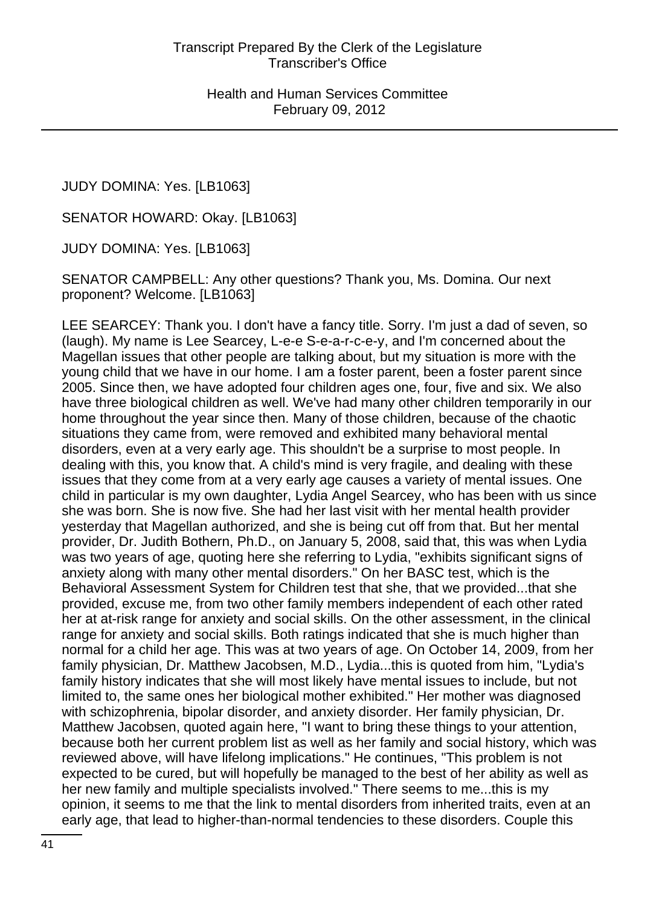JUDY DOMINA: Yes. [LB1063]

SENATOR HOWARD: Okay. [LB1063]

JUDY DOMINA: Yes. [LB1063]

SENATOR CAMPBELL: Any other questions? Thank you, Ms. Domina. Our next proponent? Welcome. [LB1063]

LEE SEARCEY: Thank you. I don't have a fancy title. Sorry. I'm just a dad of seven, so (laugh). My name is Lee Searcey, L-e-e S-e-a-r-c-e-y, and I'm concerned about the Magellan issues that other people are talking about, but my situation is more with the young child that we have in our home. I am a foster parent, been a foster parent since 2005. Since then, we have adopted four children ages one, four, five and six. We also have three biological children as well. We've had many other children temporarily in our home throughout the year since then. Many of those children, because of the chaotic situations they came from, were removed and exhibited many behavioral mental disorders, even at a very early age. This shouldn't be a surprise to most people. In dealing with this, you know that. A child's mind is very fragile, and dealing with these issues that they come from at a very early age causes a variety of mental issues. One child in particular is my own daughter, Lydia Angel Searcey, who has been with us since she was born. She is now five. She had her last visit with her mental health provider yesterday that Magellan authorized, and she is being cut off from that. But her mental provider, Dr. Judith Bothern, Ph.D., on January 5, 2008, said that, this was when Lydia was two years of age, quoting here she referring to Lydia, "exhibits significant signs of anxiety along with many other mental disorders." On her BASC test, which is the Behavioral Assessment System for Children test that she, that we provided...that she provided, excuse me, from two other family members independent of each other rated her at at-risk range for anxiety and social skills. On the other assessment, in the clinical range for anxiety and social skills. Both ratings indicated that she is much higher than normal for a child her age. This was at two years of age. On October 14, 2009, from her family physician, Dr. Matthew Jacobsen, M.D., Lydia...this is quoted from him, "Lydia's family history indicates that she will most likely have mental issues to include, but not limited to, the same ones her biological mother exhibited." Her mother was diagnosed with schizophrenia, bipolar disorder, and anxiety disorder. Her family physician, Dr. Matthew Jacobsen, quoted again here, "I want to bring these things to your attention, because both her current problem list as well as her family and social history, which was reviewed above, will have lifelong implications." He continues, "This problem is not expected to be cured, but will hopefully be managed to the best of her ability as well as her new family and multiple specialists involved." There seems to me...this is my opinion, it seems to me that the link to mental disorders from inherited traits, even at an early age, that lead to higher-than-normal tendencies to these disorders. Couple this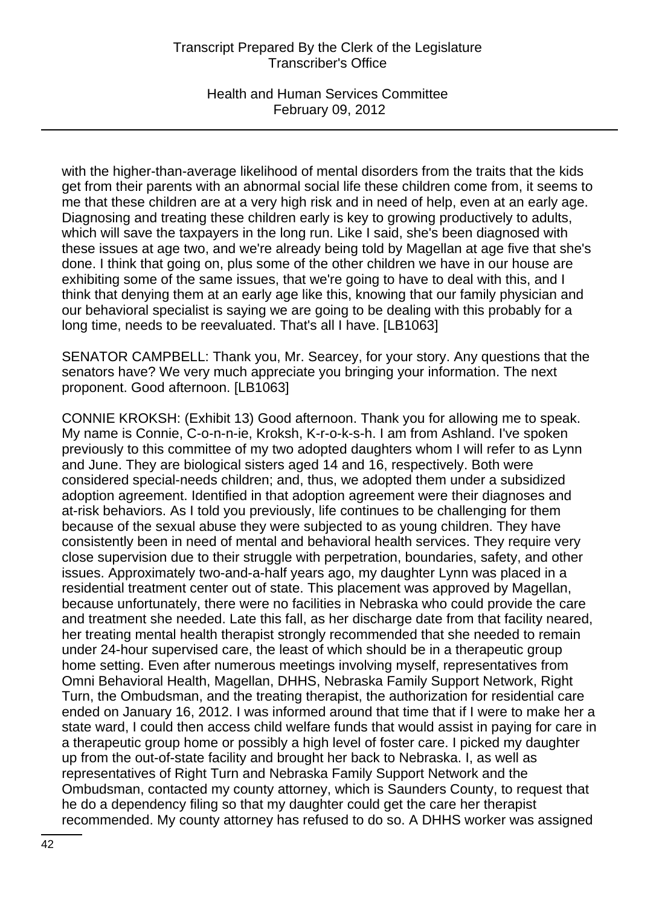Health and Human Services Committee February 09, 2012

with the higher-than-average likelihood of mental disorders from the traits that the kids get from their parents with an abnormal social life these children come from, it seems to me that these children are at a very high risk and in need of help, even at an early age. Diagnosing and treating these children early is key to growing productively to adults, which will save the taxpayers in the long run. Like I said, she's been diagnosed with these issues at age two, and we're already being told by Magellan at age five that she's done. I think that going on, plus some of the other children we have in our house are exhibiting some of the same issues, that we're going to have to deal with this, and I think that denying them at an early age like this, knowing that our family physician and our behavioral specialist is saying we are going to be dealing with this probably for a long time, needs to be reevaluated. That's all I have. [LB1063]

SENATOR CAMPBELL: Thank you, Mr. Searcey, for your story. Any questions that the senators have? We very much appreciate you bringing your information. The next proponent. Good afternoon. [LB1063]

CONNIE KROKSH: (Exhibit 13) Good afternoon. Thank you for allowing me to speak. My name is Connie, C-o-n-n-ie, Kroksh, K-r-o-k-s-h. I am from Ashland. I've spoken previously to this committee of my two adopted daughters whom I will refer to as Lynn and June. They are biological sisters aged 14 and 16, respectively. Both were considered special-needs children; and, thus, we adopted them under a subsidized adoption agreement. Identified in that adoption agreement were their diagnoses and at-risk behaviors. As I told you previously, life continues to be challenging for them because of the sexual abuse they were subjected to as young children. They have consistently been in need of mental and behavioral health services. They require very close supervision due to their struggle with perpetration, boundaries, safety, and other issues. Approximately two-and-a-half years ago, my daughter Lynn was placed in a residential treatment center out of state. This placement was approved by Magellan, because unfortunately, there were no facilities in Nebraska who could provide the care and treatment she needed. Late this fall, as her discharge date from that facility neared, her treating mental health therapist strongly recommended that she needed to remain under 24-hour supervised care, the least of which should be in a therapeutic group home setting. Even after numerous meetings involving myself, representatives from Omni Behavioral Health, Magellan, DHHS, Nebraska Family Support Network, Right Turn, the Ombudsman, and the treating therapist, the authorization for residential care ended on January 16, 2012. I was informed around that time that if I were to make her a state ward, I could then access child welfare funds that would assist in paying for care in a therapeutic group home or possibly a high level of foster care. I picked my daughter up from the out-of-state facility and brought her back to Nebraska. I, as well as representatives of Right Turn and Nebraska Family Support Network and the Ombudsman, contacted my county attorney, which is Saunders County, to request that he do a dependency filing so that my daughter could get the care her therapist recommended. My county attorney has refused to do so. A DHHS worker was assigned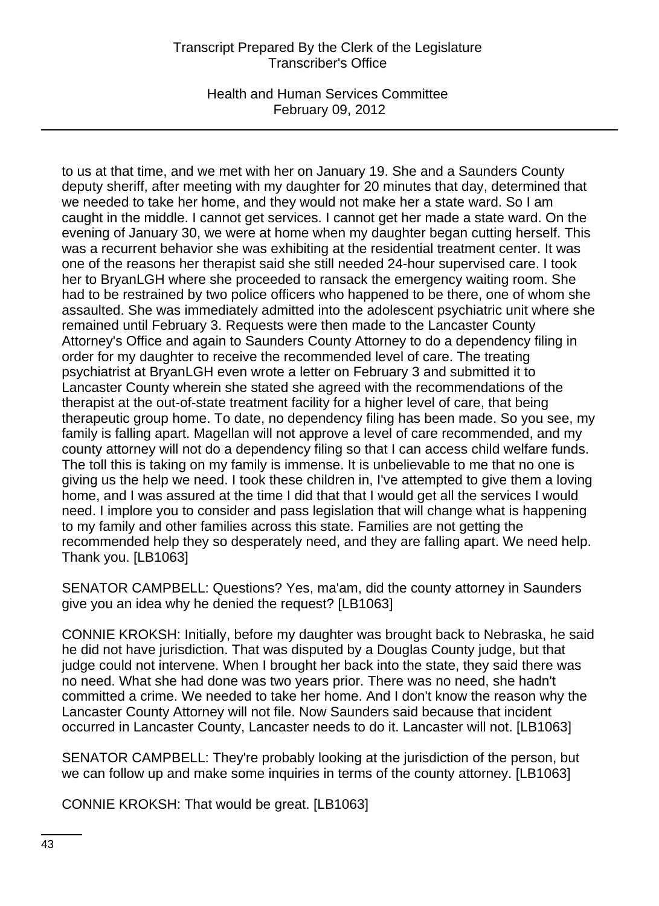Health and Human Services Committee February 09, 2012

to us at that time, and we met with her on January 19. She and a Saunders County deputy sheriff, after meeting with my daughter for 20 minutes that day, determined that we needed to take her home, and they would not make her a state ward. So I am caught in the middle. I cannot get services. I cannot get her made a state ward. On the evening of January 30, we were at home when my daughter began cutting herself. This was a recurrent behavior she was exhibiting at the residential treatment center. It was one of the reasons her therapist said she still needed 24-hour supervised care. I took her to BryanLGH where she proceeded to ransack the emergency waiting room. She had to be restrained by two police officers who happened to be there, one of whom she assaulted. She was immediately admitted into the adolescent psychiatric unit where she remained until February 3. Requests were then made to the Lancaster County Attorney's Office and again to Saunders County Attorney to do a dependency filing in order for my daughter to receive the recommended level of care. The treating psychiatrist at BryanLGH even wrote a letter on February 3 and submitted it to Lancaster County wherein she stated she agreed with the recommendations of the therapist at the out-of-state treatment facility for a higher level of care, that being therapeutic group home. To date, no dependency filing has been made. So you see, my family is falling apart. Magellan will not approve a level of care recommended, and my county attorney will not do a dependency filing so that I can access child welfare funds. The toll this is taking on my family is immense. It is unbelievable to me that no one is giving us the help we need. I took these children in, I've attempted to give them a loving home, and I was assured at the time I did that that I would get all the services I would need. I implore you to consider and pass legislation that will change what is happening to my family and other families across this state. Families are not getting the recommended help they so desperately need, and they are falling apart. We need help. Thank you. [LB1063]

SENATOR CAMPBELL: Questions? Yes, ma'am, did the county attorney in Saunders give you an idea why he denied the request? [LB1063]

CONNIE KROKSH: Initially, before my daughter was brought back to Nebraska, he said he did not have jurisdiction. That was disputed by a Douglas County judge, but that judge could not intervene. When I brought her back into the state, they said there was no need. What she had done was two years prior. There was no need, she hadn't committed a crime. We needed to take her home. And I don't know the reason why the Lancaster County Attorney will not file. Now Saunders said because that incident occurred in Lancaster County, Lancaster needs to do it. Lancaster will not. [LB1063]

SENATOR CAMPBELL: They're probably looking at the jurisdiction of the person, but we can follow up and make some inquiries in terms of the county attorney. [LB1063]

CONNIE KROKSH: That would be great. [LB1063]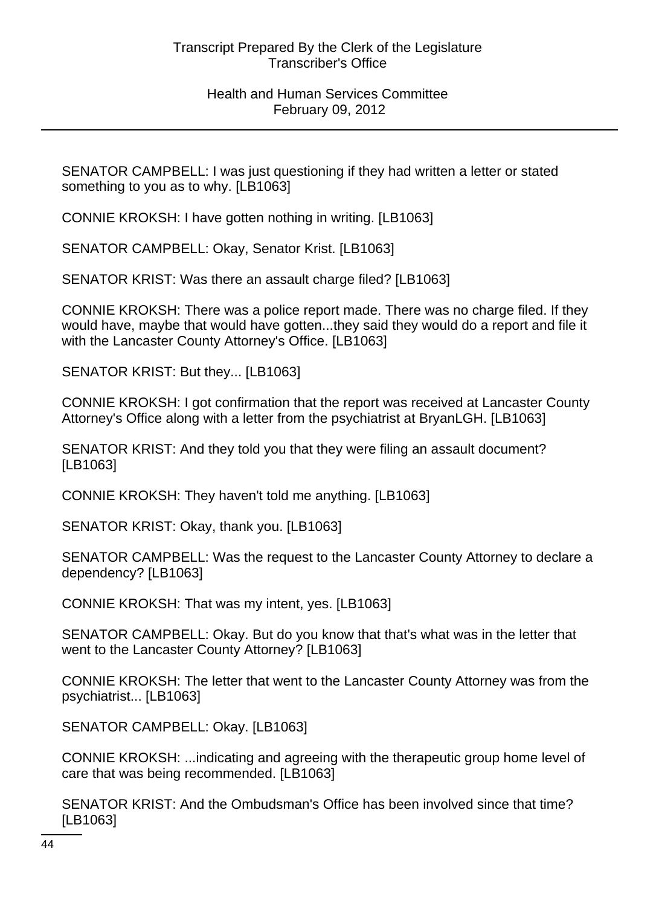SENATOR CAMPBELL: I was just questioning if they had written a letter or stated something to you as to why. [LB1063]

CONNIE KROKSH: I have gotten nothing in writing. [LB1063]

SENATOR CAMPBELL: Okay, Senator Krist. [LB1063]

SENATOR KRIST: Was there an assault charge filed? [LB1063]

CONNIE KROKSH: There was a police report made. There was no charge filed. If they would have, maybe that would have gotten...they said they would do a report and file it with the Lancaster County Attorney's Office. [LB1063]

SENATOR KRIST: But they... [LB1063]

CONNIE KROKSH: I got confirmation that the report was received at Lancaster County Attorney's Office along with a letter from the psychiatrist at BryanLGH. [LB1063]

SENATOR KRIST: And they told you that they were filing an assault document? [LB1063]

CONNIE KROKSH: They haven't told me anything. [LB1063]

SENATOR KRIST: Okay, thank you. [LB1063]

SENATOR CAMPBELL: Was the request to the Lancaster County Attorney to declare a dependency? [LB1063]

CONNIE KROKSH: That was my intent, yes. [LB1063]

SENATOR CAMPBELL: Okay. But do you know that that's what was in the letter that went to the Lancaster County Attorney? [LB1063]

CONNIE KROKSH: The letter that went to the Lancaster County Attorney was from the psychiatrist... [LB1063]

SENATOR CAMPBELL: Okay. [LB1063]

CONNIE KROKSH: ...indicating and agreeing with the therapeutic group home level of care that was being recommended. [LB1063]

SENATOR KRIST: And the Ombudsman's Office has been involved since that time? [LB1063]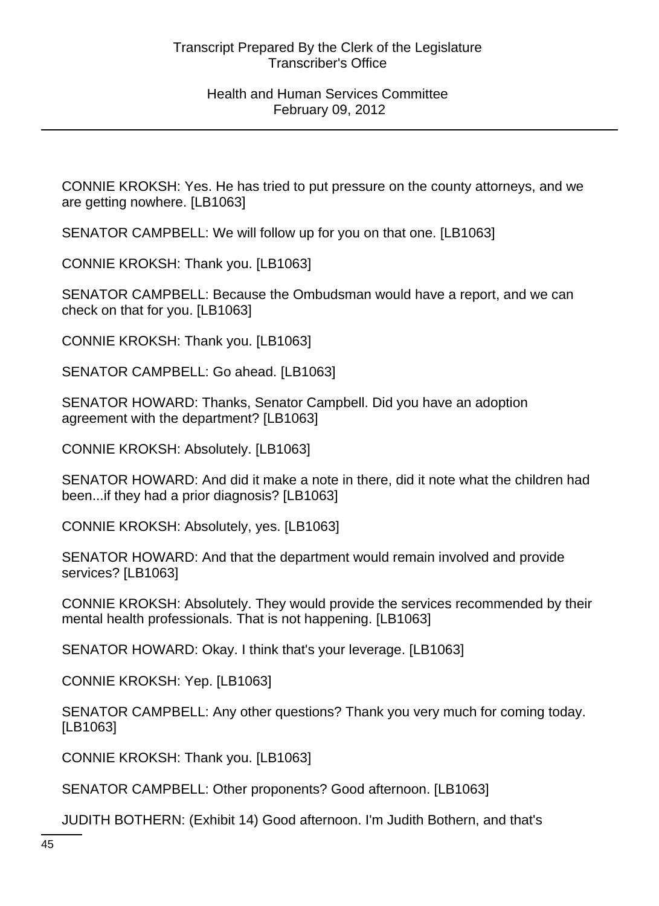CONNIE KROKSH: Yes. He has tried to put pressure on the county attorneys, and we are getting nowhere. [LB1063]

SENATOR CAMPBELL: We will follow up for you on that one. [LB1063]

CONNIE KROKSH: Thank you. [LB1063]

SENATOR CAMPBELL: Because the Ombudsman would have a report, and we can check on that for you. [LB1063]

CONNIE KROKSH: Thank you. [LB1063]

SENATOR CAMPBELL: Go ahead. [LB1063]

SENATOR HOWARD: Thanks, Senator Campbell. Did you have an adoption agreement with the department? [LB1063]

CONNIE KROKSH: Absolutely. [LB1063]

SENATOR HOWARD: And did it make a note in there, did it note what the children had been...if they had a prior diagnosis? [LB1063]

CONNIE KROKSH: Absolutely, yes. [LB1063]

SENATOR HOWARD: And that the department would remain involved and provide services? [LB1063]

CONNIE KROKSH: Absolutely. They would provide the services recommended by their mental health professionals. That is not happening. [LB1063]

SENATOR HOWARD: Okay. I think that's your leverage. [LB1063]

CONNIE KROKSH: Yep. [LB1063]

SENATOR CAMPBELL: Any other questions? Thank you very much for coming today. [LB1063]

CONNIE KROKSH: Thank you. [LB1063]

SENATOR CAMPBELL: Other proponents? Good afternoon. [LB1063]

JUDITH BOTHERN: (Exhibit 14) Good afternoon. I'm Judith Bothern, and that's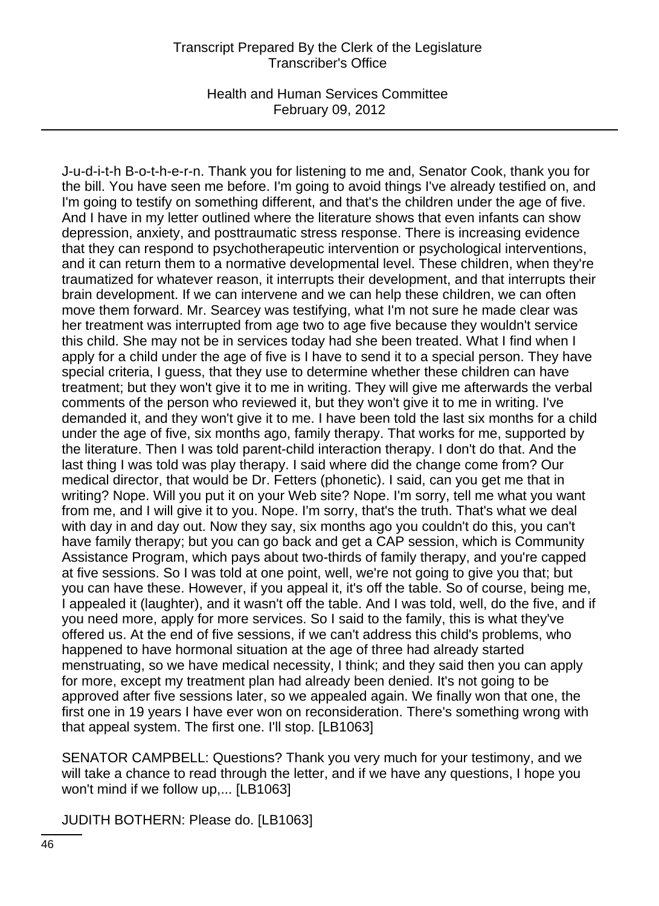Health and Human Services Committee February 09, 2012

J-u-d-i-t-h B-o-t-h-e-r-n. Thank you for listening to me and, Senator Cook, thank you for the bill. You have seen me before. I'm going to avoid things I've already testified on, and I'm going to testify on something different, and that's the children under the age of five. And I have in my letter outlined where the literature shows that even infants can show depression, anxiety, and posttraumatic stress response. There is increasing evidence that they can respond to psychotherapeutic intervention or psychological interventions, and it can return them to a normative developmental level. These children, when they're traumatized for whatever reason, it interrupts their development, and that interrupts their brain development. If we can intervene and we can help these children, we can often move them forward. Mr. Searcey was testifying, what I'm not sure he made clear was her treatment was interrupted from age two to age five because they wouldn't service this child. She may not be in services today had she been treated. What I find when I apply for a child under the age of five is I have to send it to a special person. They have special criteria, I guess, that they use to determine whether these children can have treatment; but they won't give it to me in writing. They will give me afterwards the verbal comments of the person who reviewed it, but they won't give it to me in writing. I've demanded it, and they won't give it to me. I have been told the last six months for a child under the age of five, six months ago, family therapy. That works for me, supported by the literature. Then I was told parent-child interaction therapy. I don't do that. And the last thing I was told was play therapy. I said where did the change come from? Our medical director, that would be Dr. Fetters (phonetic). I said, can you get me that in writing? Nope. Will you put it on your Web site? Nope. I'm sorry, tell me what you want from me, and I will give it to you. Nope. I'm sorry, that's the truth. That's what we deal with day in and day out. Now they say, six months ago you couldn't do this, you can't have family therapy; but you can go back and get a CAP session, which is Community Assistance Program, which pays about two-thirds of family therapy, and you're capped at five sessions. So I was told at one point, well, we're not going to give you that; but you can have these. However, if you appeal it, it's off the table. So of course, being me, I appealed it (laughter), and it wasn't off the table. And I was told, well, do the five, and if you need more, apply for more services. So I said to the family, this is what they've offered us. At the end of five sessions, if we can't address this child's problems, who happened to have hormonal situation at the age of three had already started menstruating, so we have medical necessity, I think; and they said then you can apply for more, except my treatment plan had already been denied. It's not going to be approved after five sessions later, so we appealed again. We finally won that one, the first one in 19 years I have ever won on reconsideration. There's something wrong with that appeal system. The first one. I'll stop. [LB1063]

SENATOR CAMPBELL: Questions? Thank you very much for your testimony, and we will take a chance to read through the letter, and if we have any questions, I hope you won't mind if we follow up,... [LB1063]

JUDITH BOTHERN: Please do. [LB1063]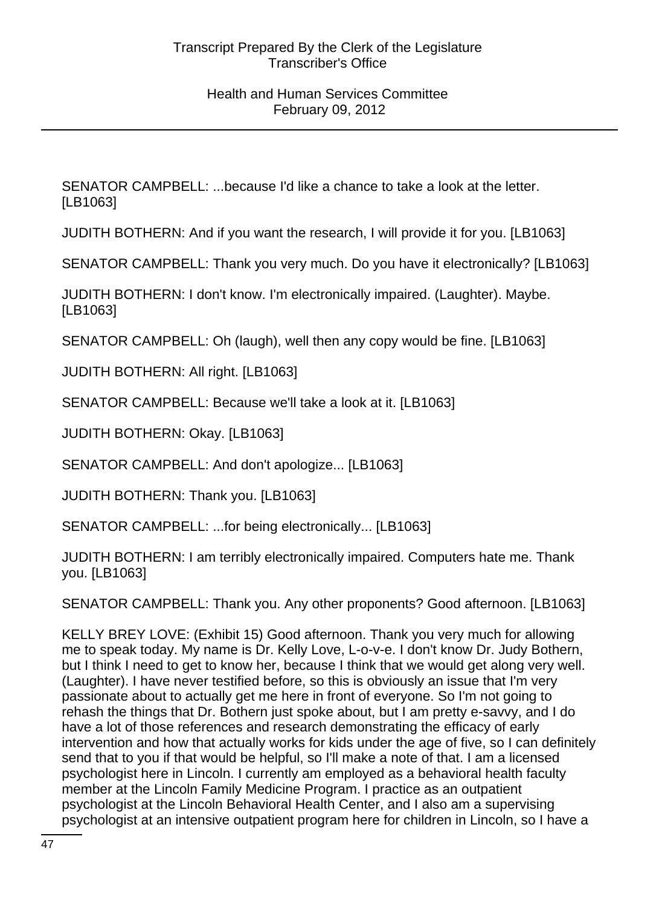SENATOR CAMPBELL: ...because I'd like a chance to take a look at the letter. [LB1063]

JUDITH BOTHERN: And if you want the research, I will provide it for you. [LB1063]

SENATOR CAMPBELL: Thank you very much. Do you have it electronically? [LB1063]

JUDITH BOTHERN: I don't know. I'm electronically impaired. (Laughter). Maybe. [LB1063]

SENATOR CAMPBELL: Oh (laugh), well then any copy would be fine. [LB1063]

JUDITH BOTHERN: All right. [LB1063]

SENATOR CAMPBELL: Because we'll take a look at it. [LB1063]

JUDITH BOTHERN: Okay. [LB1063]

SENATOR CAMPBELL: And don't apologize... [LB1063]

JUDITH BOTHERN: Thank you. [LB1063]

SENATOR CAMPBELL: ...for being electronically... [LB1063]

JUDITH BOTHERN: I am terribly electronically impaired. Computers hate me. Thank you. [LB1063]

SENATOR CAMPBELL: Thank you. Any other proponents? Good afternoon. [LB1063]

KELLY BREY LOVE: (Exhibit 15) Good afternoon. Thank you very much for allowing me to speak today. My name is Dr. Kelly Love, L-o-v-e. I don't know Dr. Judy Bothern, but I think I need to get to know her, because I think that we would get along very well. (Laughter). I have never testified before, so this is obviously an issue that I'm very passionate about to actually get me here in front of everyone. So I'm not going to rehash the things that Dr. Bothern just spoke about, but I am pretty e-savvy, and I do have a lot of those references and research demonstrating the efficacy of early intervention and how that actually works for kids under the age of five, so I can definitely send that to you if that would be helpful, so I'll make a note of that. I am a licensed psychologist here in Lincoln. I currently am employed as a behavioral health faculty member at the Lincoln Family Medicine Program. I practice as an outpatient psychologist at the Lincoln Behavioral Health Center, and I also am a supervising psychologist at an intensive outpatient program here for children in Lincoln, so I have a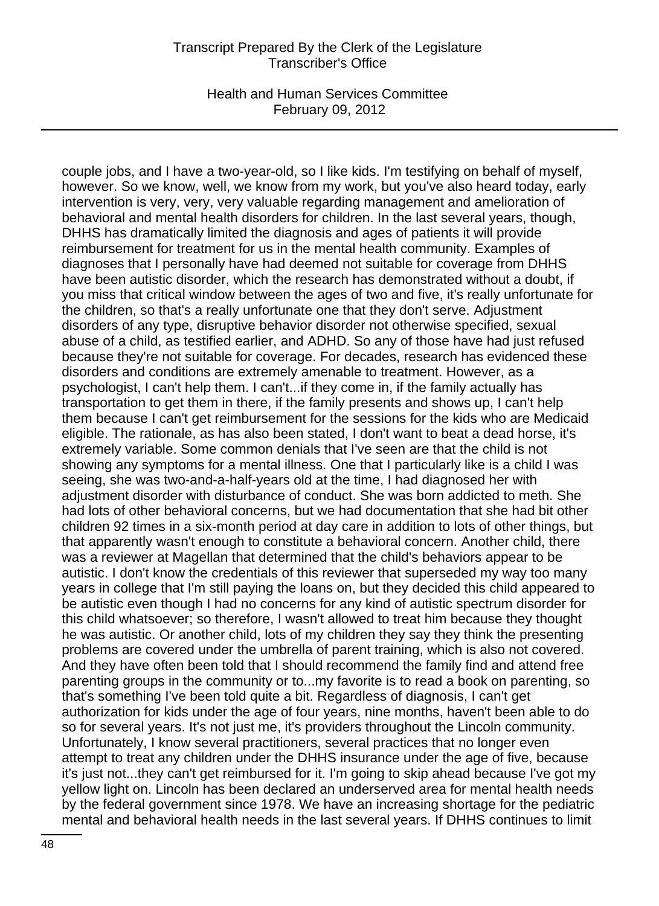Health and Human Services Committee February 09, 2012

couple jobs, and I have a two-year-old, so I like kids. I'm testifying on behalf of myself, however. So we know, well, we know from my work, but you've also heard today, early intervention is very, very, very valuable regarding management and amelioration of behavioral and mental health disorders for children. In the last several years, though, DHHS has dramatically limited the diagnosis and ages of patients it will provide reimbursement for treatment for us in the mental health community. Examples of diagnoses that I personally have had deemed not suitable for coverage from DHHS have been autistic disorder, which the research has demonstrated without a doubt, if you miss that critical window between the ages of two and five, it's really unfortunate for the children, so that's a really unfortunate one that they don't serve. Adjustment disorders of any type, disruptive behavior disorder not otherwise specified, sexual abuse of a child, as testified earlier, and ADHD. So any of those have had just refused because they're not suitable for coverage. For decades, research has evidenced these disorders and conditions are extremely amenable to treatment. However, as a psychologist, I can't help them. I can't...if they come in, if the family actually has transportation to get them in there, if the family presents and shows up, I can't help them because I can't get reimbursement for the sessions for the kids who are Medicaid eligible. The rationale, as has also been stated, I don't want to beat a dead horse, it's extremely variable. Some common denials that I've seen are that the child is not showing any symptoms for a mental illness. One that I particularly like is a child I was seeing, she was two-and-a-half-years old at the time, I had diagnosed her with adjustment disorder with disturbance of conduct. She was born addicted to meth. She had lots of other behavioral concerns, but we had documentation that she had bit other children 92 times in a six-month period at day care in addition to lots of other things, but that apparently wasn't enough to constitute a behavioral concern. Another child, there was a reviewer at Magellan that determined that the child's behaviors appear to be autistic. I don't know the credentials of this reviewer that superseded my way too many years in college that I'm still paying the loans on, but they decided this child appeared to be autistic even though I had no concerns for any kind of autistic spectrum disorder for this child whatsoever; so therefore, I wasn't allowed to treat him because they thought he was autistic. Or another child, lots of my children they say they think the presenting problems are covered under the umbrella of parent training, which is also not covered. And they have often been told that I should recommend the family find and attend free parenting groups in the community or to...my favorite is to read a book on parenting, so that's something I've been told quite a bit. Regardless of diagnosis, I can't get authorization for kids under the age of four years, nine months, haven't been able to do so for several years. It's not just me, it's providers throughout the Lincoln community. Unfortunately, I know several practitioners, several practices that no longer even attempt to treat any children under the DHHS insurance under the age of five, because it's just not...they can't get reimbursed for it. I'm going to skip ahead because I've got my yellow light on. Lincoln has been declared an underserved area for mental health needs by the federal government since 1978. We have an increasing shortage for the pediatric mental and behavioral health needs in the last several years. If DHHS continues to limit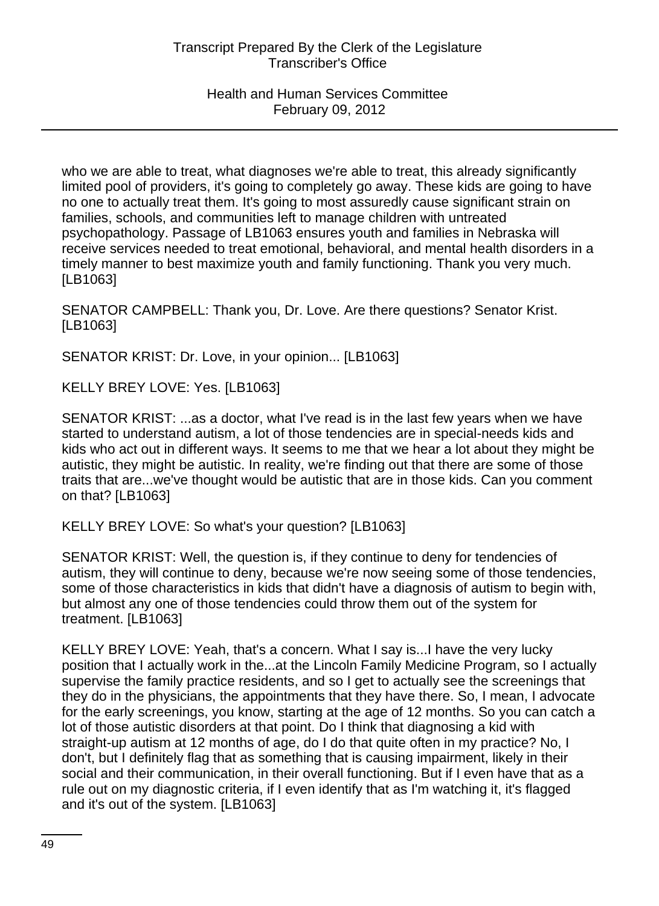who we are able to treat, what diagnoses we're able to treat, this already significantly limited pool of providers, it's going to completely go away. These kids are going to have no one to actually treat them. It's going to most assuredly cause significant strain on families, schools, and communities left to manage children with untreated psychopathology. Passage of LB1063 ensures youth and families in Nebraska will receive services needed to treat emotional, behavioral, and mental health disorders in a timely manner to best maximize youth and family functioning. Thank you very much. [LB1063]

SENATOR CAMPBELL: Thank you, Dr. Love. Are there questions? Senator Krist. [LB1063]

SENATOR KRIST: Dr. Love, in your opinion... [LB1063]

KELLY BREY LOVE: Yes. [LB1063]

SENATOR KRIST: ...as a doctor, what I've read is in the last few years when we have started to understand autism, a lot of those tendencies are in special-needs kids and kids who act out in different ways. It seems to me that we hear a lot about they might be autistic, they might be autistic. In reality, we're finding out that there are some of those traits that are...we've thought would be autistic that are in those kids. Can you comment on that? [LB1063]

KELLY BREY LOVE: So what's your question? [LB1063]

SENATOR KRIST: Well, the question is, if they continue to deny for tendencies of autism, they will continue to deny, because we're now seeing some of those tendencies, some of those characteristics in kids that didn't have a diagnosis of autism to begin with, but almost any one of those tendencies could throw them out of the system for treatment. [LB1063]

KELLY BREY LOVE: Yeah, that's a concern. What I say is...I have the very lucky position that I actually work in the...at the Lincoln Family Medicine Program, so I actually supervise the family practice residents, and so I get to actually see the screenings that they do in the physicians, the appointments that they have there. So, I mean, I advocate for the early screenings, you know, starting at the age of 12 months. So you can catch a lot of those autistic disorders at that point. Do I think that diagnosing a kid with straight-up autism at 12 months of age, do I do that quite often in my practice? No, I don't, but I definitely flag that as something that is causing impairment, likely in their social and their communication, in their overall functioning. But if I even have that as a rule out on my diagnostic criteria, if I even identify that as I'm watching it, it's flagged and it's out of the system. [LB1063]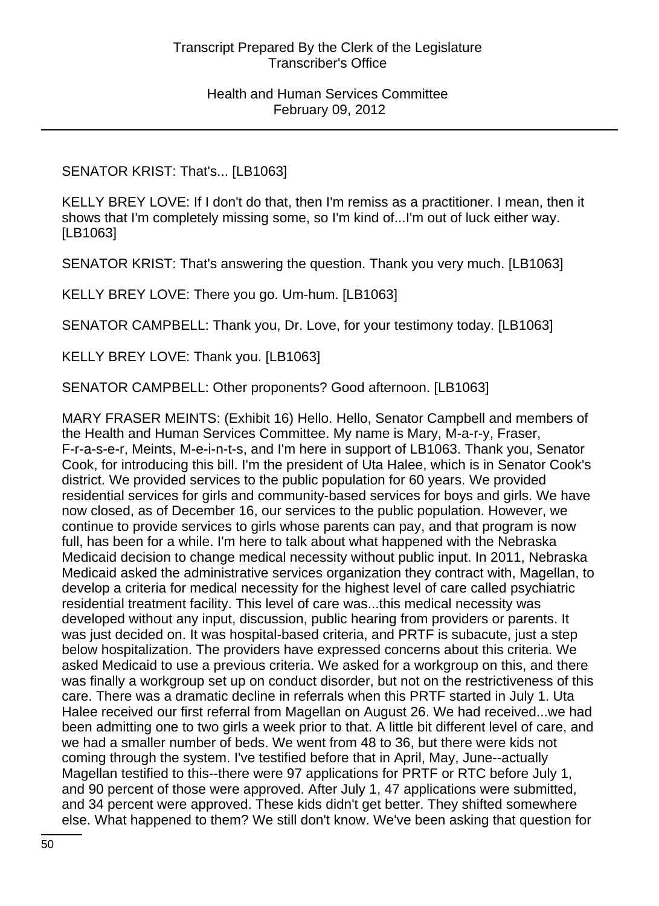SENATOR KRIST: That's... [LB1063]

KELLY BREY LOVE: If I don't do that, then I'm remiss as a practitioner. I mean, then it shows that I'm completely missing some, so I'm kind of...I'm out of luck either way. [LB1063]

SENATOR KRIST: That's answering the question. Thank you very much. [LB1063]

KELLY BREY LOVE: There you go. Um-hum. [LB1063]

SENATOR CAMPBELL: Thank you, Dr. Love, for your testimony today. [LB1063]

KELLY BREY LOVE: Thank you. [LB1063]

SENATOR CAMPBELL: Other proponents? Good afternoon. [LB1063]

MARY FRASER MEINTS: (Exhibit 16) Hello. Hello, Senator Campbell and members of the Health and Human Services Committee. My name is Mary, M-a-r-y, Fraser, F-r-a-s-e-r, Meints, M-e-i-n-t-s, and I'm here in support of LB1063. Thank you, Senator Cook, for introducing this bill. I'm the president of Uta Halee, which is in Senator Cook's district. We provided services to the public population for 60 years. We provided residential services for girls and community-based services for boys and girls. We have now closed, as of December 16, our services to the public population. However, we continue to provide services to girls whose parents can pay, and that program is now full, has been for a while. I'm here to talk about what happened with the Nebraska Medicaid decision to change medical necessity without public input. In 2011, Nebraska Medicaid asked the administrative services organization they contract with, Magellan, to develop a criteria for medical necessity for the highest level of care called psychiatric residential treatment facility. This level of care was...this medical necessity was developed without any input, discussion, public hearing from providers or parents. It was just decided on. It was hospital-based criteria, and PRTF is subacute, just a step below hospitalization. The providers have expressed concerns about this criteria. We asked Medicaid to use a previous criteria. We asked for a workgroup on this, and there was finally a workgroup set up on conduct disorder, but not on the restrictiveness of this care. There was a dramatic decline in referrals when this PRTF started in July 1. Uta Halee received our first referral from Magellan on August 26. We had received...we had been admitting one to two girls a week prior to that. A little bit different level of care, and we had a smaller number of beds. We went from 48 to 36, but there were kids not coming through the system. I've testified before that in April, May, June--actually Magellan testified to this--there were 97 applications for PRTF or RTC before July 1, and 90 percent of those were approved. After July 1, 47 applications were submitted, and 34 percent were approved. These kids didn't get better. They shifted somewhere else. What happened to them? We still don't know. We've been asking that question for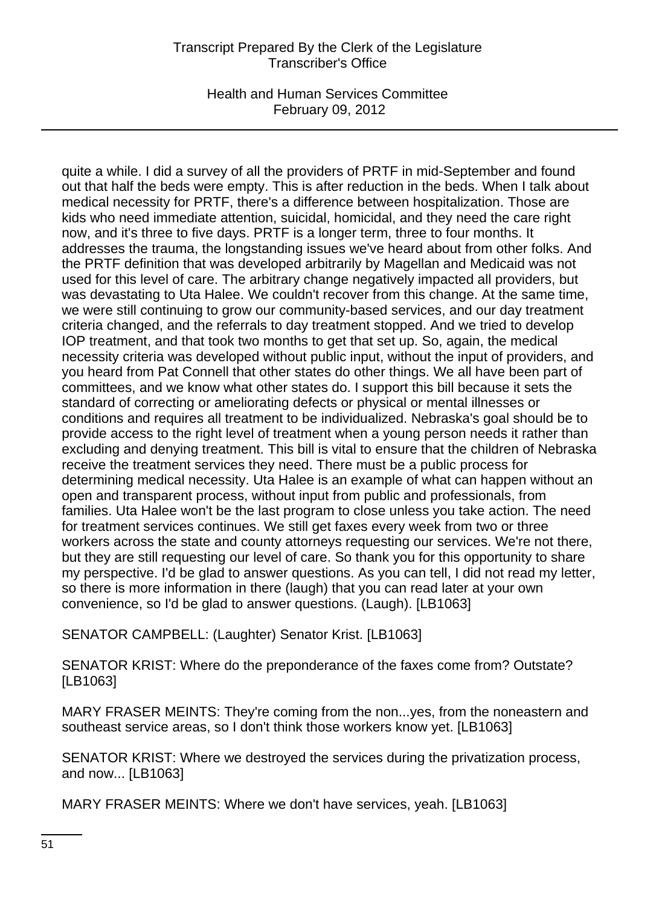Health and Human Services Committee February 09, 2012

quite a while. I did a survey of all the providers of PRTF in mid-September and found out that half the beds were empty. This is after reduction in the beds. When I talk about medical necessity for PRTF, there's a difference between hospitalization. Those are kids who need immediate attention, suicidal, homicidal, and they need the care right now, and it's three to five days. PRTF is a longer term, three to four months. It addresses the trauma, the longstanding issues we've heard about from other folks. And the PRTF definition that was developed arbitrarily by Magellan and Medicaid was not used for this level of care. The arbitrary change negatively impacted all providers, but was devastating to Uta Halee. We couldn't recover from this change. At the same time, we were still continuing to grow our community-based services, and our day treatment criteria changed, and the referrals to day treatment stopped. And we tried to develop IOP treatment, and that took two months to get that set up. So, again, the medical necessity criteria was developed without public input, without the input of providers, and you heard from Pat Connell that other states do other things. We all have been part of committees, and we know what other states do. I support this bill because it sets the standard of correcting or ameliorating defects or physical or mental illnesses or conditions and requires all treatment to be individualized. Nebraska's goal should be to provide access to the right level of treatment when a young person needs it rather than excluding and denying treatment. This bill is vital to ensure that the children of Nebraska receive the treatment services they need. There must be a public process for determining medical necessity. Uta Halee is an example of what can happen without an open and transparent process, without input from public and professionals, from families. Uta Halee won't be the last program to close unless you take action. The need for treatment services continues. We still get faxes every week from two or three workers across the state and county attorneys requesting our services. We're not there, but they are still requesting our level of care. So thank you for this opportunity to share my perspective. I'd be glad to answer questions. As you can tell, I did not read my letter, so there is more information in there (laugh) that you can read later at your own convenience, so I'd be glad to answer questions. (Laugh). [LB1063]

SENATOR CAMPBELL: (Laughter) Senator Krist. [LB1063]

SENATOR KRIST: Where do the preponderance of the faxes come from? Outstate? [LB1063]

MARY FRASER MEINTS: They're coming from the non...yes, from the noneastern and southeast service areas, so I don't think those workers know yet. [LB1063]

SENATOR KRIST: Where we destroyed the services during the privatization process, and now... [LB1063]

MARY FRASER MEINTS: Where we don't have services, yeah. [LB1063]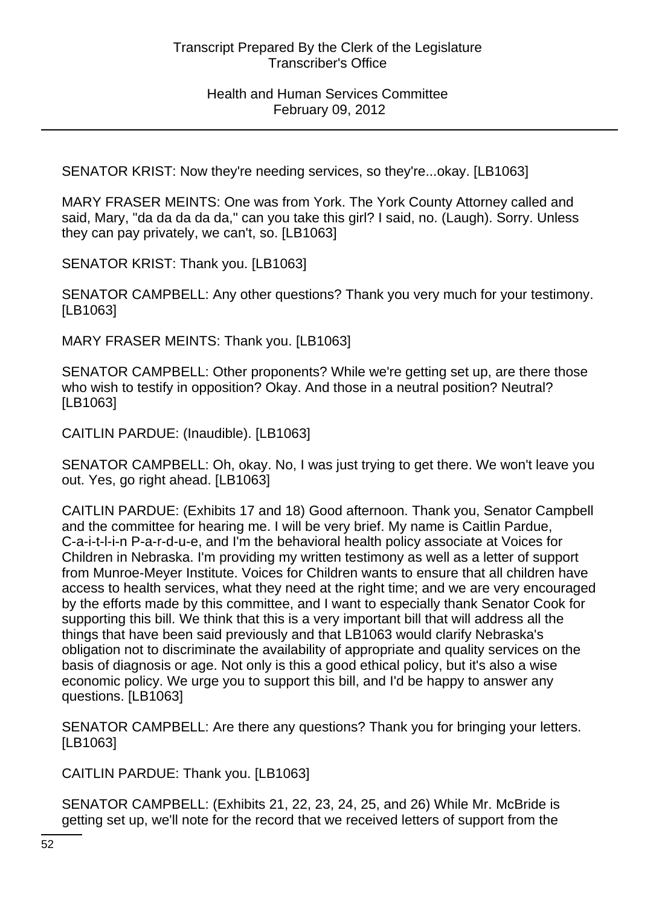SENATOR KRIST: Now they're needing services, so they're...okay. [LB1063]

MARY FRASER MEINTS: One was from York. The York County Attorney called and said, Mary, "da da da da da," can you take this girl? I said, no. (Laugh). Sorry. Unless they can pay privately, we can't, so. [LB1063]

SENATOR KRIST: Thank you. [LB1063]

SENATOR CAMPBELL: Any other questions? Thank you very much for your testimony. [LB1063]

MARY FRASER MEINTS: Thank you. [LB1063]

SENATOR CAMPBELL: Other proponents? While we're getting set up, are there those who wish to testify in opposition? Okay. And those in a neutral position? Neutral? [LB1063]

CAITLIN PARDUE: (Inaudible). [LB1063]

SENATOR CAMPBELL: Oh, okay. No, I was just trying to get there. We won't leave you out. Yes, go right ahead. [LB1063]

CAITLIN PARDUE: (Exhibits 17 and 18) Good afternoon. Thank you, Senator Campbell and the committee for hearing me. I will be very brief. My name is Caitlin Pardue, C-a-i-t-l-i-n P-a-r-d-u-e, and I'm the behavioral health policy associate at Voices for Children in Nebraska. I'm providing my written testimony as well as a letter of support from Munroe-Meyer Institute. Voices for Children wants to ensure that all children have access to health services, what they need at the right time; and we are very encouraged by the efforts made by this committee, and I want to especially thank Senator Cook for supporting this bill. We think that this is a very important bill that will address all the things that have been said previously and that LB1063 would clarify Nebraska's obligation not to discriminate the availability of appropriate and quality services on the basis of diagnosis or age. Not only is this a good ethical policy, but it's also a wise economic policy. We urge you to support this bill, and I'd be happy to answer any questions. [LB1063]

SENATOR CAMPBELL: Are there any questions? Thank you for bringing your letters. [LB1063]

CAITLIN PARDUE: Thank you. [LB1063]

SENATOR CAMPBELL: (Exhibits 21, 22, 23, 24, 25, and 26) While Mr. McBride is getting set up, we'll note for the record that we received letters of support from the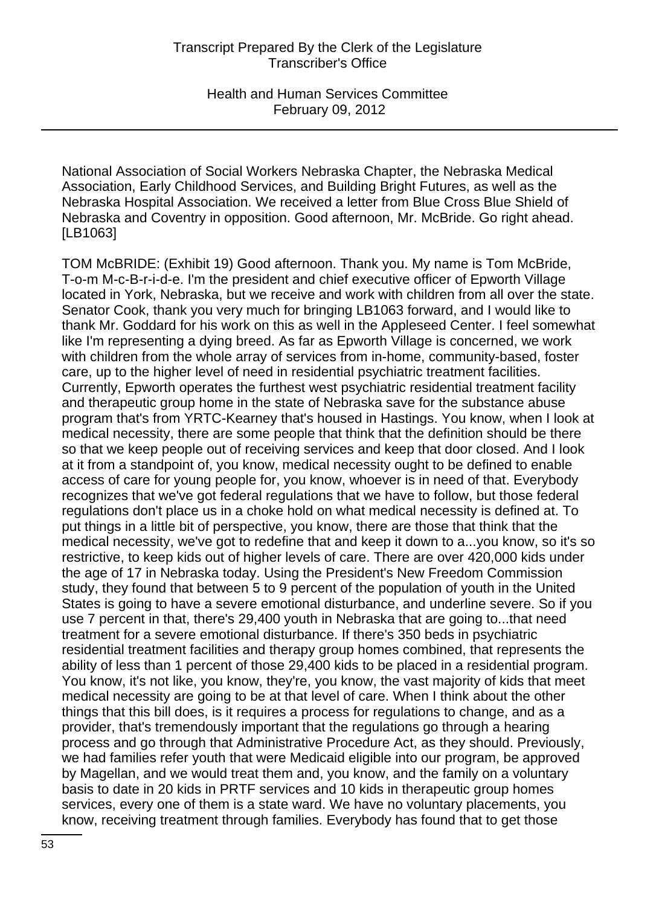National Association of Social Workers Nebraska Chapter, the Nebraska Medical Association, Early Childhood Services, and Building Bright Futures, as well as the Nebraska Hospital Association. We received a letter from Blue Cross Blue Shield of Nebraska and Coventry in opposition. Good afternoon, Mr. McBride. Go right ahead. [LB1063]

TOM McBRIDE: (Exhibit 19) Good afternoon. Thank you. My name is Tom McBride, T-o-m M-c-B-r-i-d-e. I'm the president and chief executive officer of Epworth Village located in York, Nebraska, but we receive and work with children from all over the state. Senator Cook, thank you very much for bringing LB1063 forward, and I would like to thank Mr. Goddard for his work on this as well in the Appleseed Center. I feel somewhat like I'm representing a dying breed. As far as Epworth Village is concerned, we work with children from the whole array of services from in-home, community-based, foster care, up to the higher level of need in residential psychiatric treatment facilities. Currently, Epworth operates the furthest west psychiatric residential treatment facility and therapeutic group home in the state of Nebraska save for the substance abuse program that's from YRTC-Kearney that's housed in Hastings. You know, when I look at medical necessity, there are some people that think that the definition should be there so that we keep people out of receiving services and keep that door closed. And I look at it from a standpoint of, you know, medical necessity ought to be defined to enable access of care for young people for, you know, whoever is in need of that. Everybody recognizes that we've got federal regulations that we have to follow, but those federal regulations don't place us in a choke hold on what medical necessity is defined at. To put things in a little bit of perspective, you know, there are those that think that the medical necessity, we've got to redefine that and keep it down to a...you know, so it's so restrictive, to keep kids out of higher levels of care. There are over 420,000 kids under the age of 17 in Nebraska today. Using the President's New Freedom Commission study, they found that between 5 to 9 percent of the population of youth in the United States is going to have a severe emotional disturbance, and underline severe. So if you use 7 percent in that, there's 29,400 youth in Nebraska that are going to...that need treatment for a severe emotional disturbance. If there's 350 beds in psychiatric residential treatment facilities and therapy group homes combined, that represents the ability of less than 1 percent of those 29,400 kids to be placed in a residential program. You know, it's not like, you know, they're, you know, the vast majority of kids that meet medical necessity are going to be at that level of care. When I think about the other things that this bill does, is it requires a process for regulations to change, and as a provider, that's tremendously important that the regulations go through a hearing process and go through that Administrative Procedure Act, as they should. Previously, we had families refer youth that were Medicaid eligible into our program, be approved by Magellan, and we would treat them and, you know, and the family on a voluntary basis to date in 20 kids in PRTF services and 10 kids in therapeutic group homes services, every one of them is a state ward. We have no voluntary placements, you know, receiving treatment through families. Everybody has found that to get those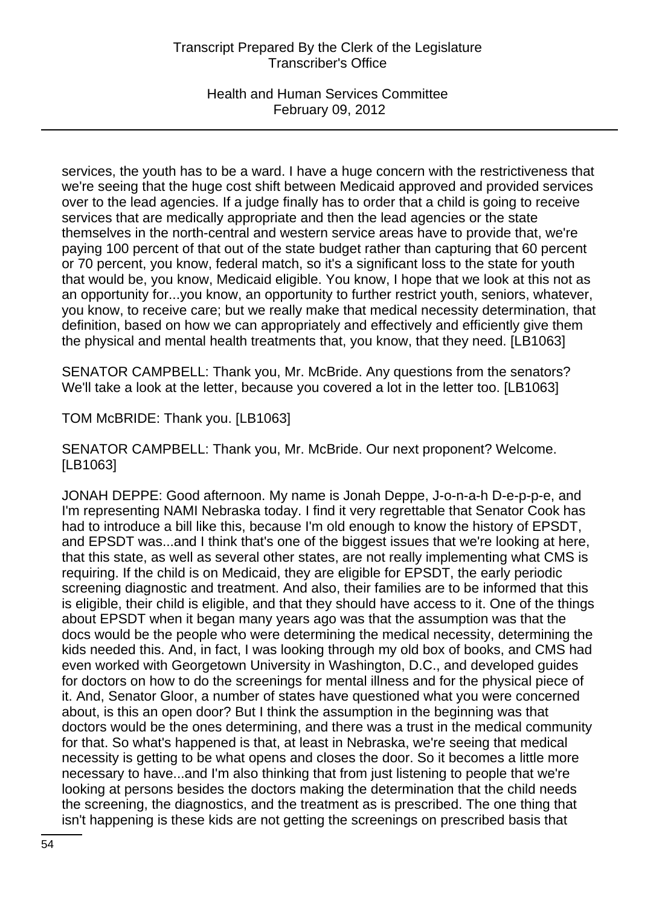Health and Human Services Committee February 09, 2012

services, the youth has to be a ward. I have a huge concern with the restrictiveness that we're seeing that the huge cost shift between Medicaid approved and provided services over to the lead agencies. If a judge finally has to order that a child is going to receive services that are medically appropriate and then the lead agencies or the state themselves in the north-central and western service areas have to provide that, we're paying 100 percent of that out of the state budget rather than capturing that 60 percent or 70 percent, you know, federal match, so it's a significant loss to the state for youth that would be, you know, Medicaid eligible. You know, I hope that we look at this not as an opportunity for...you know, an opportunity to further restrict youth, seniors, whatever, you know, to receive care; but we really make that medical necessity determination, that definition, based on how we can appropriately and effectively and efficiently give them the physical and mental health treatments that, you know, that they need. [LB1063]

SENATOR CAMPBELL: Thank you, Mr. McBride. Any questions from the senators? We'll take a look at the letter, because you covered a lot in the letter too. [LB1063]

TOM McBRIDE: Thank you. [LB1063]

SENATOR CAMPBELL: Thank you, Mr. McBride. Our next proponent? Welcome. [LB1063]

JONAH DEPPE: Good afternoon. My name is Jonah Deppe, J-o-n-a-h D-e-p-p-e, and I'm representing NAMI Nebraska today. I find it very regrettable that Senator Cook has had to introduce a bill like this, because I'm old enough to know the history of EPSDT, and EPSDT was...and I think that's one of the biggest issues that we're looking at here, that this state, as well as several other states, are not really implementing what CMS is requiring. If the child is on Medicaid, they are eligible for EPSDT, the early periodic screening diagnostic and treatment. And also, their families are to be informed that this is eligible, their child is eligible, and that they should have access to it. One of the things about EPSDT when it began many years ago was that the assumption was that the docs would be the people who were determining the medical necessity, determining the kids needed this. And, in fact, I was looking through my old box of books, and CMS had even worked with Georgetown University in Washington, D.C., and developed guides for doctors on how to do the screenings for mental illness and for the physical piece of it. And, Senator Gloor, a number of states have questioned what you were concerned about, is this an open door? But I think the assumption in the beginning was that doctors would be the ones determining, and there was a trust in the medical community for that. So what's happened is that, at least in Nebraska, we're seeing that medical necessity is getting to be what opens and closes the door. So it becomes a little more necessary to have...and I'm also thinking that from just listening to people that we're looking at persons besides the doctors making the determination that the child needs the screening, the diagnostics, and the treatment as is prescribed. The one thing that isn't happening is these kids are not getting the screenings on prescribed basis that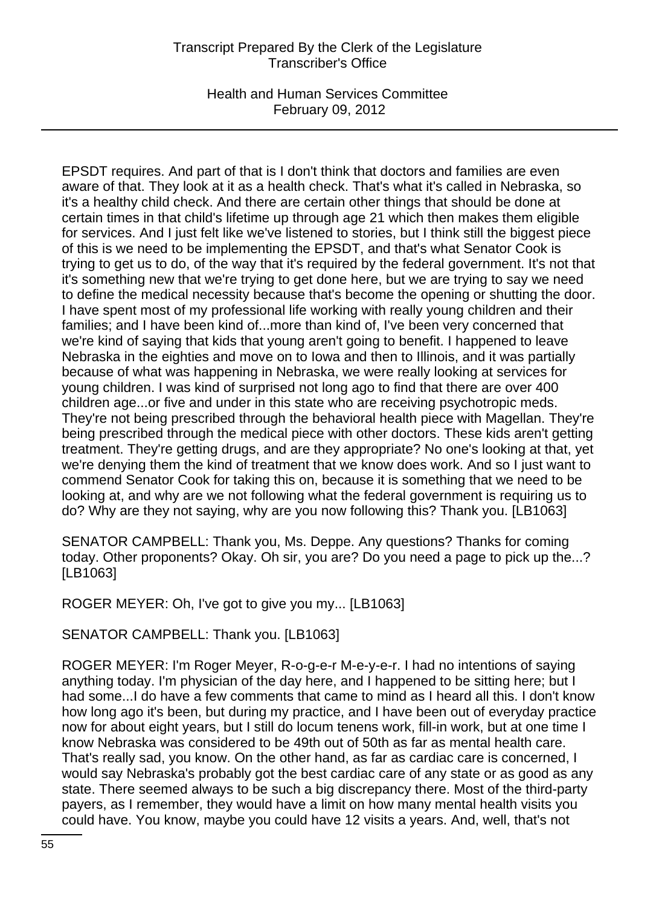Health and Human Services Committee February 09, 2012

EPSDT requires. And part of that is I don't think that doctors and families are even aware of that. They look at it as a health check. That's what it's called in Nebraska, so it's a healthy child check. And there are certain other things that should be done at certain times in that child's lifetime up through age 21 which then makes them eligible for services. And I just felt like we've listened to stories, but I think still the biggest piece of this is we need to be implementing the EPSDT, and that's what Senator Cook is trying to get us to do, of the way that it's required by the federal government. It's not that it's something new that we're trying to get done here, but we are trying to say we need to define the medical necessity because that's become the opening or shutting the door. I have spent most of my professional life working with really young children and their families; and I have been kind of...more than kind of, I've been very concerned that we're kind of saying that kids that young aren't going to benefit. I happened to leave Nebraska in the eighties and move on to Iowa and then to Illinois, and it was partially because of what was happening in Nebraska, we were really looking at services for young children. I was kind of surprised not long ago to find that there are over 400 children age...or five and under in this state who are receiving psychotropic meds. They're not being prescribed through the behavioral health piece with Magellan. They're being prescribed through the medical piece with other doctors. These kids aren't getting treatment. They're getting drugs, and are they appropriate? No one's looking at that, yet we're denying them the kind of treatment that we know does work. And so I just want to commend Senator Cook for taking this on, because it is something that we need to be looking at, and why are we not following what the federal government is requiring us to do? Why are they not saying, why are you now following this? Thank you. [LB1063]

SENATOR CAMPBELL: Thank you, Ms. Deppe. Any questions? Thanks for coming today. Other proponents? Okay. Oh sir, you are? Do you need a page to pick up the...? [LB1063]

ROGER MEYER: Oh, I've got to give you my... [LB1063]

SENATOR CAMPBELL: Thank you. [LB1063]

ROGER MEYER: I'm Roger Meyer, R-o-g-e-r M-e-y-e-r. I had no intentions of saying anything today. I'm physician of the day here, and I happened to be sitting here; but I had some...I do have a few comments that came to mind as I heard all this. I don't know how long ago it's been, but during my practice, and I have been out of everyday practice now for about eight years, but I still do locum tenens work, fill-in work, but at one time I know Nebraska was considered to be 49th out of 50th as far as mental health care. That's really sad, you know. On the other hand, as far as cardiac care is concerned, I would say Nebraska's probably got the best cardiac care of any state or as good as any state. There seemed always to be such a big discrepancy there. Most of the third-party payers, as I remember, they would have a limit on how many mental health visits you could have. You know, maybe you could have 12 visits a years. And, well, that's not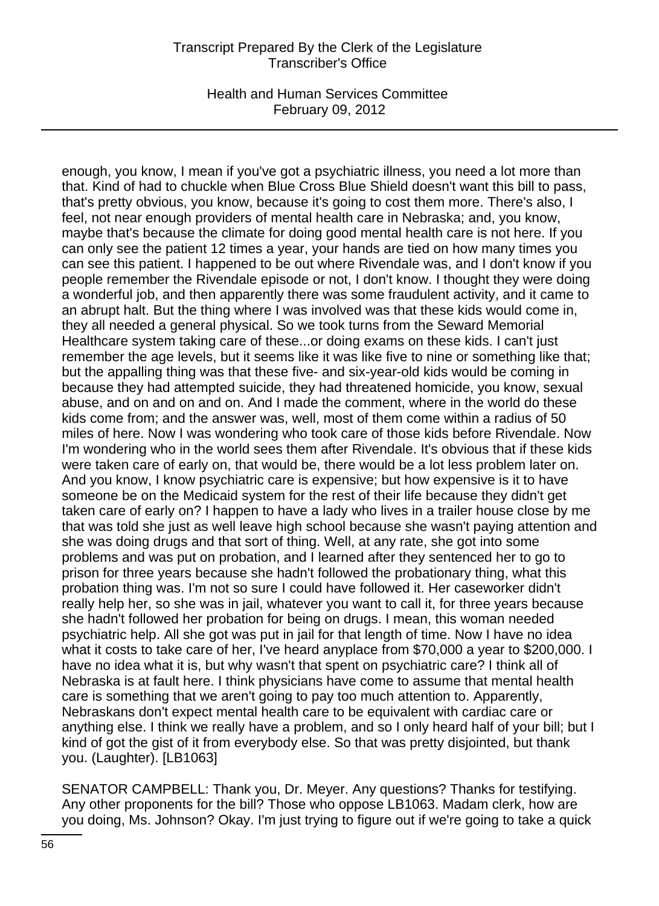Health and Human Services Committee February 09, 2012

enough, you know, I mean if you've got a psychiatric illness, you need a lot more than that. Kind of had to chuckle when Blue Cross Blue Shield doesn't want this bill to pass, that's pretty obvious, you know, because it's going to cost them more. There's also, I feel, not near enough providers of mental health care in Nebraska; and, you know, maybe that's because the climate for doing good mental health care is not here. If you can only see the patient 12 times a year, your hands are tied on how many times you can see this patient. I happened to be out where Rivendale was, and I don't know if you people remember the Rivendale episode or not, I don't know. I thought they were doing a wonderful job, and then apparently there was some fraudulent activity, and it came to an abrupt halt. But the thing where I was involved was that these kids would come in, they all needed a general physical. So we took turns from the Seward Memorial Healthcare system taking care of these...or doing exams on these kids. I can't just remember the age levels, but it seems like it was like five to nine or something like that; but the appalling thing was that these five- and six-year-old kids would be coming in because they had attempted suicide, they had threatened homicide, you know, sexual abuse, and on and on and on. And I made the comment, where in the world do these kids come from; and the answer was, well, most of them come within a radius of 50 miles of here. Now I was wondering who took care of those kids before Rivendale. Now I'm wondering who in the world sees them after Rivendale. It's obvious that if these kids were taken care of early on, that would be, there would be a lot less problem later on. And you know, I know psychiatric care is expensive; but how expensive is it to have someone be on the Medicaid system for the rest of their life because they didn't get taken care of early on? I happen to have a lady who lives in a trailer house close by me that was told she just as well leave high school because she wasn't paying attention and she was doing drugs and that sort of thing. Well, at any rate, she got into some problems and was put on probation, and I learned after they sentenced her to go to prison for three years because she hadn't followed the probationary thing, what this probation thing was. I'm not so sure I could have followed it. Her caseworker didn't really help her, so she was in jail, whatever you want to call it, for three years because she hadn't followed her probation for being on drugs. I mean, this woman needed psychiatric help. All she got was put in jail for that length of time. Now I have no idea what it costs to take care of her, I've heard anyplace from \$70,000 a year to \$200,000. I have no idea what it is, but why wasn't that spent on psychiatric care? I think all of Nebraska is at fault here. I think physicians have come to assume that mental health care is something that we aren't going to pay too much attention to. Apparently, Nebraskans don't expect mental health care to be equivalent with cardiac care or anything else. I think we really have a problem, and so I only heard half of your bill; but I kind of got the gist of it from everybody else. So that was pretty disjointed, but thank you. (Laughter). [LB1063]

SENATOR CAMPBELL: Thank you, Dr. Meyer. Any questions? Thanks for testifying. Any other proponents for the bill? Those who oppose LB1063. Madam clerk, how are you doing, Ms. Johnson? Okay. I'm just trying to figure out if we're going to take a quick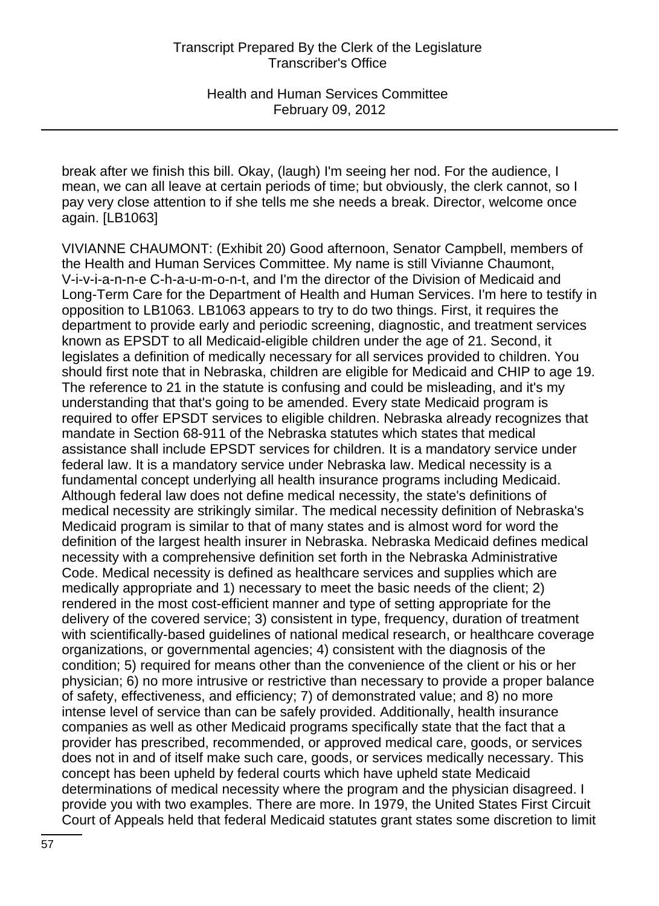break after we finish this bill. Okay, (laugh) I'm seeing her nod. For the audience, I mean, we can all leave at certain periods of time; but obviously, the clerk cannot, so I pay very close attention to if she tells me she needs a break. Director, welcome once again. [LB1063]

VIVIANNE CHAUMONT: (Exhibit 20) Good afternoon, Senator Campbell, members of the Health and Human Services Committee. My name is still Vivianne Chaumont, V-i-v-i-a-n-n-e C-h-a-u-m-o-n-t, and I'm the director of the Division of Medicaid and Long-Term Care for the Department of Health and Human Services. I'm here to testify in opposition to LB1063. LB1063 appears to try to do two things. First, it requires the department to provide early and periodic screening, diagnostic, and treatment services known as EPSDT to all Medicaid-eligible children under the age of 21. Second, it legislates a definition of medically necessary for all services provided to children. You should first note that in Nebraska, children are eligible for Medicaid and CHIP to age 19. The reference to 21 in the statute is confusing and could be misleading, and it's my understanding that that's going to be amended. Every state Medicaid program is required to offer EPSDT services to eligible children. Nebraska already recognizes that mandate in Section 68-911 of the Nebraska statutes which states that medical assistance shall include EPSDT services for children. It is a mandatory service under federal law. It is a mandatory service under Nebraska law. Medical necessity is a fundamental concept underlying all health insurance programs including Medicaid. Although federal law does not define medical necessity, the state's definitions of medical necessity are strikingly similar. The medical necessity definition of Nebraska's Medicaid program is similar to that of many states and is almost word for word the definition of the largest health insurer in Nebraska. Nebraska Medicaid defines medical necessity with a comprehensive definition set forth in the Nebraska Administrative Code. Medical necessity is defined as healthcare services and supplies which are medically appropriate and 1) necessary to meet the basic needs of the client; 2) rendered in the most cost-efficient manner and type of setting appropriate for the delivery of the covered service; 3) consistent in type, frequency, duration of treatment with scientifically-based guidelines of national medical research, or healthcare coverage organizations, or governmental agencies; 4) consistent with the diagnosis of the condition; 5) required for means other than the convenience of the client or his or her physician; 6) no more intrusive or restrictive than necessary to provide a proper balance of safety, effectiveness, and efficiency; 7) of demonstrated value; and 8) no more intense level of service than can be safely provided. Additionally, health insurance companies as well as other Medicaid programs specifically state that the fact that a provider has prescribed, recommended, or approved medical care, goods, or services does not in and of itself make such care, goods, or services medically necessary. This concept has been upheld by federal courts which have upheld state Medicaid determinations of medical necessity where the program and the physician disagreed. I provide you with two examples. There are more. In 1979, the United States First Circuit Court of Appeals held that federal Medicaid statutes grant states some discretion to limit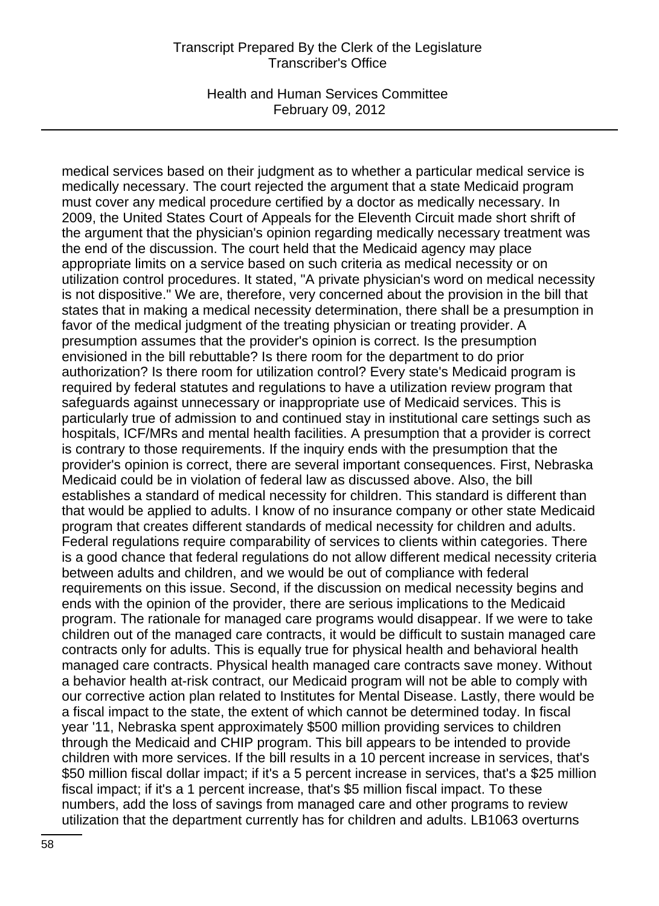Health and Human Services Committee February 09, 2012

medical services based on their judgment as to whether a particular medical service is medically necessary. The court rejected the argument that a state Medicaid program must cover any medical procedure certified by a doctor as medically necessary. In 2009, the United States Court of Appeals for the Eleventh Circuit made short shrift of the argument that the physician's opinion regarding medically necessary treatment was the end of the discussion. The court held that the Medicaid agency may place appropriate limits on a service based on such criteria as medical necessity or on utilization control procedures. It stated, "A private physician's word on medical necessity is not dispositive." We are, therefore, very concerned about the provision in the bill that states that in making a medical necessity determination, there shall be a presumption in favor of the medical judgment of the treating physician or treating provider. A presumption assumes that the provider's opinion is correct. Is the presumption envisioned in the bill rebuttable? Is there room for the department to do prior authorization? Is there room for utilization control? Every state's Medicaid program is required by federal statutes and regulations to have a utilization review program that safeguards against unnecessary or inappropriate use of Medicaid services. This is particularly true of admission to and continued stay in institutional care settings such as hospitals, ICF/MRs and mental health facilities. A presumption that a provider is correct is contrary to those requirements. If the inquiry ends with the presumption that the provider's opinion is correct, there are several important consequences. First, Nebraska Medicaid could be in violation of federal law as discussed above. Also, the bill establishes a standard of medical necessity for children. This standard is different than that would be applied to adults. I know of no insurance company or other state Medicaid program that creates different standards of medical necessity for children and adults. Federal regulations require comparability of services to clients within categories. There is a good chance that federal regulations do not allow different medical necessity criteria between adults and children, and we would be out of compliance with federal requirements on this issue. Second, if the discussion on medical necessity begins and ends with the opinion of the provider, there are serious implications to the Medicaid program. The rationale for managed care programs would disappear. If we were to take children out of the managed care contracts, it would be difficult to sustain managed care contracts only for adults. This is equally true for physical health and behavioral health managed care contracts. Physical health managed care contracts save money. Without a behavior health at-risk contract, our Medicaid program will not be able to comply with our corrective action plan related to Institutes for Mental Disease. Lastly, there would be a fiscal impact to the state, the extent of which cannot be determined today. In fiscal year '11, Nebraska spent approximately \$500 million providing services to children through the Medicaid and CHIP program. This bill appears to be intended to provide children with more services. If the bill results in a 10 percent increase in services, that's \$50 million fiscal dollar impact; if it's a 5 percent increase in services, that's a \$25 million fiscal impact; if it's a 1 percent increase, that's \$5 million fiscal impact. To these numbers, add the loss of savings from managed care and other programs to review utilization that the department currently has for children and adults. LB1063 overturns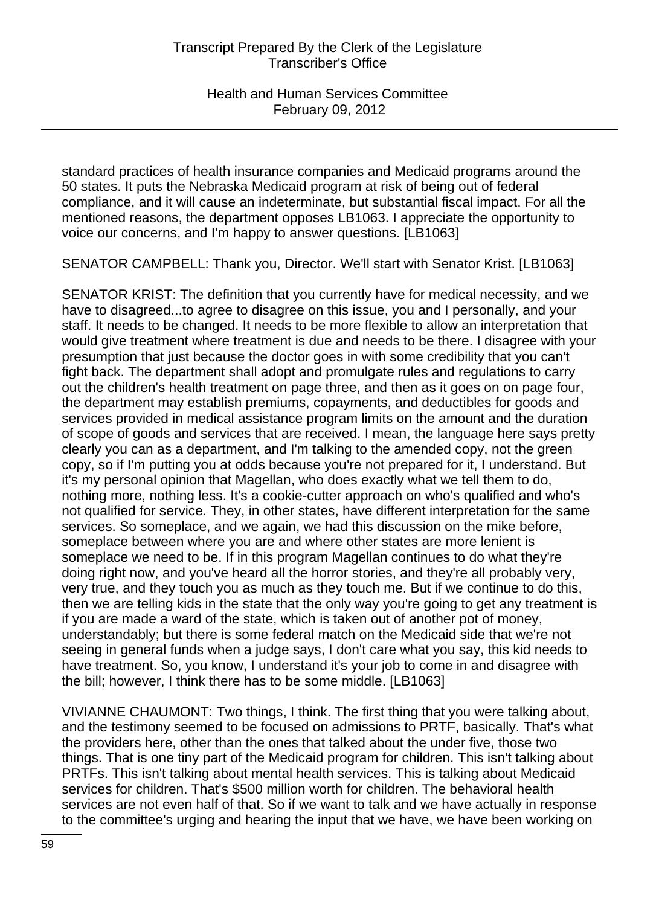standard practices of health insurance companies and Medicaid programs around the 50 states. It puts the Nebraska Medicaid program at risk of being out of federal compliance, and it will cause an indeterminate, but substantial fiscal impact. For all the mentioned reasons, the department opposes LB1063. I appreciate the opportunity to voice our concerns, and I'm happy to answer questions. [LB1063]

SENATOR CAMPBELL: Thank you, Director. We'll start with Senator Krist. [LB1063]

SENATOR KRIST: The definition that you currently have for medical necessity, and we have to disagreed...to agree to disagree on this issue, you and I personally, and your staff. It needs to be changed. It needs to be more flexible to allow an interpretation that would give treatment where treatment is due and needs to be there. I disagree with your presumption that just because the doctor goes in with some credibility that you can't fight back. The department shall adopt and promulgate rules and regulations to carry out the children's health treatment on page three, and then as it goes on on page four, the department may establish premiums, copayments, and deductibles for goods and services provided in medical assistance program limits on the amount and the duration of scope of goods and services that are received. I mean, the language here says pretty clearly you can as a department, and I'm talking to the amended copy, not the green copy, so if I'm putting you at odds because you're not prepared for it, I understand. But it's my personal opinion that Magellan, who does exactly what we tell them to do, nothing more, nothing less. It's a cookie-cutter approach on who's qualified and who's not qualified for service. They, in other states, have different interpretation for the same services. So someplace, and we again, we had this discussion on the mike before, someplace between where you are and where other states are more lenient is someplace we need to be. If in this program Magellan continues to do what they're doing right now, and you've heard all the horror stories, and they're all probably very, very true, and they touch you as much as they touch me. But if we continue to do this, then we are telling kids in the state that the only way you're going to get any treatment is if you are made a ward of the state, which is taken out of another pot of money, understandably; but there is some federal match on the Medicaid side that we're not seeing in general funds when a judge says, I don't care what you say, this kid needs to have treatment. So, you know, I understand it's your job to come in and disagree with the bill; however, I think there has to be some middle. [LB1063]

VIVIANNE CHAUMONT: Two things, I think. The first thing that you were talking about, and the testimony seemed to be focused on admissions to PRTF, basically. That's what the providers here, other than the ones that talked about the under five, those two things. That is one tiny part of the Medicaid program for children. This isn't talking about PRTFs. This isn't talking about mental health services. This is talking about Medicaid services for children. That's \$500 million worth for children. The behavioral health services are not even half of that. So if we want to talk and we have actually in response to the committee's urging and hearing the input that we have, we have been working on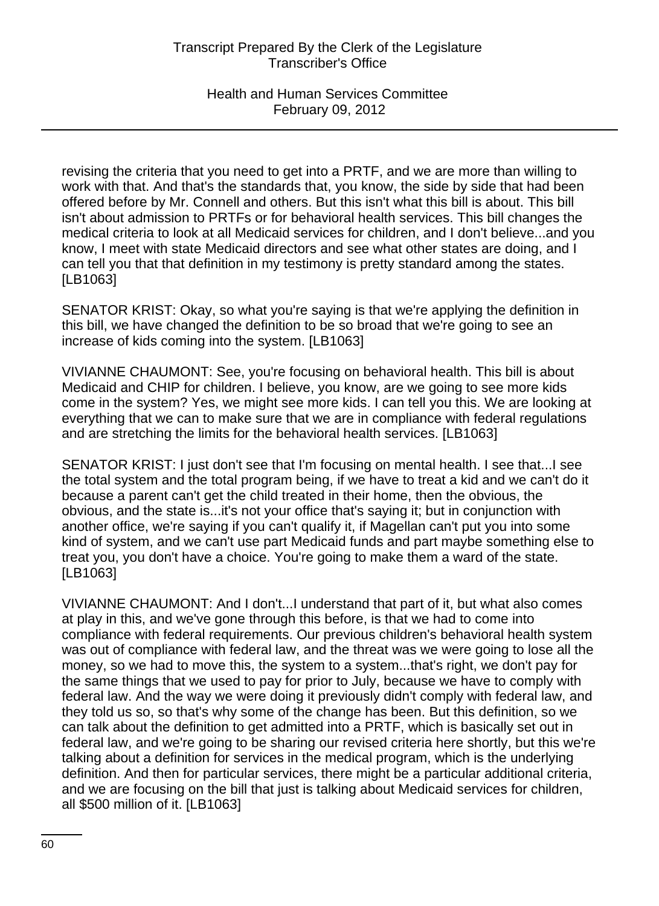revising the criteria that you need to get into a PRTF, and we are more than willing to work with that. And that's the standards that, you know, the side by side that had been offered before by Mr. Connell and others. But this isn't what this bill is about. This bill isn't about admission to PRTFs or for behavioral health services. This bill changes the medical criteria to look at all Medicaid services for children, and I don't believe...and you know, I meet with state Medicaid directors and see what other states are doing, and I can tell you that that definition in my testimony is pretty standard among the states. [LB1063]

SENATOR KRIST: Okay, so what you're saying is that we're applying the definition in this bill, we have changed the definition to be so broad that we're going to see an increase of kids coming into the system. [LB1063]

VIVIANNE CHAUMONT: See, you're focusing on behavioral health. This bill is about Medicaid and CHIP for children. I believe, you know, are we going to see more kids come in the system? Yes, we might see more kids. I can tell you this. We are looking at everything that we can to make sure that we are in compliance with federal regulations and are stretching the limits for the behavioral health services. [LB1063]

SENATOR KRIST: I just don't see that I'm focusing on mental health. I see that...I see the total system and the total program being, if we have to treat a kid and we can't do it because a parent can't get the child treated in their home, then the obvious, the obvious, and the state is...it's not your office that's saying it; but in conjunction with another office, we're saying if you can't qualify it, if Magellan can't put you into some kind of system, and we can't use part Medicaid funds and part maybe something else to treat you, you don't have a choice. You're going to make them a ward of the state. [LB1063]

VIVIANNE CHAUMONT: And I don't...I understand that part of it, but what also comes at play in this, and we've gone through this before, is that we had to come into compliance with federal requirements. Our previous children's behavioral health system was out of compliance with federal law, and the threat was we were going to lose all the money, so we had to move this, the system to a system...that's right, we don't pay for the same things that we used to pay for prior to July, because we have to comply with federal law. And the way we were doing it previously didn't comply with federal law, and they told us so, so that's why some of the change has been. But this definition, so we can talk about the definition to get admitted into a PRTF, which is basically set out in federal law, and we're going to be sharing our revised criteria here shortly, but this we're talking about a definition for services in the medical program, which is the underlying definition. And then for particular services, there might be a particular additional criteria, and we are focusing on the bill that just is talking about Medicaid services for children, all \$500 million of it. [LB1063]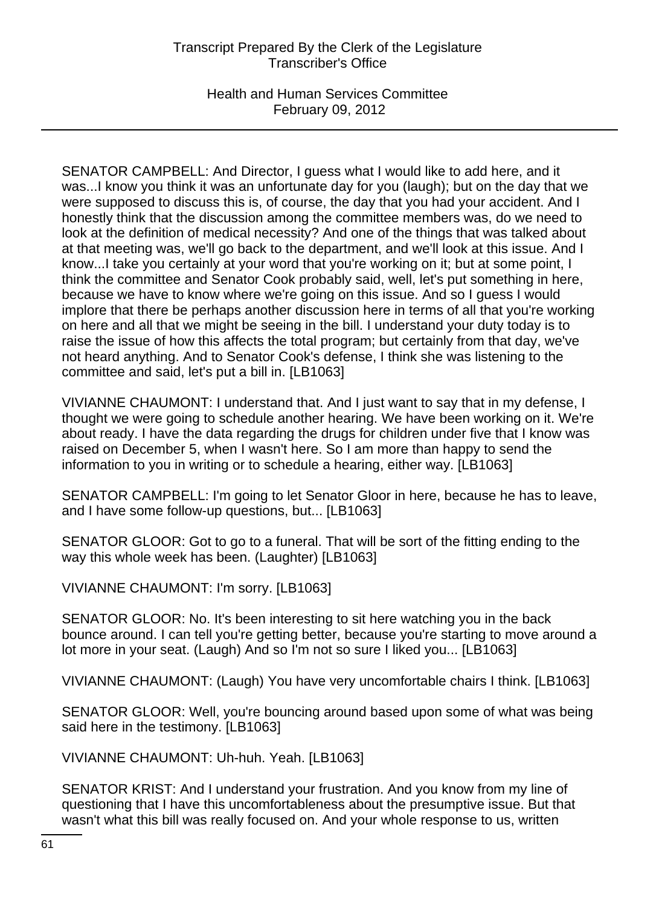Health and Human Services Committee February 09, 2012

SENATOR CAMPBELL: And Director, I guess what I would like to add here, and it was...I know you think it was an unfortunate day for you (laugh); but on the day that we were supposed to discuss this is, of course, the day that you had your accident. And I honestly think that the discussion among the committee members was, do we need to look at the definition of medical necessity? And one of the things that was talked about at that meeting was, we'll go back to the department, and we'll look at this issue. And I know...I take you certainly at your word that you're working on it; but at some point, I think the committee and Senator Cook probably said, well, let's put something in here, because we have to know where we're going on this issue. And so I guess I would implore that there be perhaps another discussion here in terms of all that you're working on here and all that we might be seeing in the bill. I understand your duty today is to raise the issue of how this affects the total program; but certainly from that day, we've not heard anything. And to Senator Cook's defense, I think she was listening to the committee and said, let's put a bill in. [LB1063]

VIVIANNE CHAUMONT: I understand that. And I just want to say that in my defense, I thought we were going to schedule another hearing. We have been working on it. We're about ready. I have the data regarding the drugs for children under five that I know was raised on December 5, when I wasn't here. So I am more than happy to send the information to you in writing or to schedule a hearing, either way. [LB1063]

SENATOR CAMPBELL: I'm going to let Senator Gloor in here, because he has to leave, and I have some follow-up questions, but... [LB1063]

SENATOR GLOOR: Got to go to a funeral. That will be sort of the fitting ending to the way this whole week has been. (Laughter) [LB1063]

VIVIANNE CHAUMONT: I'm sorry. [LB1063]

SENATOR GLOOR: No. It's been interesting to sit here watching you in the back bounce around. I can tell you're getting better, because you're starting to move around a lot more in your seat. (Laugh) And so I'm not so sure I liked you... [LB1063]

VIVIANNE CHAUMONT: (Laugh) You have very uncomfortable chairs I think. [LB1063]

SENATOR GLOOR: Well, you're bouncing around based upon some of what was being said here in the testimony. [LB1063]

VIVIANNE CHAUMONT: Uh-huh. Yeah. [LB1063]

SENATOR KRIST: And I understand your frustration. And you know from my line of questioning that I have this uncomfortableness about the presumptive issue. But that wasn't what this bill was really focused on. And your whole response to us, written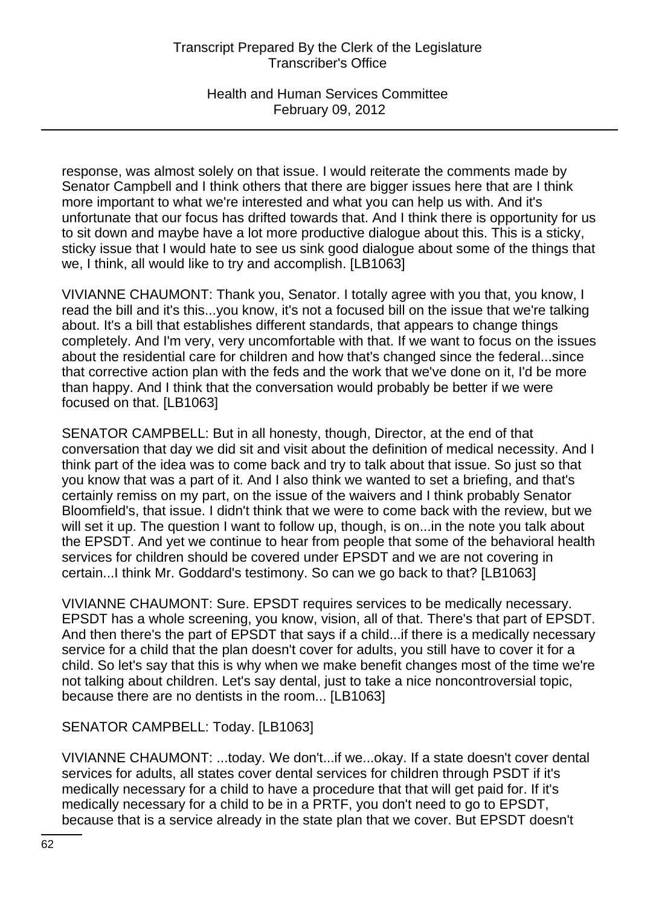Health and Human Services Committee February 09, 2012

response, was almost solely on that issue. I would reiterate the comments made by Senator Campbell and I think others that there are bigger issues here that are I think more important to what we're interested and what you can help us with. And it's unfortunate that our focus has drifted towards that. And I think there is opportunity for us to sit down and maybe have a lot more productive dialogue about this. This is a sticky, sticky issue that I would hate to see us sink good dialogue about some of the things that we, I think, all would like to try and accomplish. [LB1063]

VIVIANNE CHAUMONT: Thank you, Senator. I totally agree with you that, you know, I read the bill and it's this...you know, it's not a focused bill on the issue that we're talking about. It's a bill that establishes different standards, that appears to change things completely. And I'm very, very uncomfortable with that. If we want to focus on the issues about the residential care for children and how that's changed since the federal...since that corrective action plan with the feds and the work that we've done on it, I'd be more than happy. And I think that the conversation would probably be better if we were focused on that. [LB1063]

SENATOR CAMPBELL: But in all honesty, though, Director, at the end of that conversation that day we did sit and visit about the definition of medical necessity. And I think part of the idea was to come back and try to talk about that issue. So just so that you know that was a part of it. And I also think we wanted to set a briefing, and that's certainly remiss on my part, on the issue of the waivers and I think probably Senator Bloomfield's, that issue. I didn't think that we were to come back with the review, but we will set it up. The question I want to follow up, though, is on...in the note you talk about the EPSDT. And yet we continue to hear from people that some of the behavioral health services for children should be covered under EPSDT and we are not covering in certain...I think Mr. Goddard's testimony. So can we go back to that? [LB1063]

VIVIANNE CHAUMONT: Sure. EPSDT requires services to be medically necessary. EPSDT has a whole screening, you know, vision, all of that. There's that part of EPSDT. And then there's the part of EPSDT that says if a child...if there is a medically necessary service for a child that the plan doesn't cover for adults, you still have to cover it for a child. So let's say that this is why when we make benefit changes most of the time we're not talking about children. Let's say dental, just to take a nice noncontroversial topic, because there are no dentists in the room... [LB1063]

SENATOR CAMPBELL: Today. [LB1063]

VIVIANNE CHAUMONT: ...today. We don't...if we...okay. If a state doesn't cover dental services for adults, all states cover dental services for children through PSDT if it's medically necessary for a child to have a procedure that that will get paid for. If it's medically necessary for a child to be in a PRTF, you don't need to go to EPSDT, because that is a service already in the state plan that we cover. But EPSDT doesn't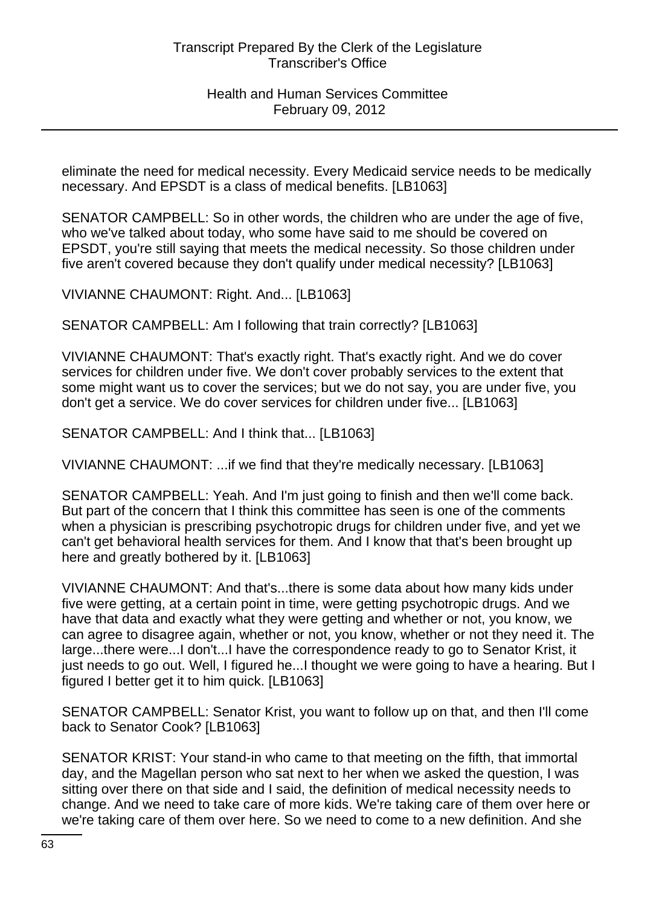eliminate the need for medical necessity. Every Medicaid service needs to be medically necessary. And EPSDT is a class of medical benefits. [LB1063]

SENATOR CAMPBELL: So in other words, the children who are under the age of five, who we've talked about today, who some have said to me should be covered on EPSDT, you're still saying that meets the medical necessity. So those children under five aren't covered because they don't qualify under medical necessity? [LB1063]

VIVIANNE CHAUMONT: Right. And... [LB1063]

SENATOR CAMPBELL: Am I following that train correctly? [LB1063]

VIVIANNE CHAUMONT: That's exactly right. That's exactly right. And we do cover services for children under five. We don't cover probably services to the extent that some might want us to cover the services; but we do not say, you are under five, you don't get a service. We do cover services for children under five... [LB1063]

SENATOR CAMPBELL: And I think that... [LB1063]

VIVIANNE CHAUMONT: ...if we find that they're medically necessary. [LB1063]

SENATOR CAMPBELL: Yeah. And I'm just going to finish and then we'll come back. But part of the concern that I think this committee has seen is one of the comments when a physician is prescribing psychotropic drugs for children under five, and yet we can't get behavioral health services for them. And I know that that's been brought up here and greatly bothered by it. [LB1063]

VIVIANNE CHAUMONT: And that's...there is some data about how many kids under five were getting, at a certain point in time, were getting psychotropic drugs. And we have that data and exactly what they were getting and whether or not, you know, we can agree to disagree again, whether or not, you know, whether or not they need it. The large...there were...I don't...I have the correspondence ready to go to Senator Krist, it just needs to go out. Well, I figured he...I thought we were going to have a hearing. But I figured I better get it to him quick. [LB1063]

SENATOR CAMPBELL: Senator Krist, you want to follow up on that, and then I'll come back to Senator Cook? [LB1063]

SENATOR KRIST: Your stand-in who came to that meeting on the fifth, that immortal day, and the Magellan person who sat next to her when we asked the question, I was sitting over there on that side and I said, the definition of medical necessity needs to change. And we need to take care of more kids. We're taking care of them over here or we're taking care of them over here. So we need to come to a new definition. And she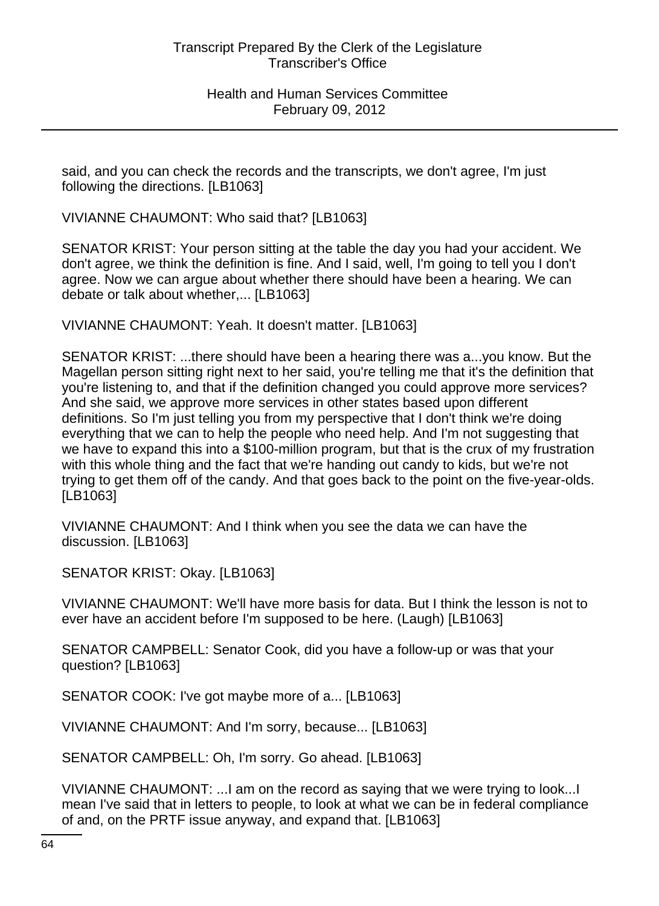said, and you can check the records and the transcripts, we don't agree, I'm just following the directions. [LB1063]

VIVIANNE CHAUMONT: Who said that? [LB1063]

SENATOR KRIST: Your person sitting at the table the day you had your accident. We don't agree, we think the definition is fine. And I said, well, I'm going to tell you I don't agree. Now we can argue about whether there should have been a hearing. We can debate or talk about whether,... [LB1063]

VIVIANNE CHAUMONT: Yeah. It doesn't matter. [LB1063]

SENATOR KRIST: ...there should have been a hearing there was a...you know. But the Magellan person sitting right next to her said, you're telling me that it's the definition that you're listening to, and that if the definition changed you could approve more services? And she said, we approve more services in other states based upon different definitions. So I'm just telling you from my perspective that I don't think we're doing everything that we can to help the people who need help. And I'm not suggesting that we have to expand this into a \$100-million program, but that is the crux of my frustration with this whole thing and the fact that we're handing out candy to kids, but we're not trying to get them off of the candy. And that goes back to the point on the five-year-olds. [LB1063]

VIVIANNE CHAUMONT: And I think when you see the data we can have the discussion. [LB1063]

SENATOR KRIST: Okay. [LB1063]

VIVIANNE CHAUMONT: We'll have more basis for data. But I think the lesson is not to ever have an accident before I'm supposed to be here. (Laugh) [LB1063]

SENATOR CAMPBELL: Senator Cook, did you have a follow-up or was that your question? [LB1063]

SENATOR COOK: I've got maybe more of a... [LB1063]

VIVIANNE CHAUMONT: And I'm sorry, because... [LB1063]

SENATOR CAMPBELL: Oh, I'm sorry. Go ahead. [LB1063]

VIVIANNE CHAUMONT: ...I am on the record as saying that we were trying to look...I mean I've said that in letters to people, to look at what we can be in federal compliance of and, on the PRTF issue anyway, and expand that. [LB1063]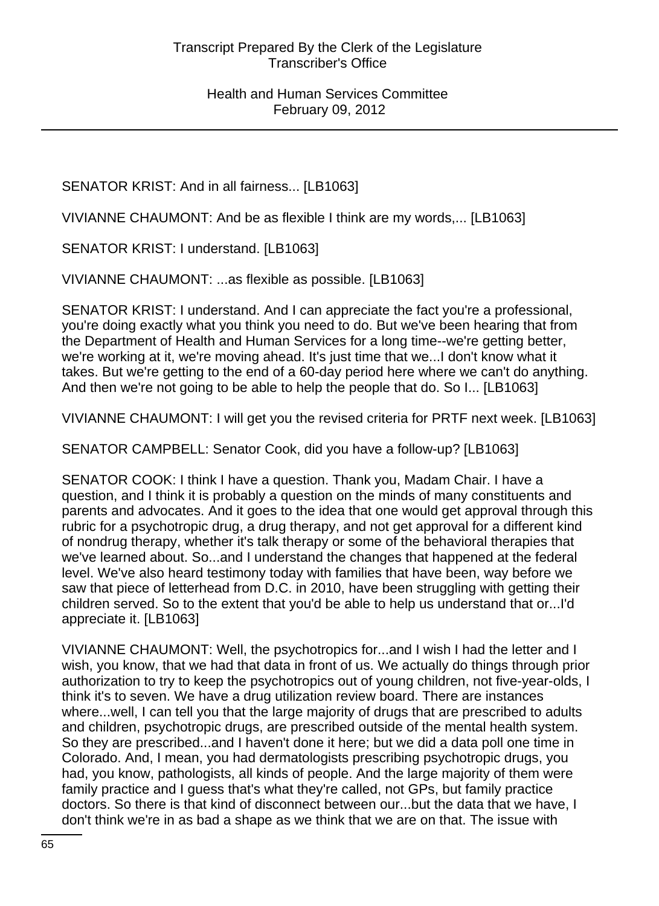SENATOR KRIST: And in all fairness... [LB1063]

VIVIANNE CHAUMONT: And be as flexible I think are my words,... [LB1063]

SENATOR KRIST: I understand. [LB1063]

VIVIANNE CHAUMONT: ...as flexible as possible. [LB1063]

SENATOR KRIST: I understand. And I can appreciate the fact you're a professional, you're doing exactly what you think you need to do. But we've been hearing that from the Department of Health and Human Services for a long time--we're getting better, we're working at it, we're moving ahead. It's just time that we...I don't know what it takes. But we're getting to the end of a 60-day period here where we can't do anything. And then we're not going to be able to help the people that do. So I... [LB1063]

VIVIANNE CHAUMONT: I will get you the revised criteria for PRTF next week. [LB1063]

SENATOR CAMPBELL: Senator Cook, did you have a follow-up? [LB1063]

SENATOR COOK: I think I have a question. Thank you, Madam Chair. I have a question, and I think it is probably a question on the minds of many constituents and parents and advocates. And it goes to the idea that one would get approval through this rubric for a psychotropic drug, a drug therapy, and not get approval for a different kind of nondrug therapy, whether it's talk therapy or some of the behavioral therapies that we've learned about. So...and I understand the changes that happened at the federal level. We've also heard testimony today with families that have been, way before we saw that piece of letterhead from D.C. in 2010, have been struggling with getting their children served. So to the extent that you'd be able to help us understand that or...I'd appreciate it. [LB1063]

VIVIANNE CHAUMONT: Well, the psychotropics for...and I wish I had the letter and I wish, you know, that we had that data in front of us. We actually do things through prior authorization to try to keep the psychotropics out of young children, not five-year-olds, I think it's to seven. We have a drug utilization review board. There are instances where...well, I can tell you that the large majority of drugs that are prescribed to adults and children, psychotropic drugs, are prescribed outside of the mental health system. So they are prescribed...and I haven't done it here; but we did a data poll one time in Colorado. And, I mean, you had dermatologists prescribing psychotropic drugs, you had, you know, pathologists, all kinds of people. And the large majority of them were family practice and I guess that's what they're called, not GPs, but family practice doctors. So there is that kind of disconnect between our...but the data that we have, I don't think we're in as bad a shape as we think that we are on that. The issue with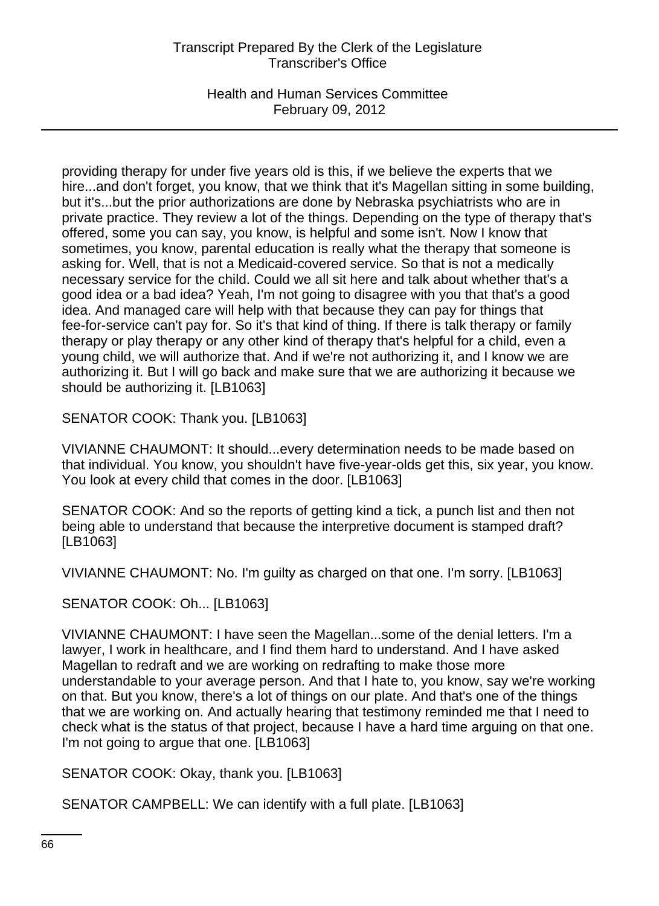Health and Human Services Committee February 09, 2012

providing therapy for under five years old is this, if we believe the experts that we hire...and don't forget, you know, that we think that it's Magellan sitting in some building, but it's...but the prior authorizations are done by Nebraska psychiatrists who are in private practice. They review a lot of the things. Depending on the type of therapy that's offered, some you can say, you know, is helpful and some isn't. Now I know that sometimes, you know, parental education is really what the therapy that someone is asking for. Well, that is not a Medicaid-covered service. So that is not a medically necessary service for the child. Could we all sit here and talk about whether that's a good idea or a bad idea? Yeah, I'm not going to disagree with you that that's a good idea. And managed care will help with that because they can pay for things that fee-for-service can't pay for. So it's that kind of thing. If there is talk therapy or family therapy or play therapy or any other kind of therapy that's helpful for a child, even a young child, we will authorize that. And if we're not authorizing it, and I know we are authorizing it. But I will go back and make sure that we are authorizing it because we should be authorizing it. [LB1063]

SENATOR COOK: Thank you. [LB1063]

VIVIANNE CHAUMONT: It should...every determination needs to be made based on that individual. You know, you shouldn't have five-year-olds get this, six year, you know. You look at every child that comes in the door. [LB1063]

SENATOR COOK: And so the reports of getting kind a tick, a punch list and then not being able to understand that because the interpretive document is stamped draft? [LB1063]

VIVIANNE CHAUMONT: No. I'm guilty as charged on that one. I'm sorry. [LB1063]

SENATOR COOK: Oh... [LB1063]

VIVIANNE CHAUMONT: I have seen the Magellan...some of the denial letters. I'm a lawyer, I work in healthcare, and I find them hard to understand. And I have asked Magellan to redraft and we are working on redrafting to make those more understandable to your average person. And that I hate to, you know, say we're working on that. But you know, there's a lot of things on our plate. And that's one of the things that we are working on. And actually hearing that testimony reminded me that I need to check what is the status of that project, because I have a hard time arguing on that one. I'm not going to argue that one. [LB1063]

SENATOR COOK: Okay, thank you. [LB1063]

SENATOR CAMPBELL: We can identify with a full plate. [LB1063]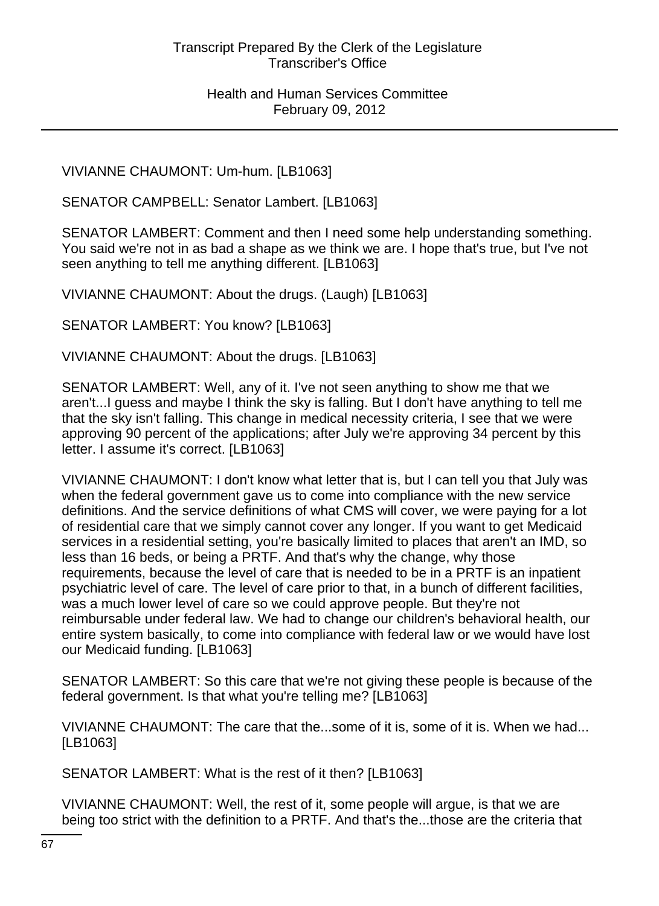VIVIANNE CHAUMONT: Um-hum. [LB1063]

SENATOR CAMPBELL: Senator Lambert. [LB1063]

SENATOR LAMBERT: Comment and then I need some help understanding something. You said we're not in as bad a shape as we think we are. I hope that's true, but I've not seen anything to tell me anything different. [LB1063]

VIVIANNE CHAUMONT: About the drugs. (Laugh) [LB1063]

SENATOR LAMBERT: You know? [LB1063]

VIVIANNE CHAUMONT: About the drugs. [LB1063]

SENATOR LAMBERT: Well, any of it. I've not seen anything to show me that we aren't...I guess and maybe I think the sky is falling. But I don't have anything to tell me that the sky isn't falling. This change in medical necessity criteria, I see that we were approving 90 percent of the applications; after July we're approving 34 percent by this letter. I assume it's correct. [LB1063]

VIVIANNE CHAUMONT: I don't know what letter that is, but I can tell you that July was when the federal government gave us to come into compliance with the new service definitions. And the service definitions of what CMS will cover, we were paying for a lot of residential care that we simply cannot cover any longer. If you want to get Medicaid services in a residential setting, you're basically limited to places that aren't an IMD, so less than 16 beds, or being a PRTF. And that's why the change, why those requirements, because the level of care that is needed to be in a PRTF is an inpatient psychiatric level of care. The level of care prior to that, in a bunch of different facilities, was a much lower level of care so we could approve people. But they're not reimbursable under federal law. We had to change our children's behavioral health, our entire system basically, to come into compliance with federal law or we would have lost our Medicaid funding. [LB1063]

SENATOR LAMBERT: So this care that we're not giving these people is because of the federal government. Is that what you're telling me? [LB1063]

VIVIANNE CHAUMONT: The care that the...some of it is, some of it is. When we had... [LB1063]

SENATOR LAMBERT: What is the rest of it then? [LB1063]

VIVIANNE CHAUMONT: Well, the rest of it, some people will argue, is that we are being too strict with the definition to a PRTF. And that's the...those are the criteria that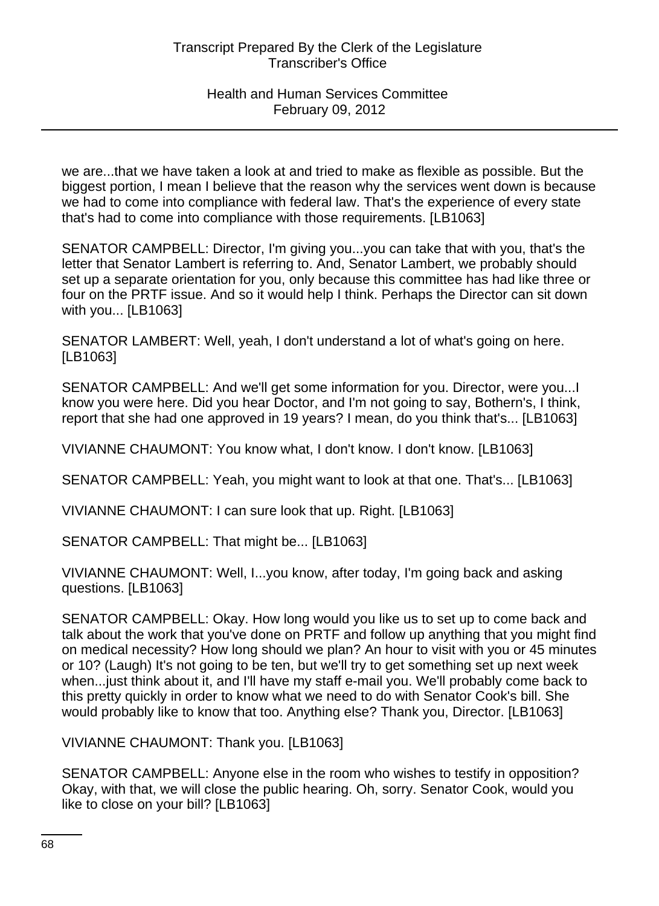we are...that we have taken a look at and tried to make as flexible as possible. But the biggest portion, I mean I believe that the reason why the services went down is because we had to come into compliance with federal law. That's the experience of every state that's had to come into compliance with those requirements. [LB1063]

SENATOR CAMPBELL: Director, I'm giving you...you can take that with you, that's the letter that Senator Lambert is referring to. And, Senator Lambert, we probably should set up a separate orientation for you, only because this committee has had like three or four on the PRTF issue. And so it would help I think. Perhaps the Director can sit down with you... [LB1063]

SENATOR LAMBERT: Well, yeah, I don't understand a lot of what's going on here. [LB1063]

SENATOR CAMPBELL: And we'll get some information for you. Director, were you...I know you were here. Did you hear Doctor, and I'm not going to say, Bothern's, I think, report that she had one approved in 19 years? I mean, do you think that's... [LB1063]

VIVIANNE CHAUMONT: You know what, I don't know. I don't know. [LB1063]

SENATOR CAMPBELL: Yeah, you might want to look at that one. That's... [LB1063]

VIVIANNE CHAUMONT: I can sure look that up. Right. [LB1063]

SENATOR CAMPBELL: That might be... [LB1063]

VIVIANNE CHAUMONT: Well, I...you know, after today, I'm going back and asking questions. [LB1063]

SENATOR CAMPBELL: Okay. How long would you like us to set up to come back and talk about the work that you've done on PRTF and follow up anything that you might find on medical necessity? How long should we plan? An hour to visit with you or 45 minutes or 10? (Laugh) It's not going to be ten, but we'll try to get something set up next week when...just think about it, and I'll have my staff e-mail you. We'll probably come back to this pretty quickly in order to know what we need to do with Senator Cook's bill. She would probably like to know that too. Anything else? Thank you, Director. [LB1063]

VIVIANNE CHAUMONT: Thank you. [LB1063]

SENATOR CAMPBELL: Anyone else in the room who wishes to testify in opposition? Okay, with that, we will close the public hearing. Oh, sorry. Senator Cook, would you like to close on your bill? [LB1063]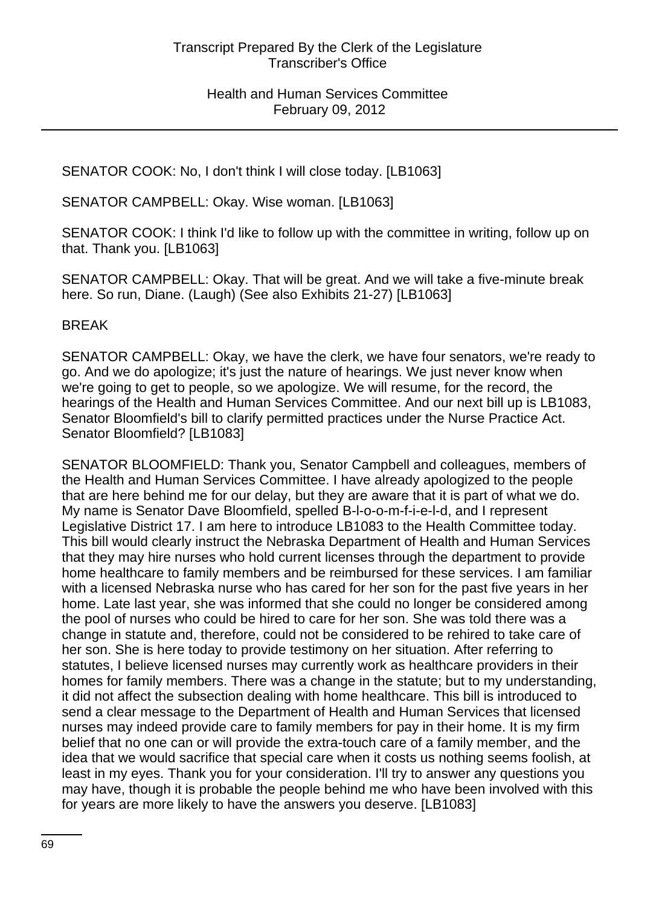SENATOR COOK: No, I don't think I will close today. [LB1063]

SENATOR CAMPBELL: Okay. Wise woman. [LB1063]

SENATOR COOK: I think I'd like to follow up with the committee in writing, follow up on that. Thank you. [LB1063]

SENATOR CAMPBELL: Okay. That will be great. And we will take a five-minute break here. So run, Diane. (Laugh) (See also Exhibits 21-27) [LB1063]

BREAK

SENATOR CAMPBELL: Okay, we have the clerk, we have four senators, we're ready to go. And we do apologize; it's just the nature of hearings. We just never know when we're going to get to people, so we apologize. We will resume, for the record, the hearings of the Health and Human Services Committee. And our next bill up is LB1083, Senator Bloomfield's bill to clarify permitted practices under the Nurse Practice Act. Senator Bloomfield? [LB1083]

SENATOR BLOOMFIELD: Thank you, Senator Campbell and colleagues, members of the Health and Human Services Committee. I have already apologized to the people that are here behind me for our delay, but they are aware that it is part of what we do. My name is Senator Dave Bloomfield, spelled B-l-o-o-m-f-i-e-l-d, and I represent Legislative District 17. I am here to introduce LB1083 to the Health Committee today. This bill would clearly instruct the Nebraska Department of Health and Human Services that they may hire nurses who hold current licenses through the department to provide home healthcare to family members and be reimbursed for these services. I am familiar with a licensed Nebraska nurse who has cared for her son for the past five years in her home. Late last year, she was informed that she could no longer be considered among the pool of nurses who could be hired to care for her son. She was told there was a change in statute and, therefore, could not be considered to be rehired to take care of her son. She is here today to provide testimony on her situation. After referring to statutes, I believe licensed nurses may currently work as healthcare providers in their homes for family members. There was a change in the statute; but to my understanding, it did not affect the subsection dealing with home healthcare. This bill is introduced to send a clear message to the Department of Health and Human Services that licensed nurses may indeed provide care to family members for pay in their home. It is my firm belief that no one can or will provide the extra-touch care of a family member, and the idea that we would sacrifice that special care when it costs us nothing seems foolish, at least in my eyes. Thank you for your consideration. I'll try to answer any questions you may have, though it is probable the people behind me who have been involved with this for years are more likely to have the answers you deserve. [LB1083]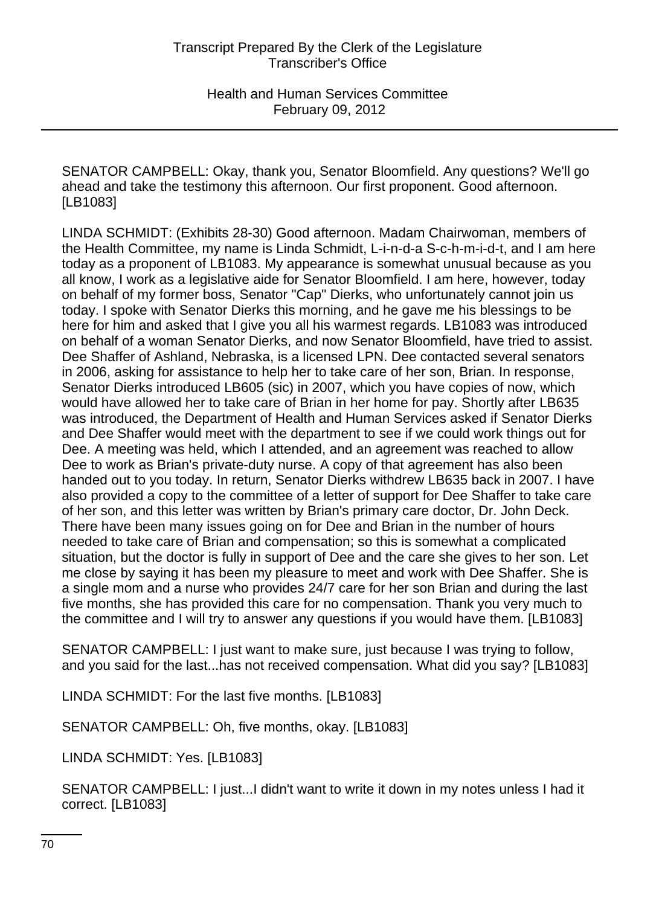SENATOR CAMPBELL: Okay, thank you, Senator Bloomfield. Any questions? We'll go ahead and take the testimony this afternoon. Our first proponent. Good afternoon. [LB1083]

LINDA SCHMIDT: (Exhibits 28-30) Good afternoon. Madam Chairwoman, members of the Health Committee, my name is Linda Schmidt, L-i-n-d-a S-c-h-m-i-d-t, and I am here today as a proponent of LB1083. My appearance is somewhat unusual because as you all know, I work as a legislative aide for Senator Bloomfield. I am here, however, today on behalf of my former boss, Senator "Cap" Dierks, who unfortunately cannot join us today. I spoke with Senator Dierks this morning, and he gave me his blessings to be here for him and asked that I give you all his warmest regards. LB1083 was introduced on behalf of a woman Senator Dierks, and now Senator Bloomfield, have tried to assist. Dee Shaffer of Ashland, Nebraska, is a licensed LPN. Dee contacted several senators in 2006, asking for assistance to help her to take care of her son, Brian. In response, Senator Dierks introduced LB605 (sic) in 2007, which you have copies of now, which would have allowed her to take care of Brian in her home for pay. Shortly after LB635 was introduced, the Department of Health and Human Services asked if Senator Dierks and Dee Shaffer would meet with the department to see if we could work things out for Dee. A meeting was held, which I attended, and an agreement was reached to allow Dee to work as Brian's private-duty nurse. A copy of that agreement has also been handed out to you today. In return, Senator Dierks withdrew LB635 back in 2007. I have also provided a copy to the committee of a letter of support for Dee Shaffer to take care of her son, and this letter was written by Brian's primary care doctor, Dr. John Deck. There have been many issues going on for Dee and Brian in the number of hours needed to take care of Brian and compensation; so this is somewhat a complicated situation, but the doctor is fully in support of Dee and the care she gives to her son. Let me close by saying it has been my pleasure to meet and work with Dee Shaffer. She is a single mom and a nurse who provides 24/7 care for her son Brian and during the last five months, she has provided this care for no compensation. Thank you very much to the committee and I will try to answer any questions if you would have them. [LB1083]

SENATOR CAMPBELL: I just want to make sure, just because I was trying to follow, and you said for the last...has not received compensation. What did you say? [LB1083]

LINDA SCHMIDT: For the last five months. [LB1083]

SENATOR CAMPBELL: Oh, five months, okay. [LB1083]

LINDA SCHMIDT: Yes. [LB1083]

SENATOR CAMPBELL: I just...I didn't want to write it down in my notes unless I had it correct. [LB1083]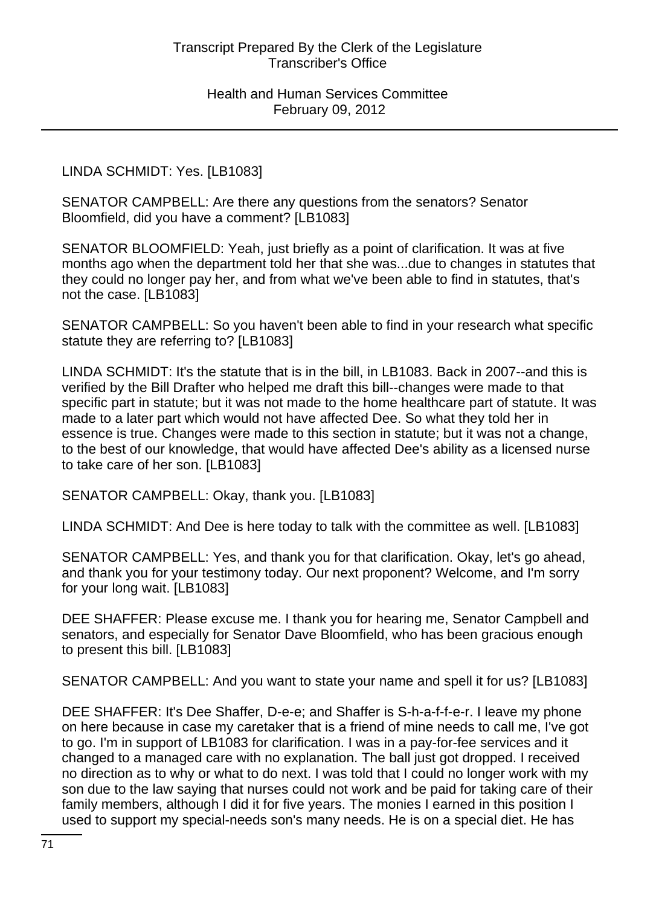LINDA SCHMIDT: Yes. [LB1083]

SENATOR CAMPBELL: Are there any questions from the senators? Senator Bloomfield, did you have a comment? [LB1083]

SENATOR BLOOMFIELD: Yeah, just briefly as a point of clarification. It was at five months ago when the department told her that she was...due to changes in statutes that they could no longer pay her, and from what we've been able to find in statutes, that's not the case. [LB1083]

SENATOR CAMPBELL: So you haven't been able to find in your research what specific statute they are referring to? [LB1083]

LINDA SCHMIDT: It's the statute that is in the bill, in LB1083. Back in 2007--and this is verified by the Bill Drafter who helped me draft this bill--changes were made to that specific part in statute; but it was not made to the home healthcare part of statute. It was made to a later part which would not have affected Dee. So what they told her in essence is true. Changes were made to this section in statute; but it was not a change, to the best of our knowledge, that would have affected Dee's ability as a licensed nurse to take care of her son. [LB1083]

SENATOR CAMPBELL: Okay, thank you. [LB1083]

LINDA SCHMIDT: And Dee is here today to talk with the committee as well. [LB1083]

SENATOR CAMPBELL: Yes, and thank you for that clarification. Okay, let's go ahead, and thank you for your testimony today. Our next proponent? Welcome, and I'm sorry for your long wait. [LB1083]

DEE SHAFFER: Please excuse me. I thank you for hearing me, Senator Campbell and senators, and especially for Senator Dave Bloomfield, who has been gracious enough to present this bill. [LB1083]

SENATOR CAMPBELL: And you want to state your name and spell it for us? [LB1083]

DEE SHAFFER: It's Dee Shaffer, D-e-e; and Shaffer is S-h-a-f-f-e-r. I leave my phone on here because in case my caretaker that is a friend of mine needs to call me, I've got to go. I'm in support of LB1083 for clarification. I was in a pay-for-fee services and it changed to a managed care with no explanation. The ball just got dropped. I received no direction as to why or what to do next. I was told that I could no longer work with my son due to the law saying that nurses could not work and be paid for taking care of their family members, although I did it for five years. The monies I earned in this position I used to support my special-needs son's many needs. He is on a special diet. He has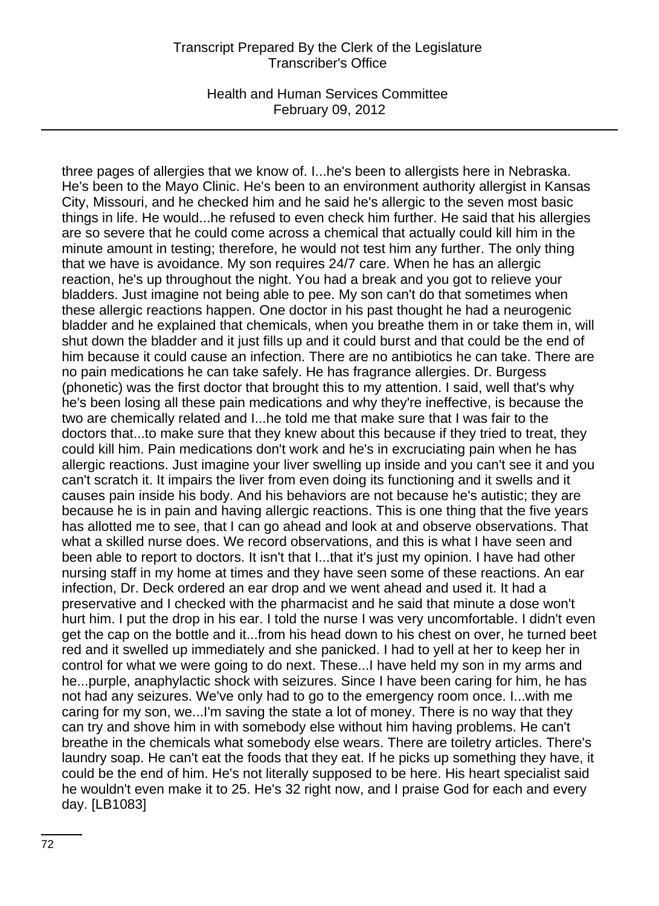Health and Human Services Committee February 09, 2012

three pages of allergies that we know of. I...he's been to allergists here in Nebraska. He's been to the Mayo Clinic. He's been to an environment authority allergist in Kansas City, Missouri, and he checked him and he said he's allergic to the seven most basic things in life. He would...he refused to even check him further. He said that his allergies are so severe that he could come across a chemical that actually could kill him in the minute amount in testing; therefore, he would not test him any further. The only thing that we have is avoidance. My son requires 24/7 care. When he has an allergic reaction, he's up throughout the night. You had a break and you got to relieve your bladders. Just imagine not being able to pee. My son can't do that sometimes when these allergic reactions happen. One doctor in his past thought he had a neurogenic bladder and he explained that chemicals, when you breathe them in or take them in, will shut down the bladder and it just fills up and it could burst and that could be the end of him because it could cause an infection. There are no antibiotics he can take. There are no pain medications he can take safely. He has fragrance allergies. Dr. Burgess (phonetic) was the first doctor that brought this to my attention. I said, well that's why he's been losing all these pain medications and why they're ineffective, is because the two are chemically related and I...he told me that make sure that I was fair to the doctors that...to make sure that they knew about this because if they tried to treat, they could kill him. Pain medications don't work and he's in excruciating pain when he has allergic reactions. Just imagine your liver swelling up inside and you can't see it and you can't scratch it. It impairs the liver from even doing its functioning and it swells and it causes pain inside his body. And his behaviors are not because he's autistic; they are because he is in pain and having allergic reactions. This is one thing that the five years has allotted me to see, that I can go ahead and look at and observe observations. That what a skilled nurse does. We record observations, and this is what I have seen and been able to report to doctors. It isn't that I...that it's just my opinion. I have had other nursing staff in my home at times and they have seen some of these reactions. An ear infection, Dr. Deck ordered an ear drop and we went ahead and used it. It had a preservative and I checked with the pharmacist and he said that minute a dose won't hurt him. I put the drop in his ear. I told the nurse I was very uncomfortable. I didn't even get the cap on the bottle and it...from his head down to his chest on over, he turned beet red and it swelled up immediately and she panicked. I had to yell at her to keep her in control for what we were going to do next. These...I have held my son in my arms and he...purple, anaphylactic shock with seizures. Since I have been caring for him, he has not had any seizures. We've only had to go to the emergency room once. I...with me caring for my son, we...I'm saving the state a lot of money. There is no way that they can try and shove him in with somebody else without him having problems. He can't breathe in the chemicals what somebody else wears. There are toiletry articles. There's laundry soap. He can't eat the foods that they eat. If he picks up something they have, it could be the end of him. He's not literally supposed to be here. His heart specialist said he wouldn't even make it to 25. He's 32 right now, and I praise God for each and every day. [LB1083]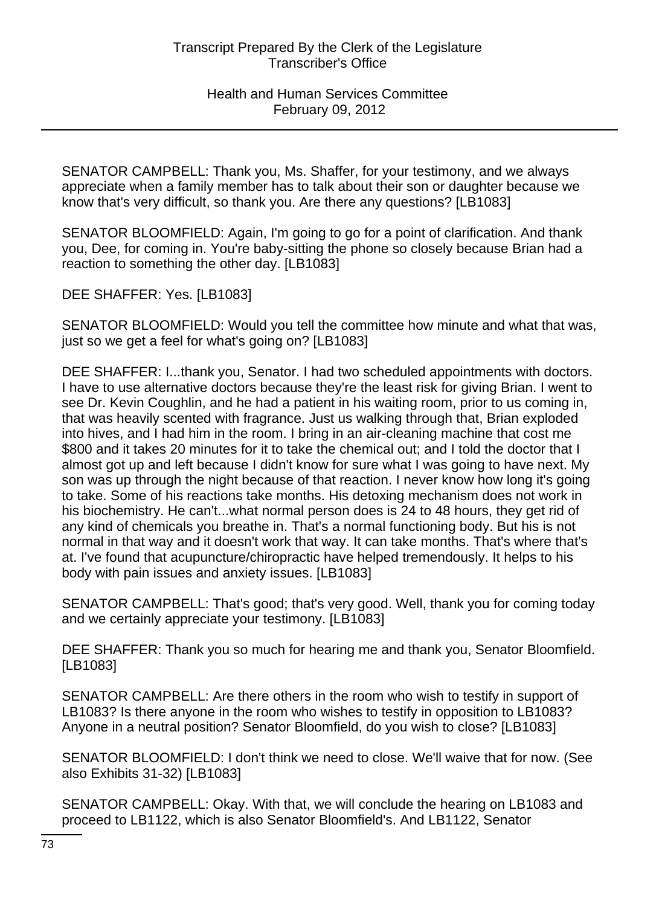SENATOR CAMPBELL: Thank you, Ms. Shaffer, for your testimony, and we always appreciate when a family member has to talk about their son or daughter because we know that's very difficult, so thank you. Are there any questions? [LB1083]

SENATOR BLOOMFIELD: Again, I'm going to go for a point of clarification. And thank you, Dee, for coming in. You're baby-sitting the phone so closely because Brian had a reaction to something the other day. [LB1083]

DEE SHAFFER: Yes. [LB1083]

SENATOR BLOOMFIELD: Would you tell the committee how minute and what that was, just so we get a feel for what's going on? [LB1083]

DEE SHAFFER: I...thank you, Senator. I had two scheduled appointments with doctors. I have to use alternative doctors because they're the least risk for giving Brian. I went to see Dr. Kevin Coughlin, and he had a patient in his waiting room, prior to us coming in, that was heavily scented with fragrance. Just us walking through that, Brian exploded into hives, and I had him in the room. I bring in an air-cleaning machine that cost me \$800 and it takes 20 minutes for it to take the chemical out; and I told the doctor that I almost got up and left because I didn't know for sure what I was going to have next. My son was up through the night because of that reaction. I never know how long it's going to take. Some of his reactions take months. His detoxing mechanism does not work in his biochemistry. He can't...what normal person does is 24 to 48 hours, they get rid of any kind of chemicals you breathe in. That's a normal functioning body. But his is not normal in that way and it doesn't work that way. It can take months. That's where that's at. I've found that acupuncture/chiropractic have helped tremendously. It helps to his body with pain issues and anxiety issues. [LB1083]

SENATOR CAMPBELL: That's good; that's very good. Well, thank you for coming today and we certainly appreciate your testimony. [LB1083]

DEE SHAFFER: Thank you so much for hearing me and thank you, Senator Bloomfield. [LB1083]

SENATOR CAMPBELL: Are there others in the room who wish to testify in support of LB1083? Is there anyone in the room who wishes to testify in opposition to LB1083? Anyone in a neutral position? Senator Bloomfield, do you wish to close? [LB1083]

SENATOR BLOOMFIELD: I don't think we need to close. We'll waive that for now. (See also Exhibits 31-32) [LB1083]

SENATOR CAMPBELL: Okay. With that, we will conclude the hearing on LB1083 and proceed to LB1122, which is also Senator Bloomfield's. And LB1122, Senator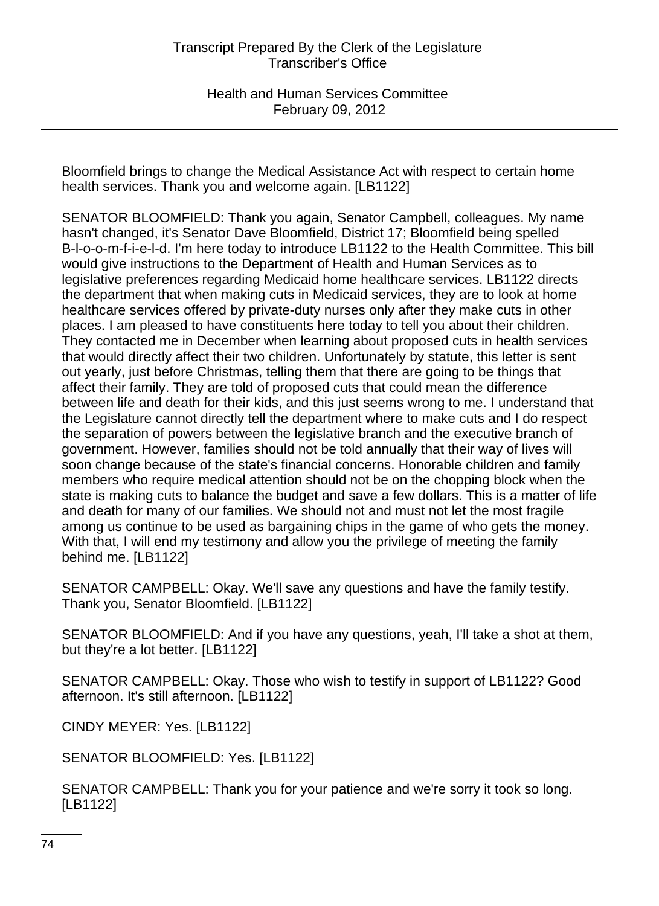Bloomfield brings to change the Medical Assistance Act with respect to certain home health services. Thank you and welcome again. [LB1122]

SENATOR BLOOMFIELD: Thank you again, Senator Campbell, colleagues. My name hasn't changed, it's Senator Dave Bloomfield, District 17; Bloomfield being spelled B-l-o-o-m-f-i-e-l-d. I'm here today to introduce LB1122 to the Health Committee. This bill would give instructions to the Department of Health and Human Services as to legislative preferences regarding Medicaid home healthcare services. LB1122 directs the department that when making cuts in Medicaid services, they are to look at home healthcare services offered by private-duty nurses only after they make cuts in other places. I am pleased to have constituents here today to tell you about their children. They contacted me in December when learning about proposed cuts in health services that would directly affect their two children. Unfortunately by statute, this letter is sent out yearly, just before Christmas, telling them that there are going to be things that affect their family. They are told of proposed cuts that could mean the difference between life and death for their kids, and this just seems wrong to me. I understand that the Legislature cannot directly tell the department where to make cuts and I do respect the separation of powers between the legislative branch and the executive branch of government. However, families should not be told annually that their way of lives will soon change because of the state's financial concerns. Honorable children and family members who require medical attention should not be on the chopping block when the state is making cuts to balance the budget and save a few dollars. This is a matter of life and death for many of our families. We should not and must not let the most fragile among us continue to be used as bargaining chips in the game of who gets the money. With that, I will end my testimony and allow you the privilege of meeting the family behind me. [LB1122]

SENATOR CAMPBELL: Okay. We'll save any questions and have the family testify. Thank you, Senator Bloomfield. [LB1122]

SENATOR BLOOMFIELD: And if you have any questions, yeah, I'll take a shot at them, but they're a lot better. [LB1122]

SENATOR CAMPBELL: Okay. Those who wish to testify in support of LB1122? Good afternoon. It's still afternoon. [LB1122]

CINDY MEYER: Yes. [LB1122]

SENATOR BLOOMFIELD: Yes. [LB1122]

SENATOR CAMPBELL: Thank you for your patience and we're sorry it took so long. [LB1122]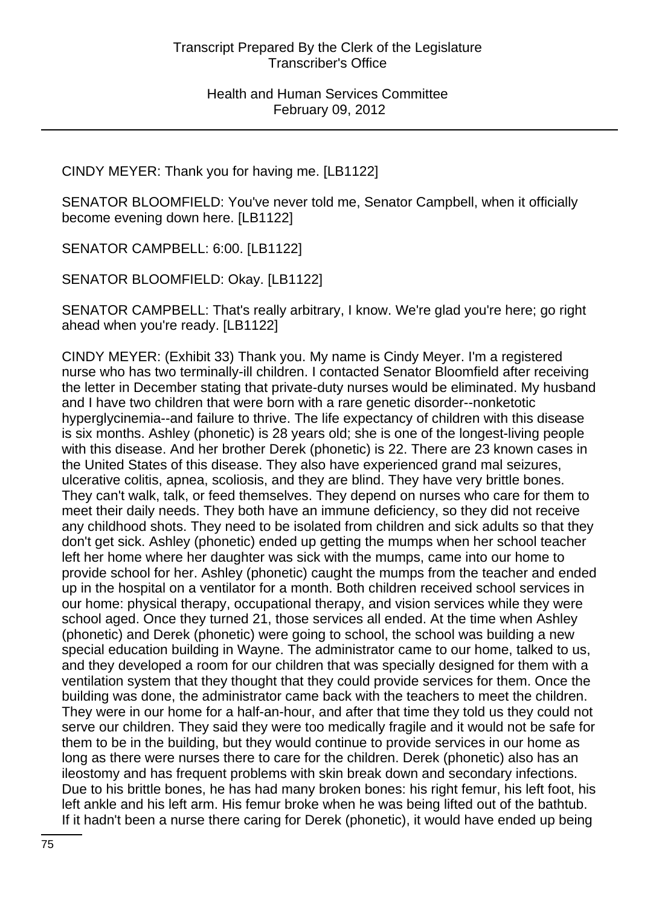CINDY MEYER: Thank you for having me. [LB1122]

SENATOR BLOOMFIELD: You've never told me, Senator Campbell, when it officially become evening down here. [LB1122]

SENATOR CAMPBELL: 6:00. [LB1122]

SENATOR BLOOMFIELD: Okay. [LB1122]

SENATOR CAMPBELL: That's really arbitrary, I know. We're glad you're here; go right ahead when you're ready. [LB1122]

CINDY MEYER: (Exhibit 33) Thank you. My name is Cindy Meyer. I'm a registered nurse who has two terminally-ill children. I contacted Senator Bloomfield after receiving the letter in December stating that private-duty nurses would be eliminated. My husband and I have two children that were born with a rare genetic disorder--nonketotic hyperglycinemia--and failure to thrive. The life expectancy of children with this disease is six months. Ashley (phonetic) is 28 years old; she is one of the longest-living people with this disease. And her brother Derek (phonetic) is 22. There are 23 known cases in the United States of this disease. They also have experienced grand mal seizures, ulcerative colitis, apnea, scoliosis, and they are blind. They have very brittle bones. They can't walk, talk, or feed themselves. They depend on nurses who care for them to meet their daily needs. They both have an immune deficiency, so they did not receive any childhood shots. They need to be isolated from children and sick adults so that they don't get sick. Ashley (phonetic) ended up getting the mumps when her school teacher left her home where her daughter was sick with the mumps, came into our home to provide school for her. Ashley (phonetic) caught the mumps from the teacher and ended up in the hospital on a ventilator for a month. Both children received school services in our home: physical therapy, occupational therapy, and vision services while they were school aged. Once they turned 21, those services all ended. At the time when Ashley (phonetic) and Derek (phonetic) were going to school, the school was building a new special education building in Wayne. The administrator came to our home, talked to us, and they developed a room for our children that was specially designed for them with a ventilation system that they thought that they could provide services for them. Once the building was done, the administrator came back with the teachers to meet the children. They were in our home for a half-an-hour, and after that time they told us they could not serve our children. They said they were too medically fragile and it would not be safe for them to be in the building, but they would continue to provide services in our home as long as there were nurses there to care for the children. Derek (phonetic) also has an ileostomy and has frequent problems with skin break down and secondary infections. Due to his brittle bones, he has had many broken bones: his right femur, his left foot, his left ankle and his left arm. His femur broke when he was being lifted out of the bathtub. If it hadn't been a nurse there caring for Derek (phonetic), it would have ended up being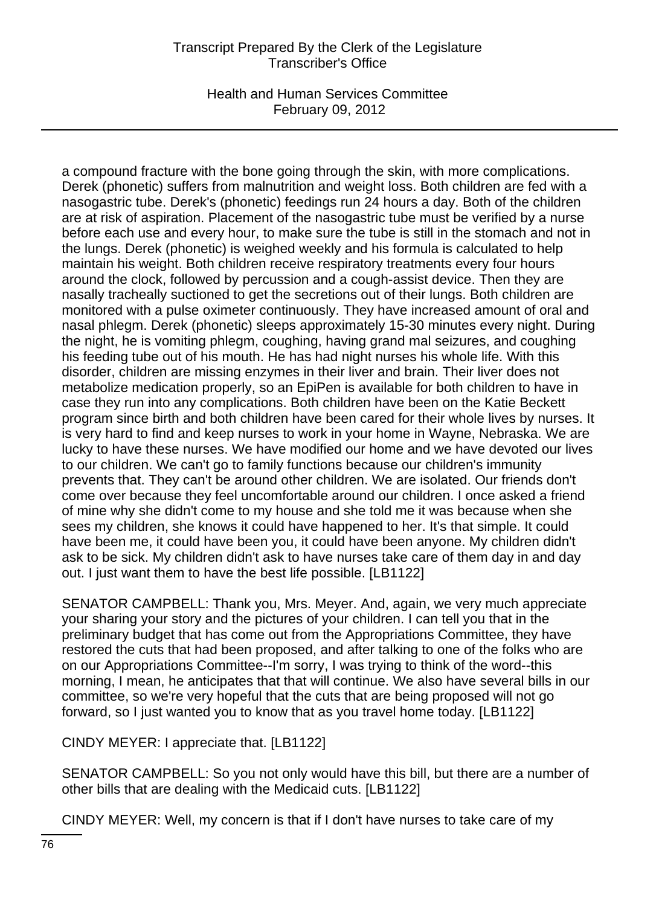## Transcript Prepared By the Clerk of the Legislature Transcriber's Office

Health and Human Services Committee February 09, 2012

a compound fracture with the bone going through the skin, with more complications. Derek (phonetic) suffers from malnutrition and weight loss. Both children are fed with a nasogastric tube. Derek's (phonetic) feedings run 24 hours a day. Both of the children are at risk of aspiration. Placement of the nasogastric tube must be verified by a nurse before each use and every hour, to make sure the tube is still in the stomach and not in the lungs. Derek (phonetic) is weighed weekly and his formula is calculated to help maintain his weight. Both children receive respiratory treatments every four hours around the clock, followed by percussion and a cough-assist device. Then they are nasally tracheally suctioned to get the secretions out of their lungs. Both children are monitored with a pulse oximeter continuously. They have increased amount of oral and nasal phlegm. Derek (phonetic) sleeps approximately 15-30 minutes every night. During the night, he is vomiting phlegm, coughing, having grand mal seizures, and coughing his feeding tube out of his mouth. He has had night nurses his whole life. With this disorder, children are missing enzymes in their liver and brain. Their liver does not metabolize medication properly, so an EpiPen is available for both children to have in case they run into any complications. Both children have been on the Katie Beckett program since birth and both children have been cared for their whole lives by nurses. It is very hard to find and keep nurses to work in your home in Wayne, Nebraska. We are lucky to have these nurses. We have modified our home and we have devoted our lives to our children. We can't go to family functions because our children's immunity prevents that. They can't be around other children. We are isolated. Our friends don't come over because they feel uncomfortable around our children. I once asked a friend of mine why she didn't come to my house and she told me it was because when she sees my children, she knows it could have happened to her. It's that simple. It could have been me, it could have been you, it could have been anyone. My children didn't ask to be sick. My children didn't ask to have nurses take care of them day in and day out. I just want them to have the best life possible. [LB1122]

SENATOR CAMPBELL: Thank you, Mrs. Meyer. And, again, we very much appreciate your sharing your story and the pictures of your children. I can tell you that in the preliminary budget that has come out from the Appropriations Committee, they have restored the cuts that had been proposed, and after talking to one of the folks who are on our Appropriations Committee--I'm sorry, I was trying to think of the word--this morning, I mean, he anticipates that that will continue. We also have several bills in our committee, so we're very hopeful that the cuts that are being proposed will not go forward, so I just wanted you to know that as you travel home today. [LB1122]

CINDY MEYER: I appreciate that. [LB1122]

SENATOR CAMPBELL: So you not only would have this bill, but there are a number of other bills that are dealing with the Medicaid cuts. [LB1122]

CINDY MEYER: Well, my concern is that if I don't have nurses to take care of my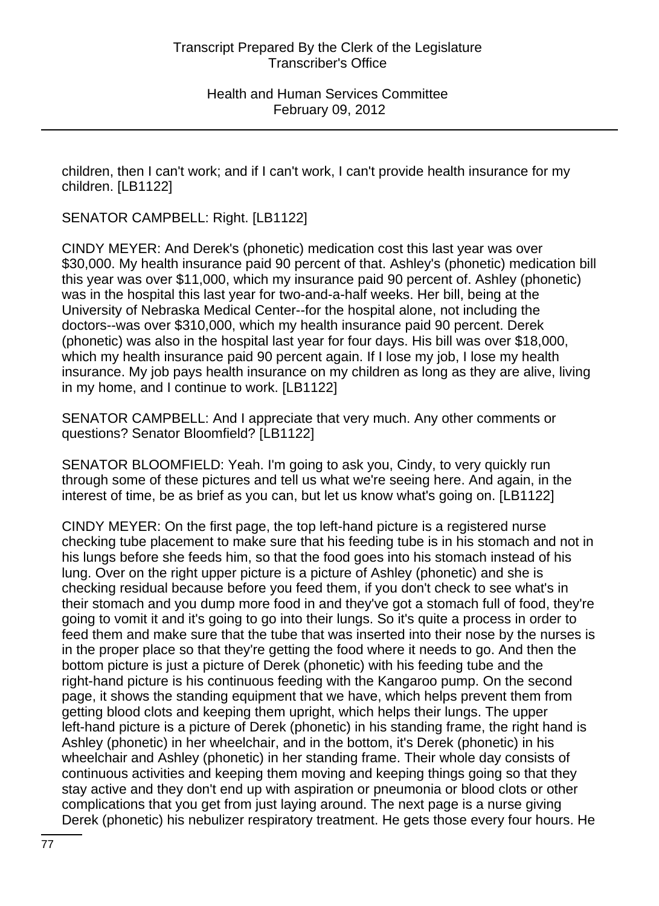children, then I can't work; and if I can't work, I can't provide health insurance for my children. [LB1122]

SENATOR CAMPBELL: Right. [LB1122]

CINDY MEYER: And Derek's (phonetic) medication cost this last year was over \$30,000. My health insurance paid 90 percent of that. Ashley's (phonetic) medication bill this year was over \$11,000, which my insurance paid 90 percent of. Ashley (phonetic) was in the hospital this last year for two-and-a-half weeks. Her bill, being at the University of Nebraska Medical Center--for the hospital alone, not including the doctors--was over \$310,000, which my health insurance paid 90 percent. Derek (phonetic) was also in the hospital last year for four days. His bill was over \$18,000, which my health insurance paid 90 percent again. If I lose my job, I lose my health insurance. My job pays health insurance on my children as long as they are alive, living in my home, and I continue to work. [LB1122]

SENATOR CAMPBELL: And I appreciate that very much. Any other comments or questions? Senator Bloomfield? [LB1122]

SENATOR BLOOMFIELD: Yeah. I'm going to ask you, Cindy, to very quickly run through some of these pictures and tell us what we're seeing here. And again, in the interest of time, be as brief as you can, but let us know what's going on. [LB1122]

CINDY MEYER: On the first page, the top left-hand picture is a registered nurse checking tube placement to make sure that his feeding tube is in his stomach and not in his lungs before she feeds him, so that the food goes into his stomach instead of his lung. Over on the right upper picture is a picture of Ashley (phonetic) and she is checking residual because before you feed them, if you don't check to see what's in their stomach and you dump more food in and they've got a stomach full of food, they're going to vomit it and it's going to go into their lungs. So it's quite a process in order to feed them and make sure that the tube that was inserted into their nose by the nurses is in the proper place so that they're getting the food where it needs to go. And then the bottom picture is just a picture of Derek (phonetic) with his feeding tube and the right-hand picture is his continuous feeding with the Kangaroo pump. On the second page, it shows the standing equipment that we have, which helps prevent them from getting blood clots and keeping them upright, which helps their lungs. The upper left-hand picture is a picture of Derek (phonetic) in his standing frame, the right hand is Ashley (phonetic) in her wheelchair, and in the bottom, it's Derek (phonetic) in his wheelchair and Ashley (phonetic) in her standing frame. Their whole day consists of continuous activities and keeping them moving and keeping things going so that they stay active and they don't end up with aspiration or pneumonia or blood clots or other complications that you get from just laying around. The next page is a nurse giving Derek (phonetic) his nebulizer respiratory treatment. He gets those every four hours. He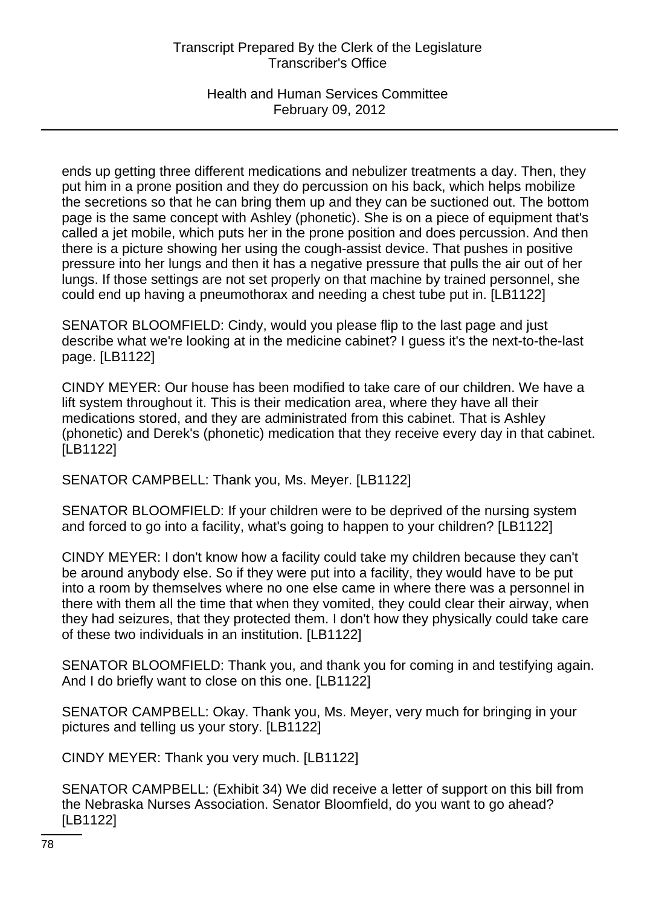## Transcript Prepared By the Clerk of the Legislature Transcriber's Office

Health and Human Services Committee February 09, 2012

ends up getting three different medications and nebulizer treatments a day. Then, they put him in a prone position and they do percussion on his back, which helps mobilize the secretions so that he can bring them up and they can be suctioned out. The bottom page is the same concept with Ashley (phonetic). She is on a piece of equipment that's called a jet mobile, which puts her in the prone position and does percussion. And then there is a picture showing her using the cough-assist device. That pushes in positive pressure into her lungs and then it has a negative pressure that pulls the air out of her lungs. If those settings are not set properly on that machine by trained personnel, she could end up having a pneumothorax and needing a chest tube put in. [LB1122]

SENATOR BLOOMFIELD: Cindy, would you please flip to the last page and just describe what we're looking at in the medicine cabinet? I guess it's the next-to-the-last page. [LB1122]

CINDY MEYER: Our house has been modified to take care of our children. We have a lift system throughout it. This is their medication area, where they have all their medications stored, and they are administrated from this cabinet. That is Ashley (phonetic) and Derek's (phonetic) medication that they receive every day in that cabinet. [LB1122]

SENATOR CAMPBELL: Thank you, Ms. Meyer. [LB1122]

SENATOR BLOOMFIELD: If your children were to be deprived of the nursing system and forced to go into a facility, what's going to happen to your children? [LB1122]

CINDY MEYER: I don't know how a facility could take my children because they can't be around anybody else. So if they were put into a facility, they would have to be put into a room by themselves where no one else came in where there was a personnel in there with them all the time that when they vomited, they could clear their airway, when they had seizures, that they protected them. I don't how they physically could take care of these two individuals in an institution. [LB1122]

SENATOR BLOOMFIELD: Thank you, and thank you for coming in and testifying again. And I do briefly want to close on this one. [LB1122]

SENATOR CAMPBELL: Okay. Thank you, Ms. Meyer, very much for bringing in your pictures and telling us your story. [LB1122]

CINDY MEYER: Thank you very much. [LB1122]

SENATOR CAMPBELL: (Exhibit 34) We did receive a letter of support on this bill from the Nebraska Nurses Association. Senator Bloomfield, do you want to go ahead? [LB1122]